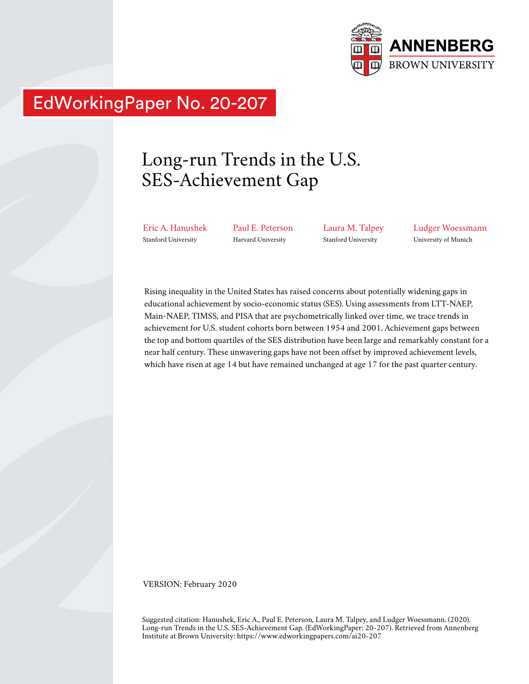

# EdWorkingPaper No. 20-207

# Long-run Trends in the U.S. SES-Achievement Gap

Eric A. Hanushek Stanford University

Paul E. Peterson Harvard University

Laura M. Talpey Stanford University

Ludger Woessmann University of Munich

Rising inequality in the United States has raised concerns about potentially widening gaps in educational achievement by socio-economic status (SES). Using assessments from LTT-NAEP, Main-NAEP, TIMSS, and PISA that are psychometrically linked over time, we trace trends in achievement for U.S. student cohorts born between 1954 and 2001. Achievement gaps between the top and bottom quartiles of the SES distribution have been large and remarkably constant for a near half century. These unwavering gaps have not been offset by improved achievement levels, which have risen at age 14 but have remained unchanged at age 17 for the past quarter century.

VERSION: February 2020

Suggested citation: Hanushek, Eric A., Paul E. Peterson, Laura M. Talpey, and Ludger Woessmann. (2020). Long-run Trends in the U.S. SES-Achievement Gap. (EdWorkingPaper: 20-207). Retrieved from Annenberg Institute at Brown University: https://www.edworkingpapers.com/ai20-207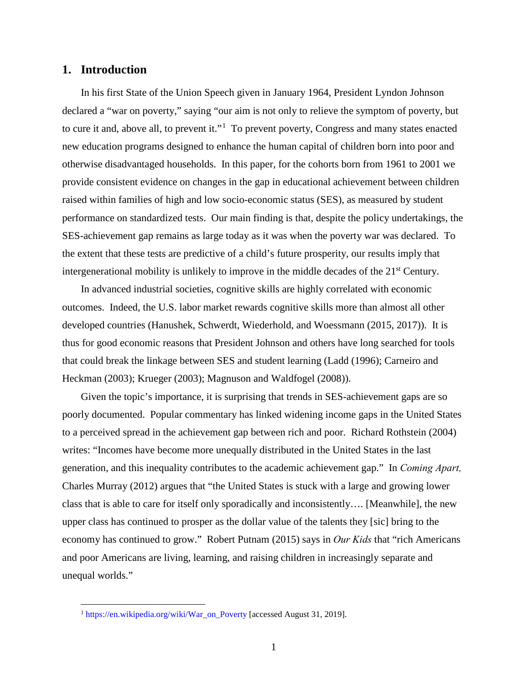# **1. Introduction**

 $\overline{a}$ 

In his first State of the Union Speech given in January 1964, President Lyndon Johnson declared a "war on poverty," saying "our aim is not only to relieve the symptom of poverty, but to cure it and, above all, to prevent it."<sup>[1](#page-1-0)</sup> To prevent poverty, Congress and many states enacted new education programs designed to enhance the human capital of children born into poor and otherwise disadvantaged households. In this paper, for the cohorts born from 1961 to 2001 we provide consistent evidence on changes in the gap in educational achievement between children raised within families of high and low socio-economic status (SES), as measured by student performance on standardized tests. Our main finding is that, despite the policy undertakings, the SES-achievement gap remains as large today as it was when the poverty war was declared. To the extent that these tests are predictive of a child's future prosperity, our results imply that intergenerational mobility is unlikely to improve in the middle decades of the  $21<sup>st</sup>$  Century.

In advanced industrial societies, cognitive skills are highly correlated with economic outcomes. Indeed, the U.S. labor market rewards cognitive skills more than almost all other developed countries (Hanushek, Schwerdt, Wiederhold, and Woessmann (2015, 2017)). It is thus for good economic reasons that President Johnson and others have long searched for tools that could break the linkage between SES and student learning (Ladd (1996); Carneiro and Heckman (2003); Krueger (2003); Magnuson and Waldfogel (2008)).

Given the topic's importance, it is surprising that trends in SES-achievement gaps are so poorly documented. Popular commentary has linked widening income gaps in the United States to a perceived spread in the achievement gap between rich and poor. Richard Rothstein (2004) writes: "Incomes have become more unequally distributed in the United States in the last generation, and this inequality contributes to the academic achievement gap." In *Coming Apart,* Charles Murray (2012) argues that "the United States is stuck with a large and growing lower class that is able to care for itself only sporadically and inconsistently…. [Meanwhile], the new upper class has continued to prosper as the dollar value of the talents they [sic] bring to the economy has continued to grow." Robert Putnam (2015) says in *Our Kids* that "rich Americans and poor Americans are living, learning, and raising children in increasingly separate and unequal worlds."

<span id="page-1-0"></span><sup>&</sup>lt;sup>1</sup> [https://en.wikipedia.org/wiki/War\\_on\\_Poverty](https://en.wikipedia.org/wiki/War_on_Poverty) [accessed August 31, 2019].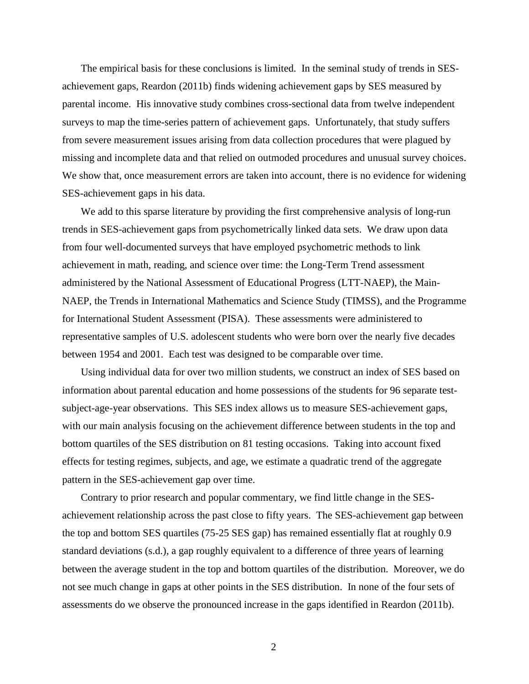The empirical basis for these conclusions is limited. In the seminal study of trends in SESachievement gaps, Reardon (2011b) finds widening achievement gaps by SES measured by parental income. His innovative study combines cross-sectional data from twelve independent surveys to map the time-series pattern of achievement gaps. Unfortunately, that study suffers from severe measurement issues arising from data collection procedures that were plagued by missing and incomplete data and that relied on outmoded procedures and unusual survey choices. We show that, once measurement errors are taken into account, there is no evidence for widening SES-achievement gaps in his data.

We add to this sparse literature by providing the first comprehensive analysis of long-run trends in SES-achievement gaps from psychometrically linked data sets. We draw upon data from four well-documented surveys that have employed psychometric methods to link achievement in math, reading, and science over time: the Long-Term Trend assessment administered by the National Assessment of Educational Progress (LTT-NAEP), the Main-NAEP, the Trends in International Mathematics and Science Study (TIMSS), and the Programme for International Student Assessment (PISA). These assessments were administered to representative samples of U.S. adolescent students who were born over the nearly five decades between 1954 and 2001. Each test was designed to be comparable over time.

Using individual data for over two million students, we construct an index of SES based on information about parental education and home possessions of the students for 96 separate testsubject-age-year observations. This SES index allows us to measure SES-achievement gaps, with our main analysis focusing on the achievement difference between students in the top and bottom quartiles of the SES distribution on 81 testing occasions. Taking into account fixed effects for testing regimes, subjects, and age, we estimate a quadratic trend of the aggregate pattern in the SES-achievement gap over time.

Contrary to prior research and popular commentary, we find little change in the SESachievement relationship across the past close to fifty years. The SES-achievement gap between the top and bottom SES quartiles (75-25 SES gap) has remained essentially flat at roughly 0.9 standard deviations (s.d.), a gap roughly equivalent to a difference of three years of learning between the average student in the top and bottom quartiles of the distribution. Moreover, we do not see much change in gaps at other points in the SES distribution. In none of the four sets of assessments do we observe the pronounced increase in the gaps identified in Reardon (2011b).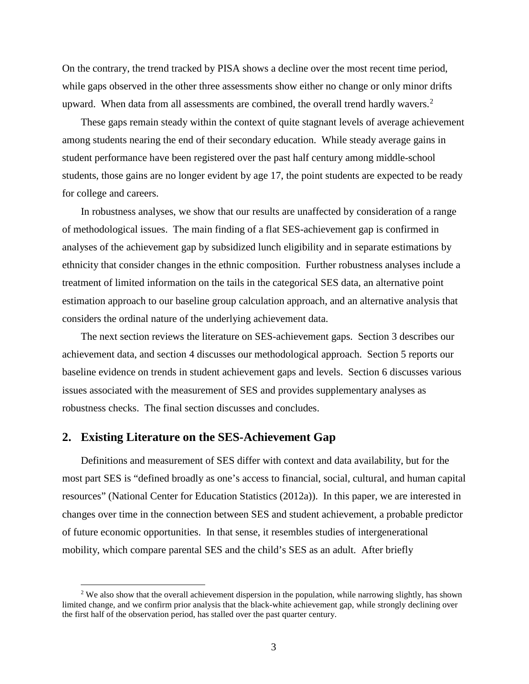On the contrary, the trend tracked by PISA shows a decline over the most recent time period, while gaps observed in the other three assessments show either no change or only minor drifts upward. When data from all assessments are combined, the overall trend hardly wavers.<sup>[2](#page-3-0)</sup>

These gaps remain steady within the context of quite stagnant levels of average achievement among students nearing the end of their secondary education. While steady average gains in student performance have been registered over the past half century among middle-school students, those gains are no longer evident by age 17, the point students are expected to be ready for college and careers.

In robustness analyses, we show that our results are unaffected by consideration of a range of methodological issues. The main finding of a flat SES-achievement gap is confirmed in analyses of the achievement gap by subsidized lunch eligibility and in separate estimations by ethnicity that consider changes in the ethnic composition. Further robustness analyses include a treatment of limited information on the tails in the categorical SES data, an alternative point estimation approach to our baseline group calculation approach, and an alternative analysis that considers the ordinal nature of the underlying achievement data.

The next section reviews the literature on SES-achievement gaps. Section 3 describes our achievement data, and section 4 discusses our methodological approach. Section 5 reports our baseline evidence on trends in student achievement gaps and levels. Section 6 discusses various issues associated with the measurement of SES and provides supplementary analyses as robustness checks. The final section discusses and concludes.

## **2. Existing Literature on the SES-Achievement Gap**

 $\overline{a}$ 

Definitions and measurement of SES differ with context and data availability, but for the most part SES is "defined broadly as one's access to financial, social, cultural, and human capital resources" (National Center for Education Statistics (2012a)). In this paper, we are interested in changes over time in the connection between SES and student achievement, a probable predictor of future economic opportunities. In that sense, it resembles studies of intergenerational mobility, which compare parental SES and the child's SES as an adult. After briefly

<span id="page-3-0"></span><sup>&</sup>lt;sup>2</sup> We also show that the overall achievement dispersion in the population, while narrowing slightly, has shown limited change, and we confirm prior analysis that the black-white achievement gap, while strongly declining over the first half of the observation period, has stalled over the past quarter century.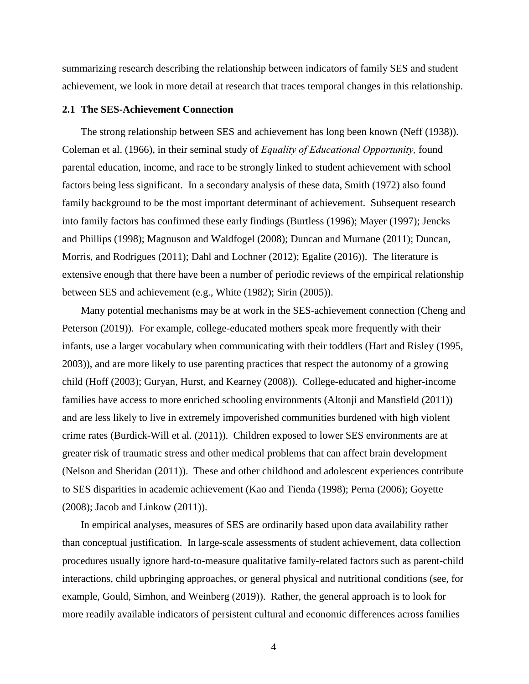summarizing research describing the relationship between indicators of family SES and student achievement, we look in more detail at research that traces temporal changes in this relationship.

### **2.1 The SES-Achievement Connection**

The strong relationship between SES and achievement has long been known (Neff (1938)). Coleman et al. (1966), in their seminal study of *Equality of Educational Opportunity,* found parental education, income, and race to be strongly linked to student achievement with school factors being less significant. In a secondary analysis of these data, Smith (1972) also found family background to be the most important determinant of achievement. Subsequent research into family factors has confirmed these early findings (Burtless (1996); Mayer (1997); Jencks and Phillips (1998); Magnuson and Waldfogel (2008); Duncan and Murnane (2011); Duncan, Morris, and Rodrigues (2011); Dahl and Lochner (2012); Egalite (2016)). The literature is extensive enough that there have been a number of periodic reviews of the empirical relationship between SES and achievement (e.g., White (1982); Sirin (2005)).

Many potential mechanisms may be at work in the SES-achievement connection (Cheng and Peterson (2019)). For example, college-educated mothers speak more frequently with their infants, use a larger vocabulary when communicating with their toddlers (Hart and Risley (1995, 2003)), and are more likely to use parenting practices that respect the autonomy of a growing child (Hoff (2003); Guryan, Hurst, and Kearney (2008)). College-educated and higher-income families have access to more enriched schooling environments (Altonji and Mansfield (2011)) and are less likely to live in extremely impoverished communities burdened with high violent crime rates (Burdick-Will et al. (2011)). Children exposed to lower SES environments are at greater risk of traumatic stress and other medical problems that can affect brain development (Nelson and Sheridan (2011)). These and other childhood and adolescent experiences contribute to SES disparities in academic achievement (Kao and Tienda (1998); Perna (2006); Goyette (2008); Jacob and Linkow (2011)).

In empirical analyses, measures of SES are ordinarily based upon data availability rather than conceptual justification. In large-scale assessments of student achievement, data collection procedures usually ignore hard-to-measure qualitative family-related factors such as parent-child interactions, child upbringing approaches, or general physical and nutritional conditions (see, for example, Gould, Simhon, and Weinberg (2019)). Rather, the general approach is to look for more readily available indicators of persistent cultural and economic differences across families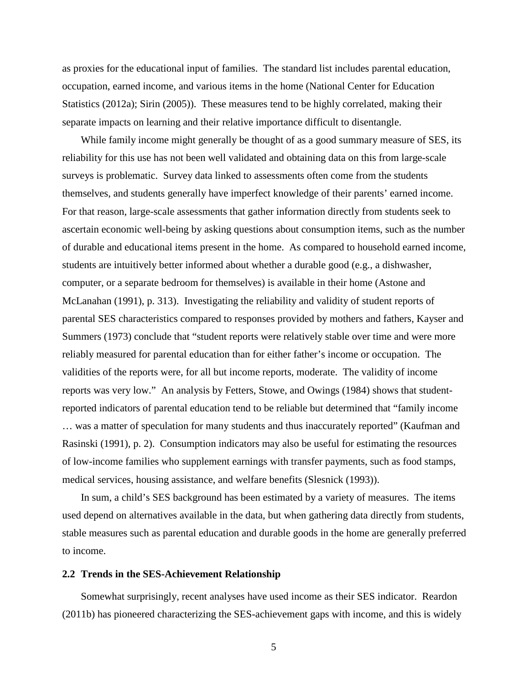as proxies for the educational input of families. The standard list includes parental education, occupation, earned income, and various items in the home (National Center for Education Statistics (2012a); Sirin (2005)). These measures tend to be highly correlated, making their separate impacts on learning and their relative importance difficult to disentangle.

While family income might generally be thought of as a good summary measure of SES, its reliability for this use has not been well validated and obtaining data on this from large-scale surveys is problematic. Survey data linked to assessments often come from the students themselves, and students generally have imperfect knowledge of their parents' earned income. For that reason, large-scale assessments that gather information directly from students seek to ascertain economic well-being by asking questions about consumption items, such as the number of durable and educational items present in the home. As compared to household earned income, students are intuitively better informed about whether a durable good (e.g., a dishwasher, computer, or a separate bedroom for themselves) is available in their home (Astone and McLanahan (1991), p. 313). Investigating the reliability and validity of student reports of parental SES characteristics compared to responses provided by mothers and fathers, Kayser and Summers (1973) conclude that "student reports were relatively stable over time and were more reliably measured for parental education than for either father's income or occupation. The validities of the reports were, for all but income reports, moderate. The validity of income reports was very low." An analysis by Fetters, Stowe, and Owings (1984) shows that studentreported indicators of parental education tend to be reliable but determined that "family income … was a matter of speculation for many students and thus inaccurately reported" (Kaufman and Rasinski (1991), p. 2). Consumption indicators may also be useful for estimating the resources of low-income families who supplement earnings with transfer payments, such as food stamps, medical services, housing assistance, and welfare benefits (Slesnick (1993)).

In sum, a child's SES background has been estimated by a variety of measures. The items used depend on alternatives available in the data, but when gathering data directly from students, stable measures such as parental education and durable goods in the home are generally preferred to income.

### **2.2 Trends in the SES-Achievement Relationship**

Somewhat surprisingly, recent analyses have used income as their SES indicator. Reardon (2011b) has pioneered characterizing the SES-achievement gaps with income, and this is widely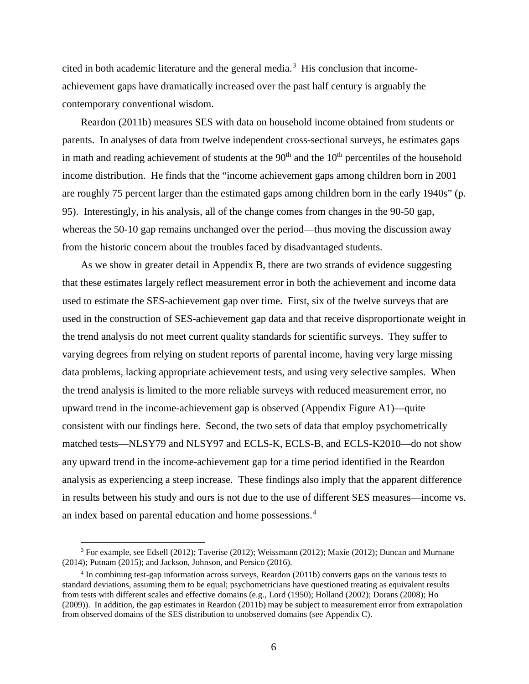cited in both academic literature and the general media.<sup>[3](#page-6-0)</sup> His conclusion that incomeachievement gaps have dramatically increased over the past half century is arguably the contemporary conventional wisdom.

Reardon (2011b) measures SES with data on household income obtained from students or parents. In analyses of data from twelve independent cross-sectional surveys, he estimates gaps in math and reading achievement of students at the  $90<sup>th</sup>$  and the  $10<sup>th</sup>$  percentiles of the household income distribution. He finds that the "income achievement gaps among children born in 2001 are roughly 75 percent larger than the estimated gaps among children born in the early 1940s" (p. 95). Interestingly, in his analysis, all of the change comes from changes in the 90-50 gap, whereas the 50-10 gap remains unchanged over the period—thus moving the discussion away from the historic concern about the troubles faced by disadvantaged students.

As we show in greater detail in Appendix B, there are two strands of evidence suggesting that these estimates largely reflect measurement error in both the achievement and income data used to estimate the SES-achievement gap over time. First, six of the twelve surveys that are used in the construction of SES-achievement gap data and that receive disproportionate weight in the trend analysis do not meet current quality standards for scientific surveys. They suffer to varying degrees from relying on student reports of parental income, having very large missing data problems, lacking appropriate achievement tests, and using very selective samples. When the trend analysis is limited to the more reliable surveys with reduced measurement error, no upward trend in the income-achievement gap is observed (Appendix Figure A1)—quite consistent with our findings here. Second, the two sets of data that employ psychometrically matched tests—NLSY79 and NLSY97 and ECLS-K, ECLS-B, and ECLS-K2010—do not show any upward trend in the income-achievement gap for a time period identified in the Reardon analysis as experiencing a steep increase. These findings also imply that the apparent difference in results between his study and ours is not due to the use of different SES measures—income vs. an index based on parental education and home possessions.<sup>[4](#page-6-1)</sup>

<span id="page-6-0"></span><sup>&</sup>lt;sup>3</sup> For example, see Edsell (2012); Taverise (2012); Weissmann (2012); Maxie (2012); Duncan and Murnane (2014); Putnam (2015); and Jackson, Johnson, and Persico (2016).

<span id="page-6-1"></span><sup>4</sup> In combining test-gap information across surveys, Reardon (2011b) converts gaps on the various tests to standard deviations, assuming them to be equal; psychometricians have questioned treating as equivalent results from tests with different scales and effective domains (e.g., Lord (1950); Holland (2002); Dorans (2008); Ho (2009)). In addition, the gap estimates in Reardon (2011b) may be subject to measurement error from extrapolation from observed domains of the SES distribution to unobserved domains (see Appendix C).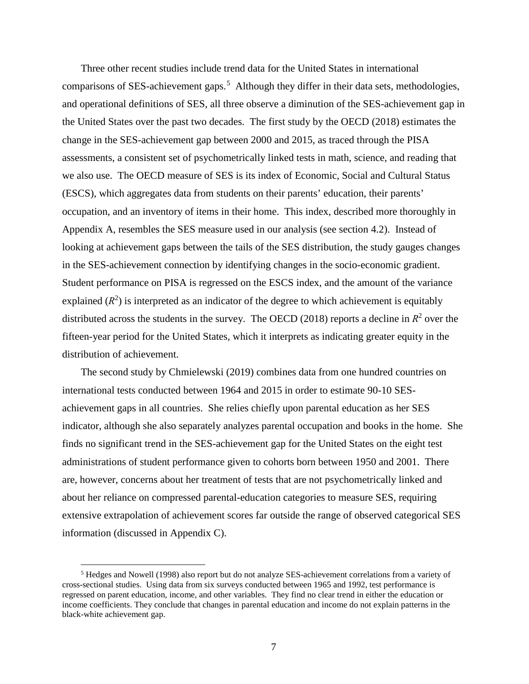Three other recent studies include trend data for the United States in international comparisons of SES-achievement gaps. [5](#page-7-0) Although they differ in their data sets, methodologies, and operational definitions of SES, all three observe a diminution of the SES-achievement gap in the United States over the past two decades. The first study by the OECD (2018) estimates the change in the SES-achievement gap between 2000 and 2015, as traced through the PISA assessments, a consistent set of psychometrically linked tests in math, science, and reading that we also use. The OECD measure of SES is its index of Economic, Social and Cultural Status (ESCS), which aggregates data from students on their parents' education, their parents' occupation, and an inventory of items in their home. This index, described more thoroughly in Appendix A, resembles the SES measure used in our analysis (see section 4.2). Instead of looking at achievement gaps between the tails of the SES distribution, the study gauges changes in the SES-achievement connection by identifying changes in the socio-economic gradient. Student performance on PISA is regressed on the ESCS index, and the amount of the variance explained  $(R^2)$  is interpreted as an indicator of the degree to which achievement is equitably distributed across the students in the survey. The OECD (2018) reports a decline in  $R^2$  over the fifteen-year period for the United States, which it interprets as indicating greater equity in the distribution of achievement.

The second study by Chmielewski (2019) combines data from one hundred countries on international tests conducted between 1964 and 2015 in order to estimate 90-10 SESachievement gaps in all countries. She relies chiefly upon parental education as her SES indicator, although she also separately analyzes parental occupation and books in the home. She finds no significant trend in the SES-achievement gap for the United States on the eight test administrations of student performance given to cohorts born between 1950 and 2001. There are, however, concerns about her treatment of tests that are not psychometrically linked and about her reliance on compressed parental-education categories to measure SES, requiring extensive extrapolation of achievement scores far outside the range of observed categorical SES information (discussed in Appendix C).

<span id="page-7-0"></span><sup>5</sup> Hedges and Nowell (1998) also report but do not analyze SES-achievement correlations from a variety of cross-sectional studies. Using data from six surveys conducted between 1965 and 1992, test performance is regressed on parent education, income, and other variables. They find no clear trend in either the education or income coefficients. They conclude that changes in parental education and income do not explain patterns in the black-white achievement gap.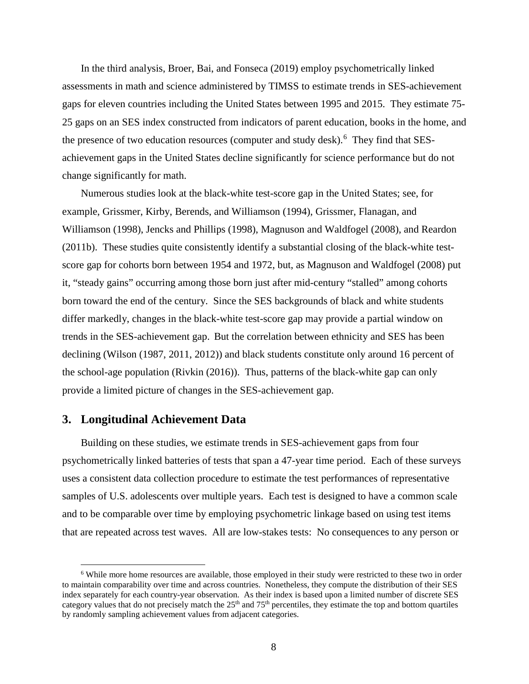In the third analysis, Broer, Bai, and Fonseca (2019) employ psychometrically linked assessments in math and science administered by TIMSS to estimate trends in SES-achievement gaps for eleven countries including the United States between 1995 and 2015. They estimate 75- 25 gaps on an SES index constructed from indicators of parent education, books in the home, and the presence of two education resources (computer and study desk). <sup>[6](#page-8-0)</sup> They find that SESachievement gaps in the United States decline significantly for science performance but do not change significantly for math.

Numerous studies look at the black-white test-score gap in the United States; see, for example, Grissmer, Kirby, Berends, and Williamson (1994), Grissmer, Flanagan, and Williamson (1998), Jencks and Phillips (1998), Magnuson and Waldfogel (2008), and Reardon (2011b). These studies quite consistently identify a substantial closing of the black-white testscore gap for cohorts born between 1954 and 1972, but, as Magnuson and Waldfogel (2008) put it, "steady gains" occurring among those born just after mid-century "stalled" among cohorts born toward the end of the century. Since the SES backgrounds of black and white students differ markedly, changes in the black-white test-score gap may provide a partial window on trends in the SES-achievement gap. But the correlation between ethnicity and SES has been declining (Wilson (1987, 2011, 2012)) and black students constitute only around 16 percent of the school-age population (Rivkin (2016)). Thus, patterns of the black-white gap can only provide a limited picture of changes in the SES-achievement gap.

## **3. Longitudinal Achievement Data**

 $\overline{a}$ 

Building on these studies, we estimate trends in SES-achievement gaps from four psychometrically linked batteries of tests that span a 47-year time period. Each of these surveys uses a consistent data collection procedure to estimate the test performances of representative samples of U.S. adolescents over multiple years. Each test is designed to have a common scale and to be comparable over time by employing psychometric linkage based on using test items that are repeated across test waves. All are low-stakes tests: No consequences to any person or

<span id="page-8-0"></span><sup>&</sup>lt;sup>6</sup> While more home resources are available, those employed in their study were restricted to these two in order to maintain comparability over time and across countries. Nonetheless, they compute the distribution of their SES index separately for each country-year observation. As their index is based upon a limited number of discrete SES category values that do not precisely match the  $25<sup>th</sup>$  and  $75<sup>th</sup>$  percentiles, they estimate the top and bottom quartiles by randomly sampling achievement values from adjacent categories.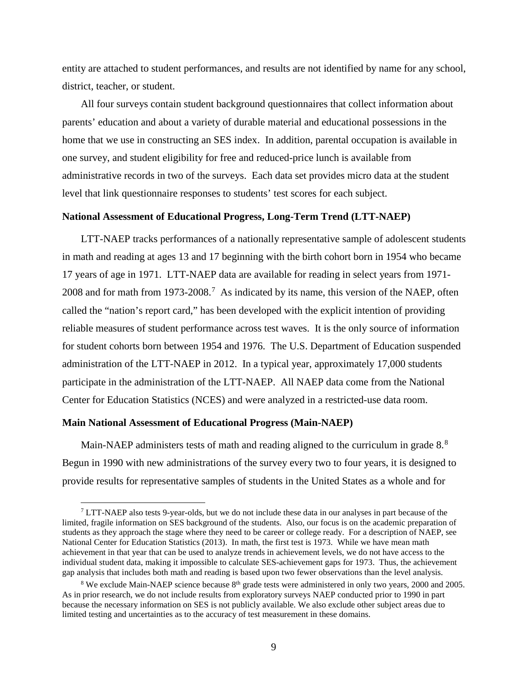entity are attached to student performances, and results are not identified by name for any school, district, teacher, or student.

All four surveys contain student background questionnaires that collect information about parents' education and about a variety of durable material and educational possessions in the home that we use in constructing an SES index. In addition, parental occupation is available in one survey, and student eligibility for free and reduced-price lunch is available from administrative records in two of the surveys. Each data set provides micro data at the student level that link questionnaire responses to students' test scores for each subject.

### **National Assessment of Educational Progress, Long-Term Trend (LTT-NAEP)**

LTT-NAEP tracks performances of a nationally representative sample of adolescent students in math and reading at ages 13 and 17 beginning with the birth cohort born in 1954 who became 17 years of age in 1971. LTT-NAEP data are available for reading in select years from 1971- 2008 and for math from 19[7](#page-9-0)3-2008.<sup>7</sup> As indicated by its name, this version of the NAEP, often called the "nation's report card," has been developed with the explicit intention of providing reliable measures of student performance across test waves. It is the only source of information for student cohorts born between 1954 and 1976. The U.S. Department of Education suspended administration of the LTT-NAEP in 2012. In a typical year, approximately 17,000 students participate in the administration of the LTT-NAEP. All NAEP data come from the National Center for Education Statistics (NCES) and were analyzed in a restricted-use data room.

#### **Main National Assessment of Educational Progress (Main-NAEP)**

 $\overline{a}$ 

Main-NAEP administers tests of math and reading aligned to the curriculum in grade  $8<sup>8</sup>$  $8<sup>8</sup>$ Begun in 1990 with new administrations of the survey every two to four years, it is designed to provide results for representative samples of students in the United States as a whole and for

<span id="page-9-0"></span> $7$  LTT-NAEP also tests 9-year-olds, but we do not include these data in our analyses in part because of the limited, fragile information on SES background of the students. Also, our focus is on the academic preparation of students as they approach the stage where they need to be career or college ready. For a description of NAEP, see National Center for Education Statistics (2013). In math, the first test is 1973. While we have mean math achievement in that year that can be used to analyze trends in achievement levels, we do not have access to the individual student data, making it impossible to calculate SES-achievement gaps for 1973. Thus, the achievement gap analysis that includes both math and reading is based upon two fewer observations than the level analysis.

<span id="page-9-1"></span><sup>&</sup>lt;sup>8</sup> We exclude Main-NAEP science because  $8<sup>th</sup>$  grade tests were administered in only two years, 2000 and 2005. As in prior research, we do not include results from exploratory surveys NAEP conducted prior to 1990 in part because the necessary information on SES is not publicly available. We also exclude other subject areas due to limited testing and uncertainties as to the accuracy of test measurement in these domains.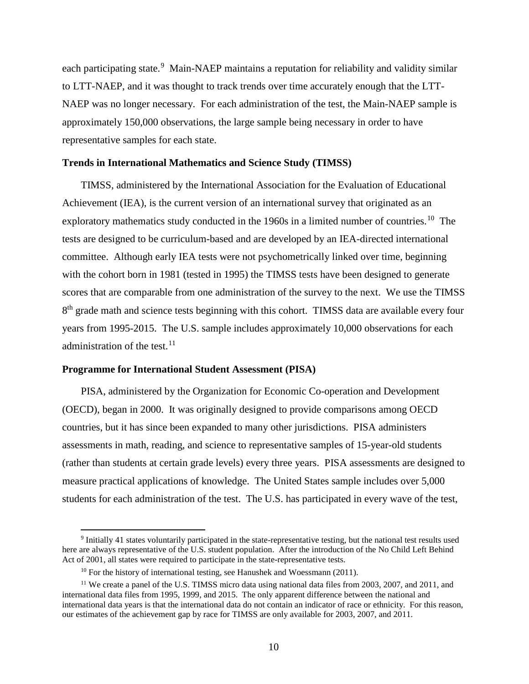each participating state.<sup>[9](#page-10-0)</sup> Main-NAEP maintains a reputation for reliability and validity similar to LTT-NAEP, and it was thought to track trends over time accurately enough that the LTT-NAEP was no longer necessary. For each administration of the test, the Main-NAEP sample is approximately 150,000 observations, the large sample being necessary in order to have representative samples for each state.

### **Trends in International Mathematics and Science Study (TIMSS)**

TIMSS, administered by the International Association for the Evaluation of Educational Achievement (IEA), is the current version of an international survey that originated as an exploratory mathematics study conducted in the 1960s in a limited number of countries.<sup>10</sup> The tests are designed to be curriculum-based and are developed by an IEA-directed international committee. Although early IEA tests were not psychometrically linked over time, beginning with the cohort born in 1981 (tested in 1995) the TIMSS tests have been designed to generate scores that are comparable from one administration of the survey to the next. We use the TIMSS 8<sup>th</sup> grade math and science tests beginning with this cohort. TIMSS data are available every four years from 1995-2015. The U.S. sample includes approximately 10,000 observations for each administration of the test. $11$ 

#### **Programme for International Student Assessment (PISA)**

 $\overline{a}$ 

PISA, administered by the Organization for Economic Co-operation and Development (OECD), began in 2000. It was originally designed to provide comparisons among OECD countries, but it has since been expanded to many other jurisdictions. PISA administers assessments in math, reading, and science to representative samples of 15-year-old students (rather than students at certain grade levels) every three years. PISA assessments are designed to measure practical applications of knowledge. The United States sample includes over 5,000 students for each administration of the test. The U.S. has participated in every wave of the test,

<span id="page-10-0"></span><sup>9</sup> Initially 41 states voluntarily participated in the state-representative testing, but the national test results used here are always representative of the U.S. student population. After the introduction of the No Child Left Behind Act of 2001, all states were required to participate in the state-representative tests.

 $10$  For the history of international testing, see Hanushek and Woessmann (2011).

<span id="page-10-2"></span><span id="page-10-1"></span><sup>&</sup>lt;sup>11</sup> We create a panel of the U.S. TIMSS micro data using national data files from 2003, 2007, and 2011, and international data files from 1995, 1999, and 2015. The only apparent difference between the national and international data years is that the international data do not contain an indicator of race or ethnicity. For this reason, our estimates of the achievement gap by race for TIMSS are only available for 2003, 2007, and 2011.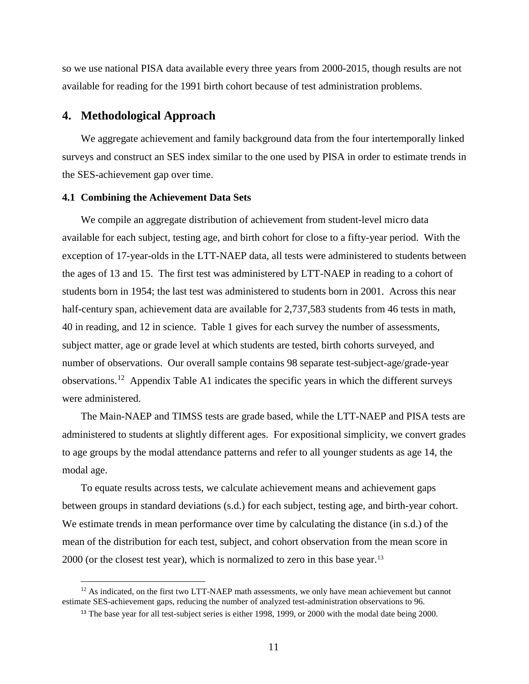so we use national PISA data available every three years from 2000-2015, though results are not available for reading for the 1991 birth cohort because of test administration problems.

## **4. Methodological Approach**

 $\overline{a}$ 

We aggregate achievement and family background data from the four intertemporally linked surveys and construct an SES index similar to the one used by PISA in order to estimate trends in the SES-achievement gap over time.

### **4.1 Combining the Achievement Data Sets**

We compile an aggregate distribution of achievement from student-level micro data available for each subject, testing age, and birth cohort for close to a fifty-year period. With the exception of 17-year-olds in the LTT-NAEP data, all tests were administered to students between the ages of 13 and 15. The first test was administered by LTT-NAEP in reading to a cohort of students born in 1954; the last test was administered to students born in 2001. Across this near half-century span, achievement data are available for 2,737,583 students from 46 tests in math, 40 in reading, and 12 in science. Table 1 gives for each survey the number of assessments, subject matter, age or grade level at which students are tested, birth cohorts surveyed, and number of observations. Our overall sample contains 98 separate test-subject-age/grade-year observations.[12](#page-11-0) Appendix Table A1 indicates the specific years in which the different surveys were administered.

The Main-NAEP and TIMSS tests are grade based, while the LTT-NAEP and PISA tests are administered to students at slightly different ages. For expositional simplicity, we convert grades to age groups by the modal attendance patterns and refer to all younger students as age 14, the modal age.

To equate results across tests, we calculate achievement means and achievement gaps between groups in standard deviations (s.d.) for each subject, testing age, and birth-year cohort. We estimate trends in mean performance over time by calculating the distance (in s.d.) of the mean of the distribution for each test, subject, and cohort observation from the mean score in 2000 (or the closest test year), which is normalized to zero in this base year.<sup>[13](#page-11-1)</sup>

<span id="page-11-1"></span><span id="page-11-0"></span> $12$  As indicated, on the first two LTT-NAEP math assessments, we only have mean achievement but cannot estimate SES-achievement gaps, reducing the number of analyzed test-administration observations to 96.

<sup>&</sup>lt;sup>13</sup> The base year for all test-subject series is either 1998, 1999, or 2000 with the modal date being 2000.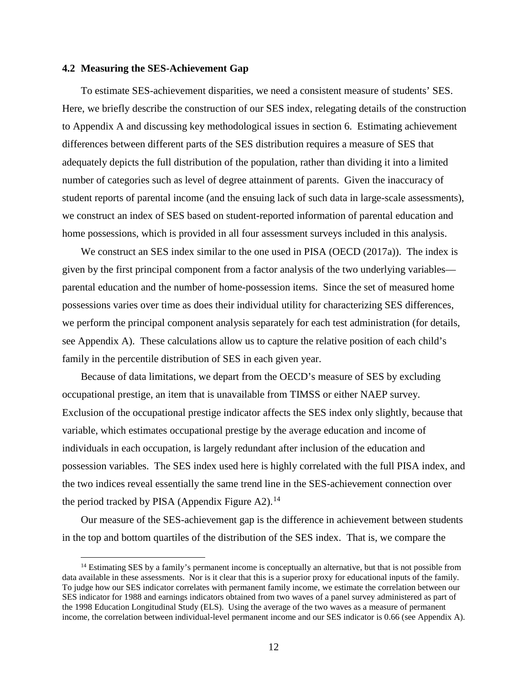#### **4.2 Measuring the SES-Achievement Gap**

 $\overline{a}$ 

To estimate SES-achievement disparities, we need a consistent measure of students' SES. Here, we briefly describe the construction of our SES index, relegating details of the construction to Appendix A and discussing key methodological issues in section 6. Estimating achievement differences between different parts of the SES distribution requires a measure of SES that adequately depicts the full distribution of the population, rather than dividing it into a limited number of categories such as level of degree attainment of parents. Given the inaccuracy of student reports of parental income (and the ensuing lack of such data in large-scale assessments), we construct an index of SES based on student-reported information of parental education and home possessions, which is provided in all four assessment surveys included in this analysis.

We construct an SES index similar to the one used in PISA (OECD (2017a)). The index is given by the first principal component from a factor analysis of the two underlying variables parental education and the number of home-possession items. Since the set of measured home possessions varies over time as does their individual utility for characterizing SES differences, we perform the principal component analysis separately for each test administration (for details, see Appendix A). These calculations allow us to capture the relative position of each child's family in the percentile distribution of SES in each given year.

Because of data limitations, we depart from the OECD's measure of SES by excluding occupational prestige, an item that is unavailable from TIMSS or either NAEP survey. Exclusion of the occupational prestige indicator affects the SES index only slightly, because that variable, which estimates occupational prestige by the average education and income of individuals in each occupation, is largely redundant after inclusion of the education and possession variables. The SES index used here is highly correlated with the full PISA index, and the two indices reveal essentially the same trend line in the SES-achievement connection over the period tracked by PISA (Appendix Figure A2).<sup>[14](#page-12-0)</sup>

Our measure of the SES-achievement gap is the difference in achievement between students in the top and bottom quartiles of the distribution of the SES index. That is, we compare the

<span id="page-12-0"></span> $14$  Estimating SES by a family's permanent income is conceptually an alternative, but that is not possible from data available in these assessments. Nor is it clear that this is a superior proxy for educational inputs of the family. To judge how our SES indicator correlates with permanent family income, we estimate the correlation between our SES indicator for 1988 and earnings indicators obtained from two waves of a panel survey administered as part of the 1998 Education Longitudinal Study (ELS). Using the average of the two waves as a measure of permanent income, the correlation between individual-level permanent income and our SES indicator is 0.66 (see Appendix A).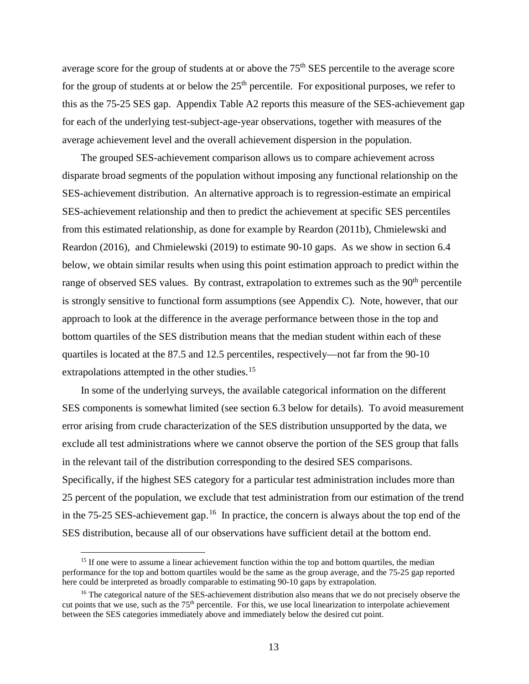average score for the group of students at or above the 75<sup>th</sup> SES percentile to the average score for the group of students at or below the  $25<sup>th</sup>$  percentile. For expositional purposes, we refer to this as the 75-25 SES gap. Appendix Table A2 reports this measure of the SES-achievement gap for each of the underlying test-subject-age-year observations, together with measures of the average achievement level and the overall achievement dispersion in the population.

The grouped SES-achievement comparison allows us to compare achievement across disparate broad segments of the population without imposing any functional relationship on the SES-achievement distribution. An alternative approach is to regression-estimate an empirical SES-achievement relationship and then to predict the achievement at specific SES percentiles from this estimated relationship, as done for example by Reardon (2011b), Chmielewski and Reardon (2016), and Chmielewski (2019) to estimate 90-10 gaps. As we show in section 6.4 below, we obtain similar results when using this point estimation approach to predict within the range of observed SES values. By contrast, extrapolation to extremes such as the 90<sup>th</sup> percentile is strongly sensitive to functional form assumptions (see Appendix C). Note, however, that our approach to look at the difference in the average performance between those in the top and bottom quartiles of the SES distribution means that the median student within each of these quartiles is located at the 87.5 and 12.5 percentiles, respectively—not far from the 90-10 extrapolations attempted in the other studies.<sup>[15](#page-13-0)</sup>

In some of the underlying surveys, the available categorical information on the different SES components is somewhat limited (see section 6.3 below for details). To avoid measurement error arising from crude characterization of the SES distribution unsupported by the data, we exclude all test administrations where we cannot observe the portion of the SES group that falls in the relevant tail of the distribution corresponding to the desired SES comparisons. Specifically, if the highest SES category for a particular test administration includes more than 25 percent of the population, we exclude that test administration from our estimation of the trend in the 75-25 SES-achievement gap.<sup>[16](#page-13-1)</sup> In practice, the concern is always about the top end of the SES distribution, because all of our observations have sufficient detail at the bottom end.

<span id="page-13-0"></span><sup>&</sup>lt;sup>15</sup> If one were to assume a linear achievement function within the top and bottom quartiles, the median performance for the top and bottom quartiles would be the same as the group average, and the 75-25 gap reported here could be interpreted as broadly comparable to estimating 90-10 gaps by extrapolation.

<span id="page-13-1"></span><sup>&</sup>lt;sup>16</sup> The categorical nature of the SES-achievement distribution also means that we do not precisely observe the cut points that we use, such as the  $75<sup>th</sup>$  percentile. For this, we use local linearization to interpolate achievement between the SES categories immediately above and immediately below the desired cut point.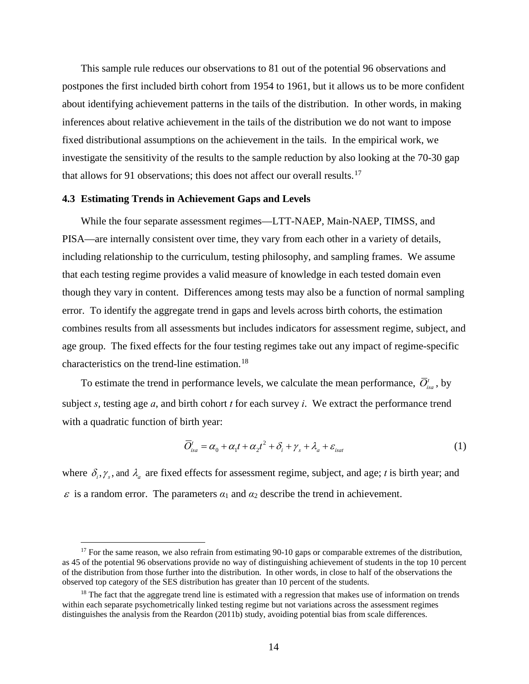This sample rule reduces our observations to 81 out of the potential 96 observations and postpones the first included birth cohort from 1954 to 1961, but it allows us to be more confident about identifying achievement patterns in the tails of the distribution. In other words, in making inferences about relative achievement in the tails of the distribution we do not want to impose fixed distributional assumptions on the achievement in the tails. In the empirical work, we investigate the sensitivity of the results to the sample reduction by also looking at the 70-30 gap that allows for 91 observations; this does not affect our overall results.<sup>17</sup>

#### **4.3 Estimating Trends in Achievement Gaps and Levels**

 $\overline{a}$ 

While the four separate assessment regimes—LTT-NAEP, Main-NAEP, TIMSS, and PISA—are internally consistent over time, they vary from each other in a variety of details, including relationship to the curriculum, testing philosophy, and sampling frames. We assume that each testing regime provides a valid measure of knowledge in each tested domain even though they vary in content. Differences among tests may also be a function of normal sampling error. To identify the aggregate trend in gaps and levels across birth cohorts, the estimation combines results from all assessments but includes indicators for assessment regime, subject, and age group. The fixed effects for the four testing regimes take out any impact of regime-specific characteristics on the trend-line estimation.[18](#page-14-1)

To estimate the trend in performance levels, we calculate the mean performance,  $\overline{O}^i_{\alpha\alpha}$ , by subject *s*, testing age *a*, and birth cohort *t* for each survey *i*. We extract the performance trend with a quadratic function of birth year:

$$
\overline{O}_{isa}^t = \alpha_0 + \alpha_1 t + \alpha_2 t^2 + \delta_i + \gamma_s + \lambda_a + \varepsilon_{isat}
$$
 (1)

where  $\delta_i$ ,  $\gamma_s$ , and  $\lambda_a$  are fixed effects for assessment regime, subject, and age; *t* is birth year; and  $\varepsilon$  is a random error. The parameters  $\alpha_1$  and  $\alpha_2$  describe the trend in achievement.

<span id="page-14-0"></span><sup>&</sup>lt;sup>17</sup> For the same reason, we also refrain from estimating 90-10 gaps or comparable extremes of the distribution, as 45 of the potential 96 observations provide no way of distinguishing achievement of students in the top 10 percent of the distribution from those further into the distribution. In other words, in close to half of the observations the observed top category of the SES distribution has greater than 10 percent of the students.

<span id="page-14-1"></span> $18$  The fact that the aggregate trend line is estimated with a regression that makes use of information on trends within each separate psychometrically linked testing regime but not variations across the assessment regimes distinguishes the analysis from the Reardon (2011b) study, avoiding potential bias from scale differences.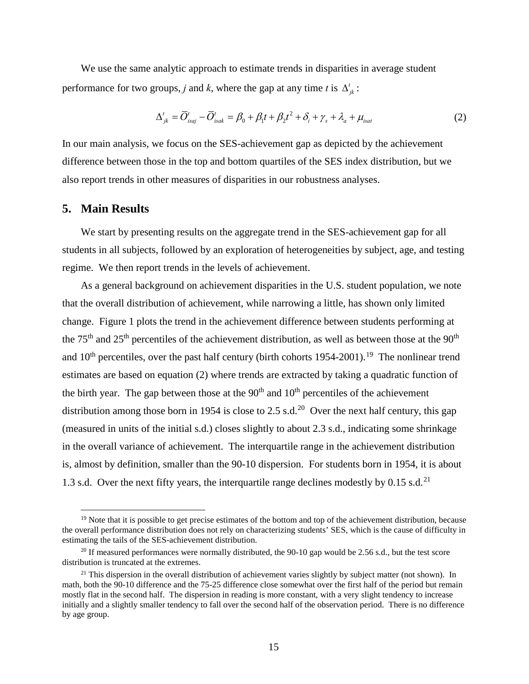We use the same analytic approach to estimate trends in disparities in average student performance for two groups, *j* and *k*, where the gap at any time *t* is  $\Delta^t_{ik}$ :

$$
\Delta_{jk}^{t} = \overline{O}_{isaj}^{t} - \overline{O}_{isak}^{t} = \beta_0 + \beta_1 t + \beta_2 t^2 + \delta_i + \gamma_s + \lambda_a + \mu_{isat}
$$
\n(2)

In our main analysis, we focus on the SES-achievement gap as depicted by the achievement difference between those in the top and bottom quartiles of the SES index distribution, but we also report trends in other measures of disparities in our robustness analyses.

## **5. Main Results**

 $\overline{a}$ 

We start by presenting results on the aggregate trend in the SES-achievement gap for all students in all subjects, followed by an exploration of heterogeneities by subject, age, and testing regime. We then report trends in the levels of achievement.

As a general background on achievement disparities in the U.S. student population, we note that the overall distribution of achievement, while narrowing a little, has shown only limited change. Figure 1 plots the trend in the achievement difference between students performing at the 75<sup>th</sup> and 25<sup>th</sup> percentiles of the achievement distribution, as well as between those at the 90<sup>th</sup> and  $10<sup>th</sup>$  percentiles, over the past half century (birth cohorts [19](#page-15-0)54-2001).<sup>19</sup> The nonlinear trend estimates are based on equation (2) where trends are extracted by taking a quadratic function of the birth year. The gap between those at the  $90<sup>th</sup>$  and  $10<sup>th</sup>$  percentiles of the achievement distribution among those born in 1954 is close to 2.5 s.d.<sup>20</sup> Over the next half century, this gap (measured in units of the initial s.d.) closes slightly to about 2.3 s.d., indicating some shrinkage in the overall variance of achievement. The interquartile range in the achievement distribution is, almost by definition, smaller than the 90-10 dispersion. For students born in 1954, it is about 1.3 s.d. Over the next fifty years, the interquartile range declines modestly by 0.15 s.d.<sup>[21](#page-15-2)</sup>

<span id="page-15-0"></span> $19$  Note that it is possible to get precise estimates of the bottom and top of the achievement distribution, because the overall performance distribution does not rely on characterizing students' SES, which is the cause of difficulty in estimating the tails of the SES-achievement distribution.

<span id="page-15-1"></span><sup>&</sup>lt;sup>20</sup> If measured performances were normally distributed, the 90-10 gap would be 2.56 s.d., but the test score distribution is truncated at the extremes.

<span id="page-15-2"></span> $21$  This dispersion in the overall distribution of achievement varies slightly by subject matter (not shown). In math, both the 90-10 difference and the 75-25 difference close somewhat over the first half of the period but remain mostly flat in the second half. The dispersion in reading is more constant, with a very slight tendency to increase initially and a slightly smaller tendency to fall over the second half of the observation period. There is no difference by age group.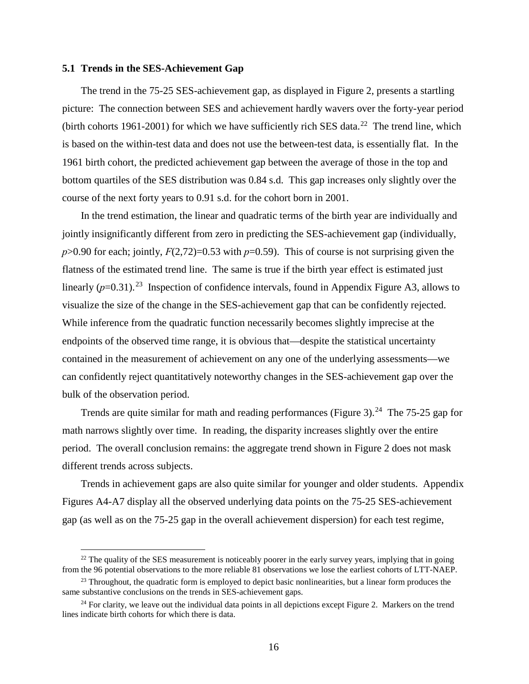#### **5.1 Trends in the SES-Achievement Gap**

 $\overline{a}$ 

The trend in the 75-25 SES-achievement gap, as displayed in Figure 2, presents a startling picture: The connection between SES and achievement hardly wavers over the forty-year period (birth cohorts 1961-2001) for which we have sufficiently rich SES data.<sup>22</sup> The trend line, which is based on the within-test data and does not use the between-test data, is essentially flat. In the 1961 birth cohort, the predicted achievement gap between the average of those in the top and bottom quartiles of the SES distribution was 0.84 s.d. This gap increases only slightly over the course of the next forty years to 0.91 s.d. for the cohort born in 2001.

In the trend estimation, the linear and quadratic terms of the birth year are individually and jointly insignificantly different from zero in predicting the SES-achievement gap (individually,  $p > 0.90$  for each; jointly,  $F(2,72)=0.53$  with  $p=0.59$ ). This of course is not surprising given the flatness of the estimated trend line. The same is true if the birth year effect is estimated just linearly  $(p=0.31)$ <sup>[23](#page-16-1)</sup> Inspection of confidence intervals, found in Appendix Figure A3, allows to visualize the size of the change in the SES-achievement gap that can be confidently rejected. While inference from the quadratic function necessarily becomes slightly imprecise at the endpoints of the observed time range, it is obvious that—despite the statistical uncertainty contained in the measurement of achievement on any one of the underlying assessments—we can confidently reject quantitatively noteworthy changes in the SES-achievement gap over the bulk of the observation period.

Trends are quite similar for math and reading performances (Figure 3).<sup>24</sup> The 75-25 gap for math narrows slightly over time. In reading, the disparity increases slightly over the entire period. The overall conclusion remains: the aggregate trend shown in Figure 2 does not mask different trends across subjects.

Trends in achievement gaps are also quite similar for younger and older students. Appendix Figures A4-A7 display all the observed underlying data points on the 75-25 SES-achievement gap (as well as on the 75-25 gap in the overall achievement dispersion) for each test regime,

<span id="page-16-0"></span> $22$  The quality of the SES measurement is noticeably poorer in the early survey years, implying that in going from the 96 potential observations to the more reliable 81 observations we lose the earliest cohorts of LTT-NAEP.

<span id="page-16-1"></span><sup>&</sup>lt;sup>23</sup> Throughout, the quadratic form is employed to depict basic nonlinearities, but a linear form produces the same substantive conclusions on the trends in SES-achievement gaps.

<span id="page-16-2"></span> $24$  For clarity, we leave out the individual data points in all depictions except Figure 2. Markers on the trend lines indicate birth cohorts for which there is data.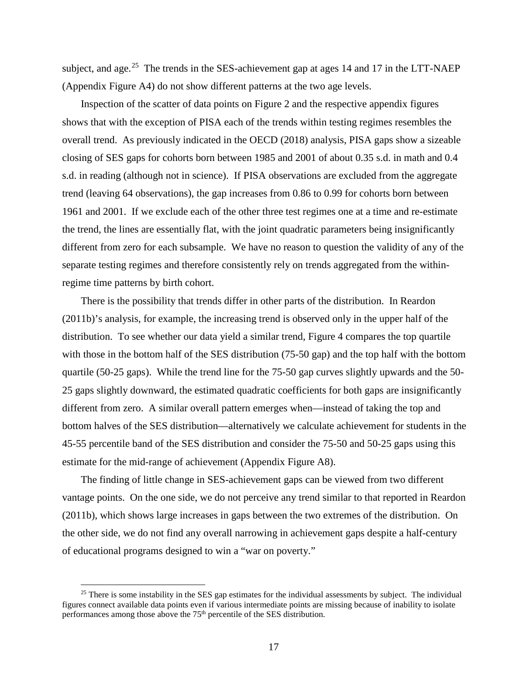subject, and age.<sup>25</sup> The trends in the SES-achievement gap at ages 14 and 17 in the LTT-NAEP (Appendix Figure A4) do not show different patterns at the two age levels.

Inspection of the scatter of data points on Figure 2 and the respective appendix figures shows that with the exception of PISA each of the trends within testing regimes resembles the overall trend. As previously indicated in the OECD (2018) analysis, PISA gaps show a sizeable closing of SES gaps for cohorts born between 1985 and 2001 of about 0.35 s.d. in math and 0.4 s.d. in reading (although not in science). If PISA observations are excluded from the aggregate trend (leaving 64 observations), the gap increases from 0.86 to 0.99 for cohorts born between 1961 and 2001. If we exclude each of the other three test regimes one at a time and re-estimate the trend, the lines are essentially flat, with the joint quadratic parameters being insignificantly different from zero for each subsample. We have no reason to question the validity of any of the separate testing regimes and therefore consistently rely on trends aggregated from the withinregime time patterns by birth cohort.

There is the possibility that trends differ in other parts of the distribution. In Reardon (2011b)'s analysis, for example, the increasing trend is observed only in the upper half of the distribution. To see whether our data yield a similar trend, Figure 4 compares the top quartile with those in the bottom half of the SES distribution (75-50 gap) and the top half with the bottom quartile (50-25 gaps). While the trend line for the 75-50 gap curves slightly upwards and the 50- 25 gaps slightly downward, the estimated quadratic coefficients for both gaps are insignificantly different from zero. A similar overall pattern emerges when—instead of taking the top and bottom halves of the SES distribution—alternatively we calculate achievement for students in the 45-55 percentile band of the SES distribution and consider the 75-50 and 50-25 gaps using this estimate for the mid-range of achievement (Appendix Figure A8).

The finding of little change in SES-achievement gaps can be viewed from two different vantage points. On the one side, we do not perceive any trend similar to that reported in Reardon (2011b), which shows large increases in gaps between the two extremes of the distribution. On the other side, we do not find any overall narrowing in achievement gaps despite a half-century of educational programs designed to win a "war on poverty."

<span id="page-17-0"></span> $25$  There is some instability in the SES gap estimates for the individual assessments by subject. The individual figures connect available data points even if various intermediate points are missing because of inability to isolate performances among those above the 75<sup>th</sup> percentile of the SES distribution.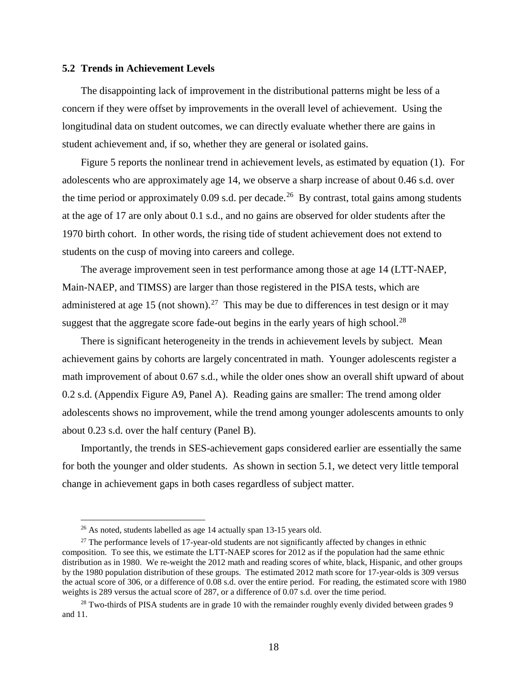#### **5.2 Trends in Achievement Levels**

The disappointing lack of improvement in the distributional patterns might be less of a concern if they were offset by improvements in the overall level of achievement. Using the longitudinal data on student outcomes, we can directly evaluate whether there are gains in student achievement and, if so, whether they are general or isolated gains.

Figure 5 reports the nonlinear trend in achievement levels, as estimated by equation (1). For adolescents who are approximately age 14, we observe a sharp increase of about 0.46 s.d. over the time period or approximately 0.09 s.d. per decade.<sup>26</sup> By contrast, total gains among students at the age of 17 are only about 0.1 s.d., and no gains are observed for older students after the 1970 birth cohort. In other words, the rising tide of student achievement does not extend to students on the cusp of moving into careers and college.

The average improvement seen in test performance among those at age 14 (LTT-NAEP, Main-NAEP, and TIMSS) are larger than those registered in the PISA tests, which are administered at age 15 (not shown).<sup>27</sup> This may be due to differences in test design or it may suggest that the aggregate score fade-out begins in the early years of high school.<sup>[28](#page-18-2)</sup>

There is significant heterogeneity in the trends in achievement levels by subject. Mean achievement gains by cohorts are largely concentrated in math. Younger adolescents register a math improvement of about 0.67 s.d., while the older ones show an overall shift upward of about 0.2 s.d. (Appendix Figure A9, Panel A). Reading gains are smaller: The trend among older adolescents shows no improvement, while the trend among younger adolescents amounts to only about 0.23 s.d. over the half century (Panel B).

Importantly, the trends in SES-achievement gaps considered earlier are essentially the same for both the younger and older students. As shown in section 5.1, we detect very little temporal change in achievement gaps in both cases regardless of subject matter.

 $26$  As noted, students labelled as age 14 actually span 13-15 years old.

<span id="page-18-1"></span><span id="page-18-0"></span> $27$  The performance levels of 17-year-old students are not significantly affected by changes in ethnic composition. To see this, we estimate the LTT-NAEP scores for 2012 as if the population had the same ethnic distribution as in 1980. We re-weight the 2012 math and reading scores of white, black, Hispanic, and other groups by the 1980 population distribution of these groups. The estimated 2012 math score for 17-year-olds is 309 versus the actual score of 306, or a difference of 0.08 s.d. over the entire period. For reading, the estimated score with 1980 weights is 289 versus the actual score of 287, or a difference of 0.07 s.d. over the time period.

<span id="page-18-2"></span> $28$  Two-thirds of PISA students are in grade 10 with the remainder roughly evenly divided between grades 9 and 11.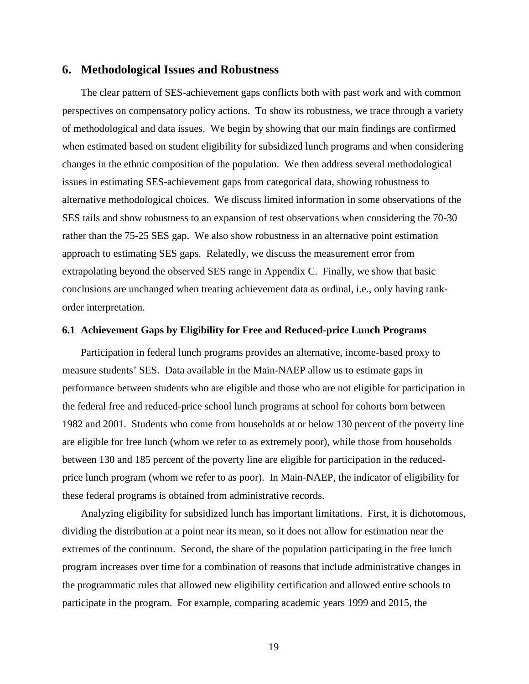## **6. Methodological Issues and Robustness**

The clear pattern of SES-achievement gaps conflicts both with past work and with common perspectives on compensatory policy actions. To show its robustness, we trace through a variety of methodological and data issues. We begin by showing that our main findings are confirmed when estimated based on student eligibility for subsidized lunch programs and when considering changes in the ethnic composition of the population. We then address several methodological issues in estimating SES-achievement gaps from categorical data, showing robustness to alternative methodological choices. We discuss limited information in some observations of the SES tails and show robustness to an expansion of test observations when considering the 70-30 rather than the 75-25 SES gap. We also show robustness in an alternative point estimation approach to estimating SES gaps. Relatedly, we discuss the measurement error from extrapolating beyond the observed SES range in Appendix C. Finally, we show that basic conclusions are unchanged when treating achievement data as ordinal, i.e., only having rankorder interpretation.

### **6.1 Achievement Gaps by Eligibility for Free and Reduced-price Lunch Programs**

Participation in federal lunch programs provides an alternative, income-based proxy to measure students' SES. Data available in the Main-NAEP allow us to estimate gaps in performance between students who are eligible and those who are not eligible for participation in the federal free and reduced-price school lunch programs at school for cohorts born between 1982 and 2001. Students who come from households at or below 130 percent of the poverty line are eligible for free lunch (whom we refer to as extremely poor), while those from households between 130 and 185 percent of the poverty line are eligible for participation in the reducedprice lunch program (whom we refer to as poor). In Main-NAEP, the indicator of eligibility for these federal programs is obtained from administrative records.

Analyzing eligibility for subsidized lunch has important limitations. First, it is dichotomous, dividing the distribution at a point near its mean, so it does not allow for estimation near the extremes of the continuum. Second, the share of the population participating in the free lunch program increases over time for a combination of reasons that include administrative changes in the programmatic rules that allowed new eligibility certification and allowed entire schools to participate in the program. For example, comparing academic years 1999 and 2015, the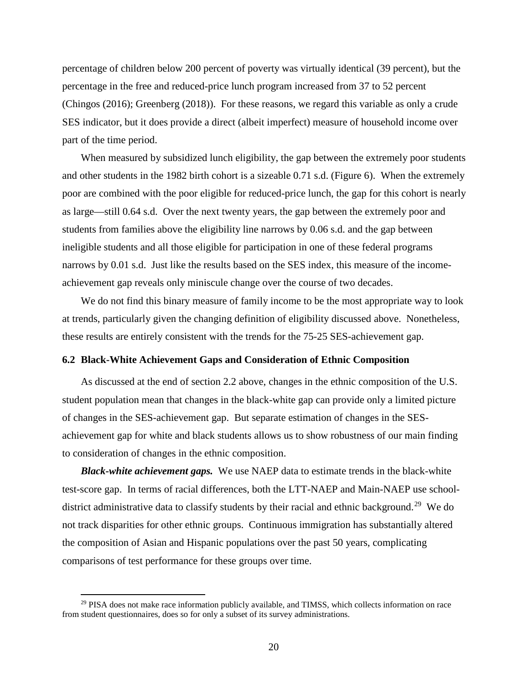percentage of children below 200 percent of poverty was virtually identical (39 percent), but the percentage in the free and reduced-price lunch program increased from 37 to 52 percent (Chingos (2016); Greenberg (2018)). For these reasons, we regard this variable as only a crude SES indicator, but it does provide a direct (albeit imperfect) measure of household income over part of the time period.

When measured by subsidized lunch eligibility, the gap between the extremely poor students and other students in the 1982 birth cohort is a sizeable 0.71 s.d. (Figure 6). When the extremely poor are combined with the poor eligible for reduced-price lunch, the gap for this cohort is nearly as large—still 0.64 s.d. Over the next twenty years, the gap between the extremely poor and students from families above the eligibility line narrows by 0.06 s.d. and the gap between ineligible students and all those eligible for participation in one of these federal programs narrows by 0.01 s.d. Just like the results based on the SES index, this measure of the incomeachievement gap reveals only miniscule change over the course of two decades.

We do not find this binary measure of family income to be the most appropriate way to look at trends, particularly given the changing definition of eligibility discussed above. Nonetheless, these results are entirely consistent with the trends for the 75-25 SES-achievement gap.

#### **6.2 Black-White Achievement Gaps and Consideration of Ethnic Composition**

As discussed at the end of section 2.2 above, changes in the ethnic composition of the U.S. student population mean that changes in the black-white gap can provide only a limited picture of changes in the SES-achievement gap. But separate estimation of changes in the SESachievement gap for white and black students allows us to show robustness of our main finding to consideration of changes in the ethnic composition.

*Black-white achievement gaps.* We use NAEP data to estimate trends in the black-white test-score gap. In terms of racial differences, both the LTT-NAEP and Main-NAEP use schooldistrict administrative data to classify students by their racial and ethnic background.<sup>29</sup> We do not track disparities for other ethnic groups. Continuous immigration has substantially altered the composition of Asian and Hispanic populations over the past 50 years, complicating comparisons of test performance for these groups over time.

<span id="page-20-0"></span><sup>&</sup>lt;sup>29</sup> PISA does not make race information publicly available, and TIMSS, which collects information on race from student questionnaires, does so for only a subset of its survey administrations.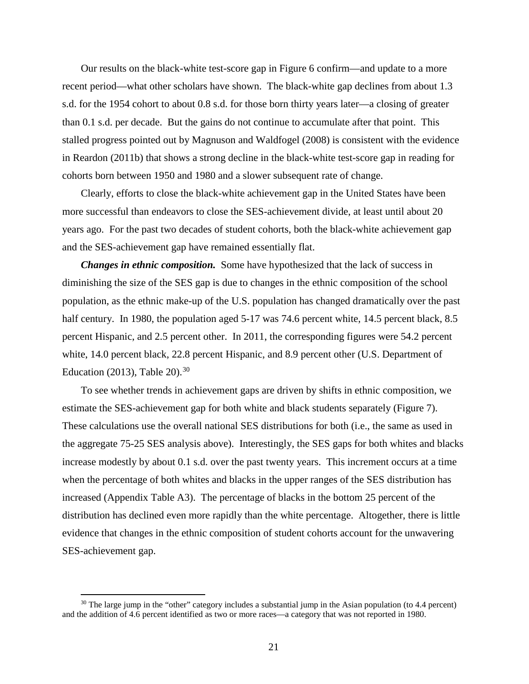Our results on the black-white test-score gap in Figure 6 confirm—and update to a more recent period—what other scholars have shown. The black-white gap declines from about 1.3 s.d. for the 1954 cohort to about 0.8 s.d. for those born thirty years later—a closing of greater than 0.1 s.d. per decade. But the gains do not continue to accumulate after that point. This stalled progress pointed out by Magnuson and Waldfogel (2008) is consistent with the evidence in Reardon (2011b) that shows a strong decline in the black-white test-score gap in reading for cohorts born between 1950 and 1980 and a slower subsequent rate of change.

Clearly, efforts to close the black-white achievement gap in the United States have been more successful than endeavors to close the SES-achievement divide, at least until about 20 years ago. For the past two decades of student cohorts, both the black-white achievement gap and the SES-achievement gap have remained essentially flat.

*Changes in ethnic composition.* Some have hypothesized that the lack of success in diminishing the size of the SES gap is due to changes in the ethnic composition of the school population, as the ethnic make-up of the U.S. population has changed dramatically over the past half century. In 1980, the population aged 5-17 was 74.6 percent white, 14.5 percent black, 8.5 percent Hispanic, and 2.5 percent other. In 2011, the corresponding figures were 54.2 percent white, 14.0 percent black, 22.8 percent Hispanic, and 8.9 percent other (U.S. Department of Education (2013), Table 20). $30$ 

To see whether trends in achievement gaps are driven by shifts in ethnic composition, we estimate the SES-achievement gap for both white and black students separately (Figure 7). These calculations use the overall national SES distributions for both (i.e., the same as used in the aggregate 75-25 SES analysis above). Interestingly, the SES gaps for both whites and blacks increase modestly by about 0.1 s.d. over the past twenty years. This increment occurs at a time when the percentage of both whites and blacks in the upper ranges of the SES distribution has increased (Appendix Table A3). The percentage of blacks in the bottom 25 percent of the distribution has declined even more rapidly than the white percentage. Altogether, there is little evidence that changes in the ethnic composition of student cohorts account for the unwavering SES-achievement gap.

<span id="page-21-0"></span> $30$  The large jump in the "other" category includes a substantial jump in the Asian population (to 4.4 percent) and the addition of 4.6 percent identified as two or more races—a category that was not reported in 1980.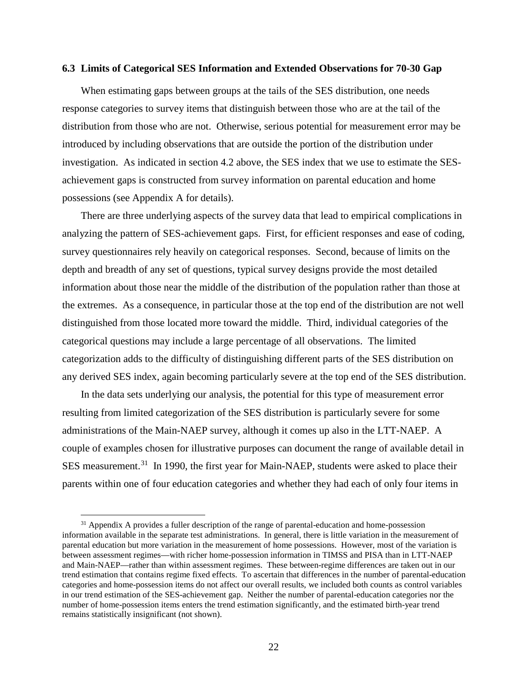#### **6.3 Limits of Categorical SES Information and Extended Observations for 70-30 Gap**

When estimating gaps between groups at the tails of the SES distribution, one needs response categories to survey items that distinguish between those who are at the tail of the distribution from those who are not. Otherwise, serious potential for measurement error may be introduced by including observations that are outside the portion of the distribution under investigation. As indicated in section 4.2 above, the SES index that we use to estimate the SESachievement gaps is constructed from survey information on parental education and home possessions (see Appendix A for details).

There are three underlying aspects of the survey data that lead to empirical complications in analyzing the pattern of SES-achievement gaps. First, for efficient responses and ease of coding, survey questionnaires rely heavily on categorical responses. Second, because of limits on the depth and breadth of any set of questions, typical survey designs provide the most detailed information about those near the middle of the distribution of the population rather than those at the extremes. As a consequence, in particular those at the top end of the distribution are not well distinguished from those located more toward the middle. Third, individual categories of the categorical questions may include a large percentage of all observations. The limited categorization adds to the difficulty of distinguishing different parts of the SES distribution on any derived SES index, again becoming particularly severe at the top end of the SES distribution.

In the data sets underlying our analysis, the potential for this type of measurement error resulting from limited categorization of the SES distribution is particularly severe for some administrations of the Main-NAEP survey, although it comes up also in the LTT-NAEP. A couple of examples chosen for illustrative purposes can document the range of available detail in SES measurement.<sup>[31](#page-22-0)</sup> In 1990, the first year for Main-NAEP, students were asked to place their parents within one of four education categories and whether they had each of only four items in

<span id="page-22-0"></span><sup>&</sup>lt;sup>31</sup> Appendix A provides a fuller description of the range of parental-education and home-possession information available in the separate test administrations. In general, there is little variation in the measurement of parental education but more variation in the measurement of home possessions. However, most of the variation is between assessment regimes—with richer home-possession information in TIMSS and PISA than in LTT-NAEP and Main-NAEP—rather than within assessment regimes. These between-regime differences are taken out in our trend estimation that contains regime fixed effects. To ascertain that differences in the number of parental-education categories and home-possession items do not affect our overall results, we included both counts as control variables in our trend estimation of the SES-achievement gap. Neither the number of parental-education categories nor the number of home-possession items enters the trend estimation significantly, and the estimated birth-year trend remains statistically insignificant (not shown).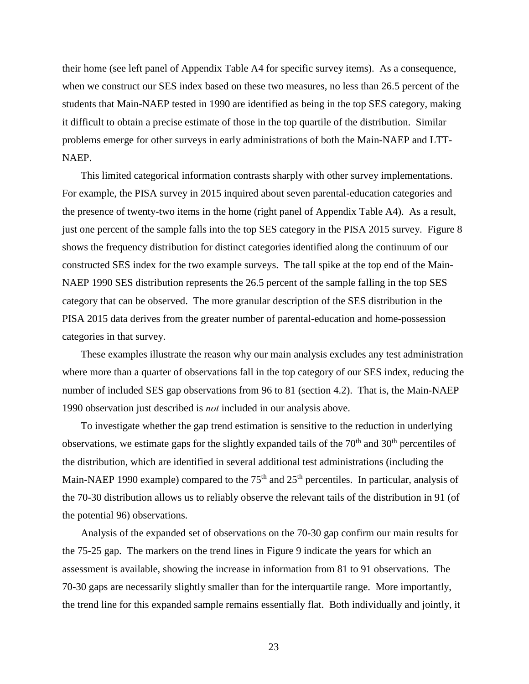their home (see left panel of Appendix Table A4 for specific survey items). As a consequence, when we construct our SES index based on these two measures, no less than 26.5 percent of the students that Main-NAEP tested in 1990 are identified as being in the top SES category, making it difficult to obtain a precise estimate of those in the top quartile of the distribution. Similar problems emerge for other surveys in early administrations of both the Main-NAEP and LTT-NAEP.

This limited categorical information contrasts sharply with other survey implementations. For example, the PISA survey in 2015 inquired about seven parental-education categories and the presence of twenty-two items in the home (right panel of Appendix Table A4). As a result, just one percent of the sample falls into the top SES category in the PISA 2015 survey. Figure 8 shows the frequency distribution for distinct categories identified along the continuum of our constructed SES index for the two example surveys. The tall spike at the top end of the Main-NAEP 1990 SES distribution represents the 26.5 percent of the sample falling in the top SES category that can be observed. The more granular description of the SES distribution in the PISA 2015 data derives from the greater number of parental-education and home-possession categories in that survey.

These examples illustrate the reason why our main analysis excludes any test administration where more than a quarter of observations fall in the top category of our SES index, reducing the number of included SES gap observations from 96 to 81 (section 4.2). That is, the Main-NAEP 1990 observation just described is *not* included in our analysis above.

To investigate whether the gap trend estimation is sensitive to the reduction in underlying observations, we estimate gaps for the slightly expanded tails of the  $70<sup>th</sup>$  and  $30<sup>th</sup>$  percentiles of the distribution, which are identified in several additional test administrations (including the Main-NAEP 1990 example) compared to the 75<sup>th</sup> and 25<sup>th</sup> percentiles. In particular, analysis of the 70-30 distribution allows us to reliably observe the relevant tails of the distribution in 91 (of the potential 96) observations.

Analysis of the expanded set of observations on the 70-30 gap confirm our main results for the 75-25 gap. The markers on the trend lines in Figure 9 indicate the years for which an assessment is available, showing the increase in information from 81 to 91 observations. The 70-30 gaps are necessarily slightly smaller than for the interquartile range. More importantly, the trend line for this expanded sample remains essentially flat. Both individually and jointly, it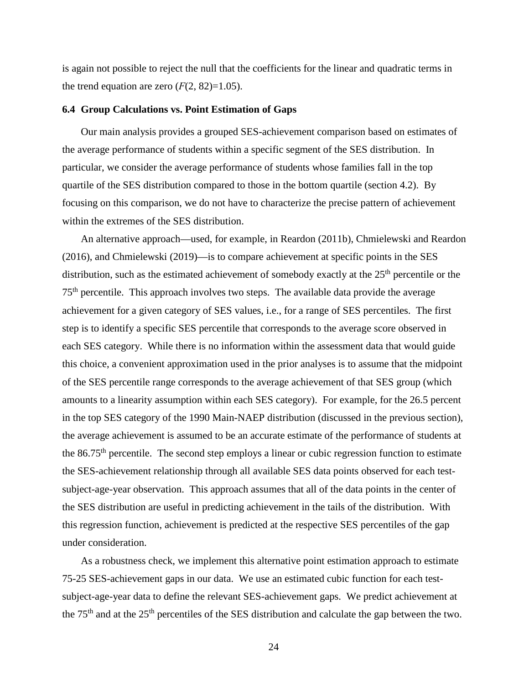is again not possible to reject the null that the coefficients for the linear and quadratic terms in the trend equation are zero  $(F(2, 82)=1.05)$ .

#### **6.4 Group Calculations vs. Point Estimation of Gaps**

Our main analysis provides a grouped SES-achievement comparison based on estimates of the average performance of students within a specific segment of the SES distribution. In particular, we consider the average performance of students whose families fall in the top quartile of the SES distribution compared to those in the bottom quartile (section 4.2). By focusing on this comparison, we do not have to characterize the precise pattern of achievement within the extremes of the SES distribution.

An alternative approach—used, for example, in Reardon (2011b), Chmielewski and Reardon (2016), and Chmielewski (2019)—is to compare achievement at specific points in the SES distribution, such as the estimated achievement of somebody exactly at the  $25<sup>th</sup>$  percentile or the  $75<sup>th</sup>$  percentile. This approach involves two steps. The available data provide the average achievement for a given category of SES values, i.e., for a range of SES percentiles. The first step is to identify a specific SES percentile that corresponds to the average score observed in each SES category. While there is no information within the assessment data that would guide this choice, a convenient approximation used in the prior analyses is to assume that the midpoint of the SES percentile range corresponds to the average achievement of that SES group (which amounts to a linearity assumption within each SES category). For example, for the 26.5 percent in the top SES category of the 1990 Main-NAEP distribution (discussed in the previous section), the average achievement is assumed to be an accurate estimate of the performance of students at the  $86.75<sup>th</sup>$  percentile. The second step employs a linear or cubic regression function to estimate the SES-achievement relationship through all available SES data points observed for each testsubject-age-year observation. This approach assumes that all of the data points in the center of the SES distribution are useful in predicting achievement in the tails of the distribution. With this regression function, achievement is predicted at the respective SES percentiles of the gap under consideration.

As a robustness check, we implement this alternative point estimation approach to estimate 75-25 SES-achievement gaps in our data. We use an estimated cubic function for each testsubject-age-year data to define the relevant SES-achievement gaps. We predict achievement at the 75<sup>th</sup> and at the 25<sup>th</sup> percentiles of the SES distribution and calculate the gap between the two.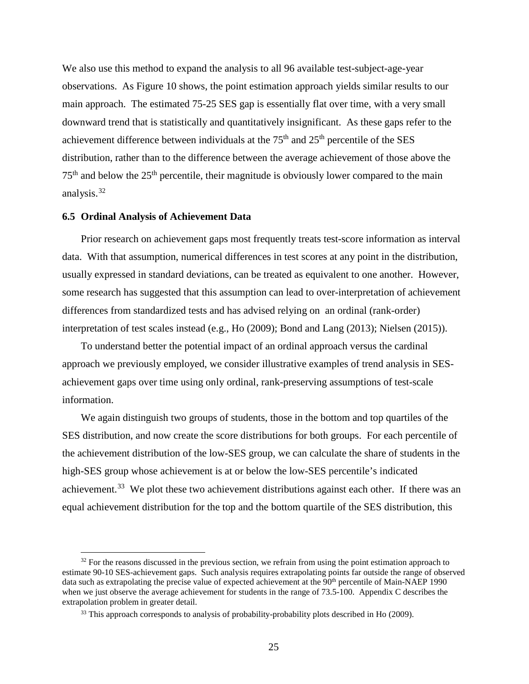We also use this method to expand the analysis to all 96 available test-subject-age-year observations. As Figure 10 shows, the point estimation approach yields similar results to our main approach. The estimated 75-25 SES gap is essentially flat over time, with a very small downward trend that is statistically and quantitatively insignificant. As these gaps refer to the achievement difference between individuals at the  $75<sup>th</sup>$  and  $25<sup>th</sup>$  percentile of the SES distribution, rather than to the difference between the average achievement of those above the  $75<sup>th</sup>$  and below the  $25<sup>th</sup>$  percentile, their magnitude is obviously lower compared to the main analysis.[32](#page-25-0)

#### **6.5 Ordinal Analysis of Achievement Data**

 $\overline{a}$ 

Prior research on achievement gaps most frequently treats test-score information as interval data. With that assumption, numerical differences in test scores at any point in the distribution, usually expressed in standard deviations, can be treated as equivalent to one another. However, some research has suggested that this assumption can lead to over-interpretation of achievement differences from standardized tests and has advised relying on an ordinal (rank-order) interpretation of test scales instead (e.g., Ho (2009); Bond and Lang (2013); Nielsen (2015)).

To understand better the potential impact of an ordinal approach versus the cardinal approach we previously employed, we consider illustrative examples of trend analysis in SESachievement gaps over time using only ordinal, rank-preserving assumptions of test-scale information.

We again distinguish two groups of students, those in the bottom and top quartiles of the SES distribution, and now create the score distributions for both groups. For each percentile of the achievement distribution of the low-SES group, we can calculate the share of students in the high-SES group whose achievement is at or below the low-SES percentile's indicated achievement.<sup>[33](#page-25-1)</sup> We plot these two achievement distributions against each other. If there was an equal achievement distribution for the top and the bottom quartile of the SES distribution, this

<span id="page-25-0"></span> $32$  For the reasons discussed in the previous section, we refrain from using the point estimation approach to estimate 90-10 SES-achievement gaps. Such analysis requires extrapolating points far outside the range of observed data such as extrapolating the precise value of expected achievement at the 90<sup>th</sup> percentile of Main-NAEP 1990 when we just observe the average achievement for students in the range of 73.5-100. Appendix C describes the extrapolation problem in greater detail.

<span id="page-25-1"></span><sup>&</sup>lt;sup>33</sup> This approach corresponds to analysis of probability-probability plots described in Ho (2009).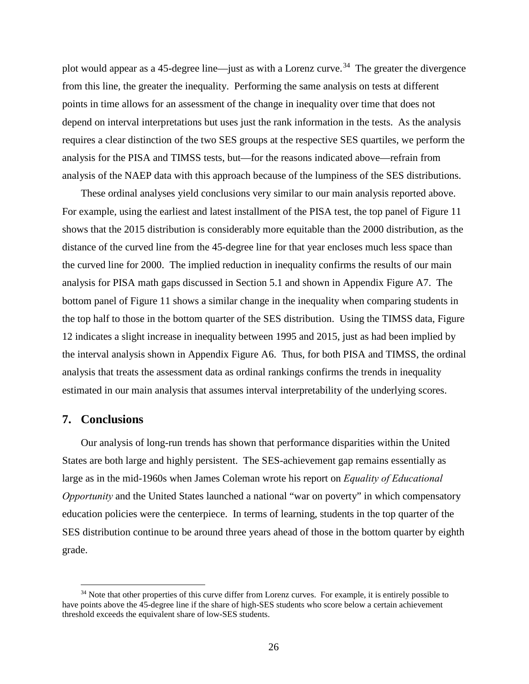plot would appear as a 45-degree line—just as with a Lorenz curve.<sup>[34](#page-26-0)</sup> The greater the divergence from this line, the greater the inequality. Performing the same analysis on tests at different points in time allows for an assessment of the change in inequality over time that does not depend on interval interpretations but uses just the rank information in the tests. As the analysis requires a clear distinction of the two SES groups at the respective SES quartiles, we perform the analysis for the PISA and TIMSS tests, but—for the reasons indicated above—refrain from analysis of the NAEP data with this approach because of the lumpiness of the SES distributions.

These ordinal analyses yield conclusions very similar to our main analysis reported above. For example, using the earliest and latest installment of the PISA test, the top panel of Figure 11 shows that the 2015 distribution is considerably more equitable than the 2000 distribution, as the distance of the curved line from the 45-degree line for that year encloses much less space than the curved line for 2000. The implied reduction in inequality confirms the results of our main analysis for PISA math gaps discussed in Section 5.1 and shown in Appendix Figure A7. The bottom panel of Figure 11 shows a similar change in the inequality when comparing students in the top half to those in the bottom quarter of the SES distribution. Using the TIMSS data, Figure 12 indicates a slight increase in inequality between 1995 and 2015, just as had been implied by the interval analysis shown in Appendix Figure A6. Thus, for both PISA and TIMSS, the ordinal analysis that treats the assessment data as ordinal rankings confirms the trends in inequality estimated in our main analysis that assumes interval interpretability of the underlying scores.

## **7. Conclusions**

 $\overline{a}$ 

Our analysis of long-run trends has shown that performance disparities within the United States are both large and highly persistent. The SES-achievement gap remains essentially as large as in the mid-1960s when James Coleman wrote his report on *Equality of Educational Opportunity* and the United States launched a national "war on poverty" in which compensatory education policies were the centerpiece. In terms of learning, students in the top quarter of the SES distribution continue to be around three years ahead of those in the bottom quarter by eighth grade.

<span id="page-26-0"></span><sup>&</sup>lt;sup>34</sup> Note that other properties of this curve differ from Lorenz curves. For example, it is entirely possible to have points above the 45-degree line if the share of high-SES students who score below a certain achievement threshold exceeds the equivalent share of low-SES students.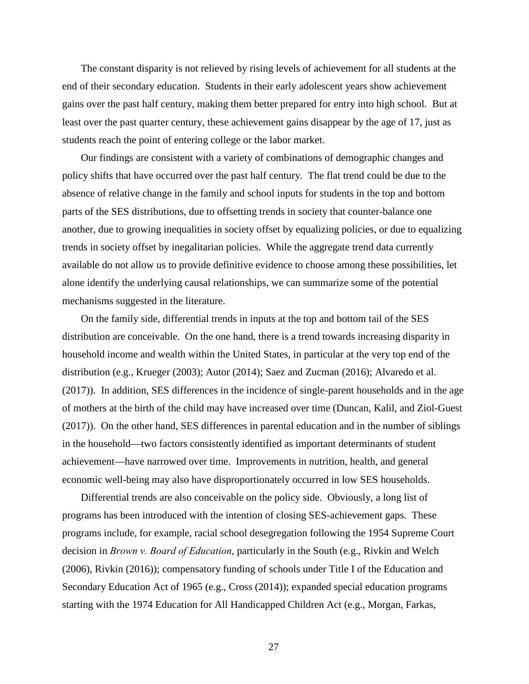The constant disparity is not relieved by rising levels of achievement for all students at the end of their secondary education. Students in their early adolescent years show achievement gains over the past half century, making them better prepared for entry into high school. But at least over the past quarter century, these achievement gains disappear by the age of 17, just as students reach the point of entering college or the labor market.

Our findings are consistent with a variety of combinations of demographic changes and policy shifts that have occurred over the past half century. The flat trend could be due to the absence of relative change in the family and school inputs for students in the top and bottom parts of the SES distributions, due to offsetting trends in society that counter-balance one another, due to growing inequalities in society offset by equalizing policies, or due to equalizing trends in society offset by inegalitarian policies. While the aggregate trend data currently available do not allow us to provide definitive evidence to choose among these possibilities, let alone identify the underlying causal relationships, we can summarize some of the potential mechanisms suggested in the literature.

On the family side, differential trends in inputs at the top and bottom tail of the SES distribution are conceivable. On the one hand, there is a trend towards increasing disparity in household income and wealth within the United States, in particular at the very top end of the distribution (e.g., Krueger (2003); Autor (2014); Saez and Zucman (2016); Alvaredo et al. (2017)). In addition, SES differences in the incidence of single-parent households and in the age of mothers at the birth of the child may have increased over time (Duncan, Kalil, and Ziol-Guest (2017)). On the other hand, SES differences in parental education and in the number of siblings in the household—two factors consistently identified as important determinants of student achievement—have narrowed over time. Improvements in nutrition, health, and general economic well-being may also have disproportionately occurred in low SES households.

Differential trends are also conceivable on the policy side. Obviously, a long list of programs has been introduced with the intention of closing SES-achievement gaps. These programs include, for example, racial school desegregation following the 1954 Supreme Court decision in *Brown v. Board of Education*, particularly in the South (e.g., Rivkin and Welch (2006), Rivkin (2016)); compensatory funding of schools under Title I of the Education and Secondary Education Act of 1965 (e.g., Cross (2014)); expanded special education programs starting with the 1974 Education for All Handicapped Children Act (e.g., Morgan, Farkas,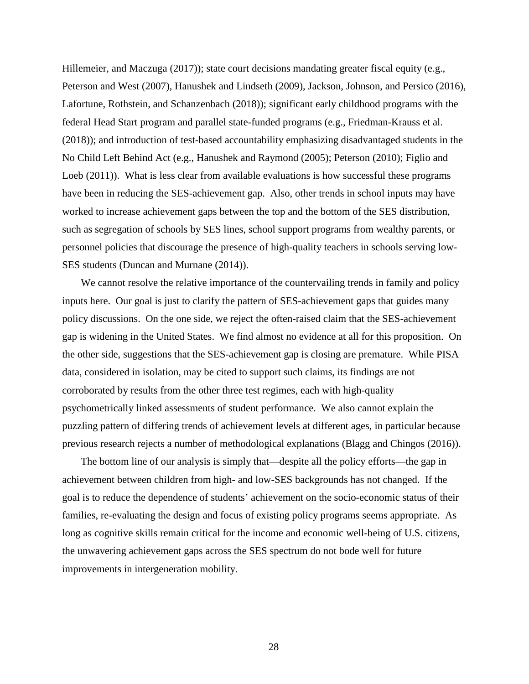Hillemeier, and Maczuga (2017)); state court decisions mandating greater fiscal equity (e.g., Peterson and West (2007), Hanushek and Lindseth (2009), Jackson, Johnson, and Persico (2016), Lafortune, Rothstein, and Schanzenbach (2018)); significant early childhood programs with the federal Head Start program and parallel state-funded programs (e.g., Friedman-Krauss et al. (2018)); and introduction of test-based accountability emphasizing disadvantaged students in the No Child Left Behind Act (e.g., Hanushek and Raymond (2005); Peterson (2010); Figlio and Loeb (2011)). What is less clear from available evaluations is how successful these programs have been in reducing the SES-achievement gap. Also, other trends in school inputs may have worked to increase achievement gaps between the top and the bottom of the SES distribution, such as segregation of schools by SES lines, school support programs from wealthy parents, or personnel policies that discourage the presence of high-quality teachers in schools serving low-SES students (Duncan and Murnane (2014)).

We cannot resolve the relative importance of the countervailing trends in family and policy inputs here. Our goal is just to clarify the pattern of SES-achievement gaps that guides many policy discussions. On the one side, we reject the often-raised claim that the SES-achievement gap is widening in the United States. We find almost no evidence at all for this proposition. On the other side, suggestions that the SES-achievement gap is closing are premature. While PISA data, considered in isolation, may be cited to support such claims, its findings are not corroborated by results from the other three test regimes, each with high-quality psychometrically linked assessments of student performance. We also cannot explain the puzzling pattern of differing trends of achievement levels at different ages, in particular because previous research rejects a number of methodological explanations (Blagg and Chingos (2016)).

The bottom line of our analysis is simply that—despite all the policy efforts—the gap in achievement between children from high- and low-SES backgrounds has not changed. If the goal is to reduce the dependence of students' achievement on the socio-economic status of their families, re-evaluating the design and focus of existing policy programs seems appropriate. As long as cognitive skills remain critical for the income and economic well-being of U.S. citizens, the unwavering achievement gaps across the SES spectrum do not bode well for future improvements in intergeneration mobility.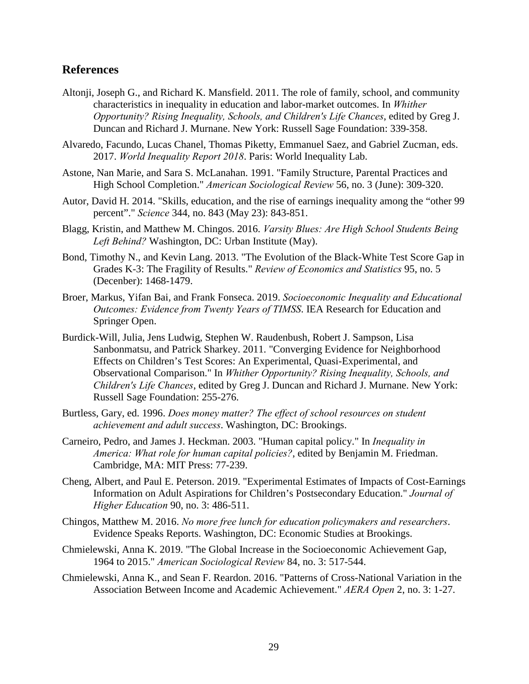# **References**

- Altonji, Joseph G., and Richard K. Mansfield. 2011. The role of family, school, and community characteristics in inequality in education and labor-market outcomes. In *Whither Opportunity? Rising Inequality, Schools, and Children's Life Chances*, edited by Greg J. Duncan and Richard J. Murnane. New York: Russell Sage Foundation: 339-358.
- Alvaredo, Facundo, Lucas Chanel, Thomas Piketty, Emmanuel Saez, and Gabriel Zucman, eds. 2017. *World Inequality Report 2018*. Paris: World Inequality Lab.
- Astone, Nan Marie, and Sara S. McLanahan. 1991. "Family Structure, Parental Practices and High School Completion." *American Sociological Review* 56, no. 3 (June): 309-320.
- Autor, David H. 2014. "Skills, education, and the rise of earnings inequality among the "other 99 percent"." *Science* 344, no. 843 (May 23): 843-851.
- Blagg, Kristin, and Matthew M. Chingos. 2016. *Varsity Blues: Are High School Students Being Left Behind?* Washington, DC: Urban Institute (May).
- Bond, Timothy N., and Kevin Lang. 2013. "The Evolution of the Black-White Test Score Gap in Grades K-3: The Fragility of Results." *Review of Economics and Statistics* 95, no. 5 (Decenber): 1468-1479.
- Broer, Markus, Yifan Bai, and Frank Fonseca. 2019. *Socioeconomic Inequality and Educational Outcomes: Evidence from Twenty Years of TIMSS*. IEA Research for Education and Springer Open.
- Burdick-Will, Julia, Jens Ludwig, Stephen W. Raudenbush, Robert J. Sampson, Lisa Sanbonmatsu, and Patrick Sharkey. 2011. "Converging Evidence for Neighborhood Effects on Children's Test Scores: An Experimental, Quasi-Experimental, and Observational Comparison." In *Whither Opportunity? Rising Inequality, Schools, and Children's Life Chances*, edited by Greg J. Duncan and Richard J. Murnane. New York: Russell Sage Foundation: 255-276.
- Burtless, Gary, ed. 1996. *Does money matter? The effect of school resources on student achievement and adult success*. Washington, DC: Brookings.
- Carneiro, Pedro, and James J. Heckman. 2003. "Human capital policy." In *Inequality in America: What role for human capital policies?*, edited by Benjamin M. Friedman. Cambridge, MA: MIT Press: 77-239.
- Cheng, Albert, and Paul E. Peterson. 2019. "Experimental Estimates of Impacts of Cost-Earnings Information on Adult Aspirations for Children's Postsecondary Education." *Journal of Higher Education* 90, no. 3: 486-511.
- Chingos, Matthew M. 2016. *No more free lunch for education policymakers and researchers*. Evidence Speaks Reports. Washington, DC: Economic Studies at Brookings.
- Chmielewski, Anna K. 2019. "The Global Increase in the Socioeconomic Achievement Gap, 1964 to 2015." *American Sociological Review* 84, no. 3: 517-544.
- Chmielewski, Anna K., and Sean F. Reardon. 2016. "Patterns of Cross-National Variation in the Association Between Income and Academic Achievement." *AERA Open* 2, no. 3: 1-27.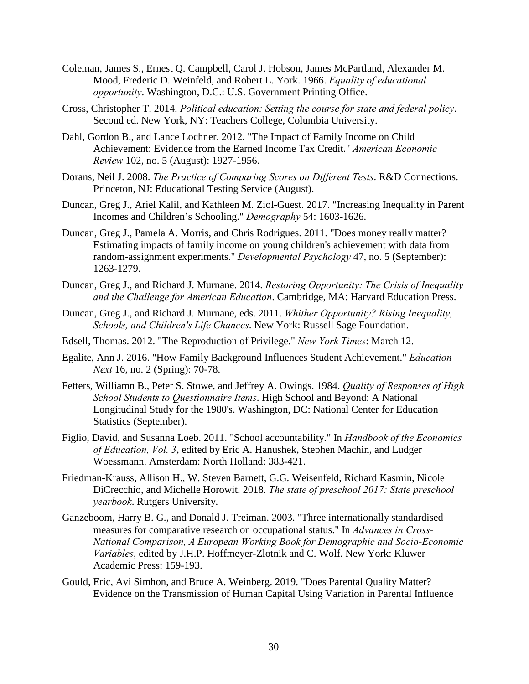- Coleman, James S., Ernest Q. Campbell, Carol J. Hobson, James McPartland, Alexander M. Mood, Frederic D. Weinfeld, and Robert L. York. 1966. *Equality of educational opportunity*. Washington, D.C.: U.S. Government Printing Office.
- Cross, Christopher T. 2014. *Political education: Setting the course for state and federal policy*. Second ed. New York, NY: Teachers College, Columbia University.
- Dahl, Gordon B., and Lance Lochner. 2012. "The Impact of Family Income on Child Achievement: Evidence from the Earned Income Tax Credit." *American Economic Review* 102, no. 5 (August): 1927-1956.
- Dorans, Neil J. 2008. *The Practice of Comparing Scores on Different Tests*. R&D Connections. Princeton, NJ: Educational Testing Service (August).
- Duncan, Greg J., Ariel Kalil, and Kathleen M. Ziol-Guest. 2017. "Increasing Inequality in Parent Incomes and Children's Schooling." *Demography* 54: 1603-1626.
- Duncan, Greg J., Pamela A. Morris, and Chris Rodrigues. 2011. "Does money really matter? Estimating impacts of family income on young children's achievement with data from random-assignment experiments." *Developmental Psychology* 47, no. 5 (September): 1263-1279.
- Duncan, Greg J., and Richard J. Murnane. 2014. *Restoring Opportunity: The Crisis of Inequality and the Challenge for American Education*. Cambridge, MA: Harvard Education Press.
- Duncan, Greg J., and Richard J. Murnane, eds. 2011. *Whither Opportunity? Rising Inequality, Schools, and Children's Life Chances*. New York: Russell Sage Foundation.
- Edsell, Thomas. 2012. "The Reproduction of Privilege." *New York Times*: March 12.
- Egalite, Ann J. 2016. "How Family Background Influences Student Achievement." *Education Next* 16, no. 2 (Spring): 70-78.
- Fetters, Williamn B., Peter S. Stowe, and Jeffrey A. Owings. 1984. *Quality of Responses of High School Students to Questionnaire Items*. High School and Beyond: A National Longitudinal Study for the 1980's. Washington, DC: National Center for Education Statistics (September).
- Figlio, David, and Susanna Loeb. 2011. "School accountability." In *Handbook of the Economics of Education, Vol. 3*, edited by Eric A. Hanushek, Stephen Machin, and Ludger Woessmann. Amsterdam: North Holland: 383-421.
- Friedman-Krauss, Allison H., W. Steven Barnett, G.G. Weisenfeld, Richard Kasmin, Nicole DiCrecchio, and Michelle Horowit. 2018. *The state of preschool 2017: State preschool yearbook*. Rutgers University.
- Ganzeboom, Harry B. G., and Donald J. Treiman. 2003. "Three internationally standardised measures for comparative research on occupational status." In *Advances in Cross-National Comparison, A European Working Book for Demographic and Socio-Economic Variables*, edited by J.H.P. Hoffmeyer-Zlotnik and C. Wolf. New York: Kluwer Academic Press: 159-193.
- Gould, Eric, Avi Simhon, and Bruce A. Weinberg. 2019. "Does Parental Quality Matter? Evidence on the Transmission of Human Capital Using Variation in Parental Influence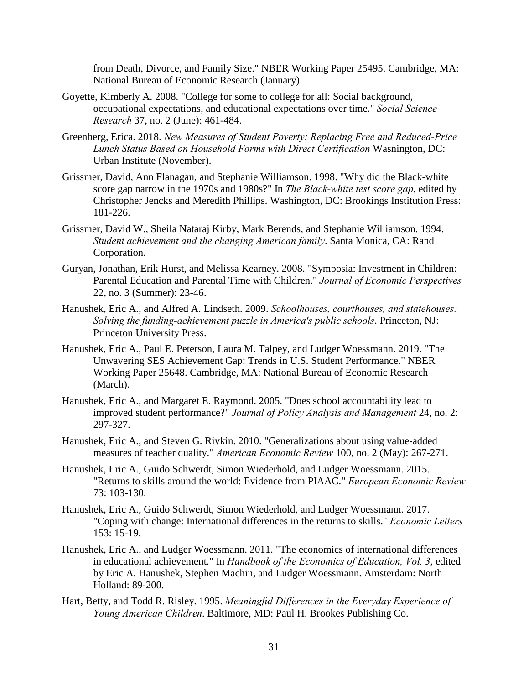from Death, Divorce, and Family Size." NBER Working Paper 25495. Cambridge, MA: National Bureau of Economic Research (January).

- Goyette, Kimberly A. 2008. "College for some to college for all: Social background, occupational expectations, and educational expectations over time." *Social Science Research* 37, no. 2 (June): 461-484.
- Greenberg, Erica. 2018. *New Measures of Student Poverty: Replacing Free and Reduced-Price Lunch Status Based on Household Forms with Direct Certification* Wasnington, DC: Urban Institute (November).
- Grissmer, David, Ann Flanagan, and Stephanie Williamson. 1998. "Why did the Black-white score gap narrow in the 1970s and 1980s?" In *The Black-white test score gap*, edited by Christopher Jencks and Meredith Phillips. Washington, DC: Brookings Institution Press: 181-226.
- Grissmer, David W., Sheila Nataraj Kirby, Mark Berends, and Stephanie Williamson. 1994. *Student achievement and the changing American family*. Santa Monica, CA: Rand Corporation.
- Guryan, Jonathan, Erik Hurst, and Melissa Kearney. 2008. "Symposia: Investment in Children: Parental Education and Parental Time with Children." *Journal of Economic Perspectives* 22, no. 3 (Summer): 23-46.
- Hanushek, Eric A., and Alfred A. Lindseth. 2009. *Schoolhouses, courthouses, and statehouses: Solving the funding-achievement puzzle in America's public schools*. Princeton, NJ: Princeton University Press.
- Hanushek, Eric A., Paul E. Peterson, Laura M. Talpey, and Ludger Woessmann. 2019. "The Unwavering SES Achievement Gap: Trends in U.S. Student Performance." NBER Working Paper 25648. Cambridge, MA: National Bureau of Economic Research (March).
- Hanushek, Eric A., and Margaret E. Raymond. 2005. "Does school accountability lead to improved student performance?" *Journal of Policy Analysis and Management* 24, no. 2: 297-327.
- Hanushek, Eric A., and Steven G. Rivkin. 2010. "Generalizations about using value-added measures of teacher quality." *American Economic Review* 100, no. 2 (May): 267-271.
- Hanushek, Eric A., Guido Schwerdt, Simon Wiederhold, and Ludger Woessmann. 2015. "Returns to skills around the world: Evidence from PIAAC." *European Economic Review* 73: 103-130.
- Hanushek, Eric A., Guido Schwerdt, Simon Wiederhold, and Ludger Woessmann. 2017. "Coping with change: International differences in the returns to skills." *Economic Letters* 153: 15-19.
- Hanushek, Eric A., and Ludger Woessmann. 2011. "The economics of international differences in educational achievement." In *Handbook of the Economics of Education, Vol. 3*, edited by Eric A. Hanushek, Stephen Machin, and Ludger Woessmann. Amsterdam: North Holland: 89-200.
- Hart, Betty, and Todd R. Risley. 1995. *Meaningful Differences in the Everyday Experience of Young American Children*. Baltimore, MD: Paul H. Brookes Publishing Co.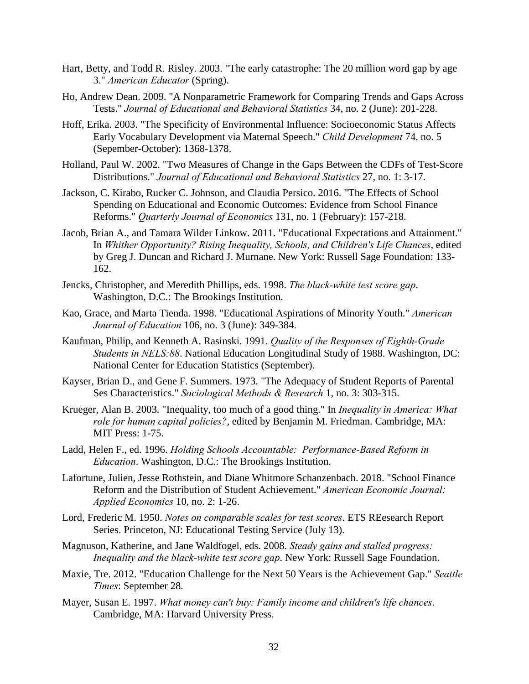- Hart, Betty, and Todd R. Risley. 2003. "The early catastrophe: The 20 million word gap by age 3." *American Educator* (Spring).
- Ho, Andrew Dean. 2009. "A Nonparametric Framework for Comparing Trends and Gaps Across Tests." *Journal of Educational and Behavioral Statistics* 34, no. 2 (June): 201-228.
- Hoff, Erika. 2003. "The Specificity of Environmental Influence: Socioeconomic Status Affects Early Vocabulary Development via Maternal Speech." *Child Development* 74, no. 5 (Sepember-October): 1368-1378.
- Holland, Paul W. 2002. "Two Measures of Change in the Gaps Between the CDFs of Test-Score Distributions." *Journal of Educational and Behavioral Statistics* 27, no. 1: 3-17.
- Jackson, C. Kirabo, Rucker C. Johnson, and Claudia Persico. 2016. "The Effects of School Spending on Educational and Economic Outcomes: Evidence from School Finance Reforms." *Quarterly Journal of Economics* 131, no. 1 (February): 157-218.
- Jacob, Brian A., and Tamara Wilder Linkow. 2011. "Educational Expectations and Attainment." In *Whither Opportunity? Rising Inequality, Schools, and Children's Life Chances*, edited by Greg J. Duncan and Richard J. Murnane. New York: Russell Sage Foundation: 133- 162.
- Jencks, Christopher, and Meredith Phillips, eds. 1998. *The black-white test score gap*. Washington, D.C.: The Brookings Institution.
- Kao, Grace, and Marta Tienda. 1998. "Educational Aspirations of Minority Youth." *American Journal of Education* 106, no. 3 (June): 349-384.
- Kaufman, Philip, and Kenneth A. Rasinski. 1991. *Quality of the Responses of Eighth-Grade Students in NELS:88*. National Education Longitudinal Study of 1988. Washington, DC: National Center for Education Statistics (September).
- Kayser, Brian D., and Gene F. Summers. 1973. "The Adequacy of Student Reports of Parental Ses Characteristics." *Sociological Methods & Research* 1, no. 3: 303-315.
- Krueger, Alan B. 2003. "Inequality, too much of a good thing." In *Inequality in America: What role for human capital policies?*, edited by Benjamin M. Friedman. Cambridge, MA: MIT Press: 1-75.
- Ladd, Helen F., ed. 1996. *Holding Schools Accountable: Performance-Based Reform in Education*. Washington, D.C.: The Brookings Institution.
- Lafortune, Julien, Jesse Rothstein, and Diane Whitmore Schanzenbach. 2018. "School Finance Reform and the Distribution of Student Achievement." *American Economic Journal: Applied Economics* 10, no. 2: 1-26.
- Lord, Frederic M. 1950. *Notes on comparable scales for test scores*. ETS REesearch Report Series. Princeton, NJ: Educational Testing Service (July 13).
- Magnuson, Katherine, and Jane Waldfogel, eds. 2008. *Steady gains and stalled progress: Inequality and the black-white test score gap*. New York: Russell Sage Foundation.
- Maxie, Tre. 2012. "Education Challenge for the Next 50 Years is the Achievement Gap." *Seattle Times*: September 28.
- Mayer, Susan E. 1997. *What money can't buy: Family income and children's life chances*. Cambridge, MA: Harvard University Press.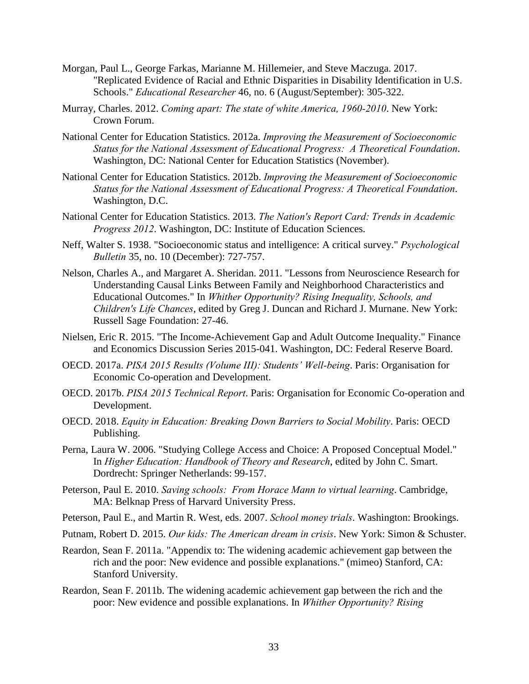- Morgan, Paul L., George Farkas, Marianne M. Hillemeier, and Steve Maczuga. 2017. "Replicated Evidence of Racial and Ethnic Disparities in Disability Identification in U.S. Schools." *Educational Researcher* 46, no. 6 (August/September): 305-322.
- Murray, Charles. 2012. *Coming apart: The state of white America, 1960-2010*. New York: Crown Forum.
- National Center for Education Statistics. 2012a. *Improving the Measurement of Socioeconomic Status for the National Assessment of Educational Progress: A Theoretical Foundation*. Washington, DC: National Center for Education Statistics (November).
- National Center for Education Statistics. 2012b. *Improving the Measurement of Socioeconomic Status for the National Assessment of Educational Progress: A Theoretical Foundation*. Washington, D.C.
- National Center for Education Statistics. 2013. *The Nation's Report Card: Trends in Academic Progress 2012*. Washington, DC: Institute of Education Sciences.
- Neff, Walter S. 1938. "Socioeconomic status and intelligence: A critical survey." *Psychological Bulletin* 35, no. 10 (December): 727-757.
- Nelson, Charles A., and Margaret A. Sheridan. 2011. "Lessons from Neuroscience Research for Understanding Causal Links Between Family and Neighborhood Characteristics and Educational Outcomes." In *Whither Opportunity? Rising Inequality, Schools, and Children's Life Chances*, edited by Greg J. Duncan and Richard J. Murnane. New York: Russell Sage Foundation: 27-46.
- Nielsen, Eric R. 2015. "The Income-Achievement Gap and Adult Outcome Inequality." Finance and Economics Discussion Series 2015-041. Washington, DC: Federal Reserve Board.
- OECD. 2017a. *PISA 2015 Results (Volume III): Students' Well-being*. Paris: Organisation for Economic Co-operation and Development.
- OECD. 2017b. *PISA 2015 Technical Report*. Paris: Organisation for Economic Co-operation and Development.
- OECD. 2018. *Equity in Education: Breaking Down Barriers to Social Mobility*. Paris: OECD Publishing.
- Perna, Laura W. 2006. "Studying College Access and Choice: A Proposed Conceptual Model." In *Higher Education: Handbook of Theory and Research*, edited by John C. Smart. Dordrecht: Springer Netherlands: 99-157.
- Peterson, Paul E. 2010. *Saving schools: From Horace Mann to virtual learning*. Cambridge, MA: Belknap Press of Harvard University Press.

Peterson, Paul E., and Martin R. West, eds. 2007. *School money trials*. Washington: Brookings.

- Putnam, Robert D. 2015. *Our kids: The American dream in crisis*. New York: Simon & Schuster.
- Reardon, Sean F. 2011a. "Appendix to: The widening academic achievement gap between the rich and the poor: New evidence and possible explanations." (mimeo) Stanford, CA: Stanford University.
- Reardon, Sean F. 2011b. The widening academic achievement gap between the rich and the poor: New evidence and possible explanations. In *Whither Opportunity? Rising*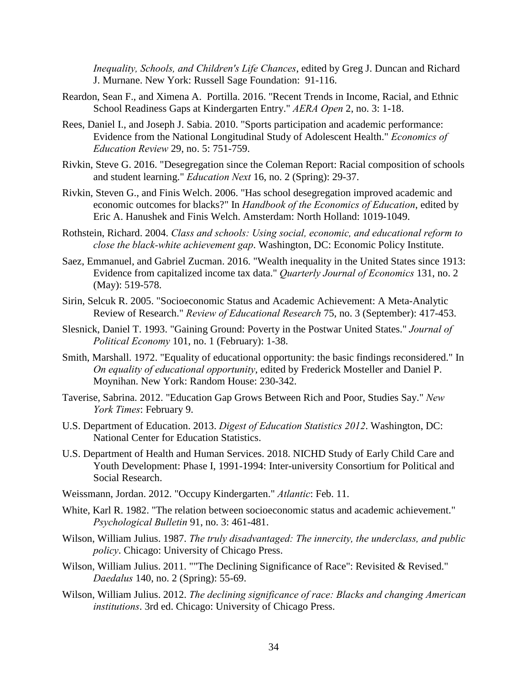*Inequality, Schools, and Children's Life Chances*, edited by Greg J. Duncan and Richard J. Murnane. New York: Russell Sage Foundation: 91-116.

- Reardon, Sean F., and Ximena A. Portilla. 2016. "Recent Trends in Income, Racial, and Ethnic School Readiness Gaps at Kindergarten Entry." *AERA Open* 2, no. 3: 1-18.
- Rees, Daniel I., and Joseph J. Sabia. 2010. "Sports participation and academic performance: Evidence from the National Longitudinal Study of Adolescent Health." *Economics of Education Review* 29, no. 5: 751-759.
- Rivkin, Steve G. 2016. "Desegregation since the Coleman Report: Racial composition of schools and student learning." *Education Next* 16, no. 2 (Spring): 29-37.
- Rivkin, Steven G., and Finis Welch. 2006. "Has school desegregation improved academic and economic outcomes for blacks?" In *Handbook of the Economics of Education*, edited by Eric A. Hanushek and Finis Welch. Amsterdam: North Holland: 1019-1049.
- Rothstein, Richard. 2004. *Class and schools: Using social, economic, and educational reform to close the black-white achievement gap*. Washington, DC: Economic Policy Institute.
- Saez, Emmanuel, and Gabriel Zucman. 2016. "Wealth inequality in the United States since 1913: Evidence from capitalized income tax data." *Quarterly Journal of Economics* 131, no. 2 (May): 519-578.
- Sirin, Selcuk R. 2005. "Socioeconomic Status and Academic Achievement: A Meta-Analytic Review of Research." *Review of Educational Research* 75, no. 3 (September): 417-453.
- Slesnick, Daniel T. 1993. "Gaining Ground: Poverty in the Postwar United States." *Journal of Political Economy* 101, no. 1 (February): 1-38.
- Smith, Marshall. 1972. "Equality of educational opportunity: the basic findings reconsidered." In *On equality of educational opportunity*, edited by Frederick Mosteller and Daniel P. Moynihan. New York: Random House: 230-342.
- Taverise, Sabrina. 2012. "Education Gap Grows Between Rich and Poor, Studies Say." *New York Times*: February 9.
- U.S. Department of Education. 2013. *Digest of Education Statistics 2012*. Washington, DC: National Center for Education Statistics.
- U.S. Department of Health and Human Services. 2018. NICHD Study of Early Child Care and Youth Development: Phase I, 1991-1994: Inter-university Consortium for Political and Social Research.
- Weissmann, Jordan. 2012. "Occupy Kindergarten." *Atlantic*: Feb. 11.
- White, Karl R. 1982. "The relation between socioeconomic status and academic achievement." *Psychological Bulletin* 91, no. 3: 461-481.
- Wilson, William Julius. 1987. *The truly disadvantaged: The innercity, the underclass, and public policy*. Chicago: University of Chicago Press.
- Wilson, William Julius. 2011. ""The Declining Significance of Race": Revisited & Revised." *Daedalus* 140, no. 2 (Spring): 55-69.
- Wilson, William Julius. 2012. *The declining significance of race: Blacks and changing American institutions*. 3rd ed. Chicago: University of Chicago Press.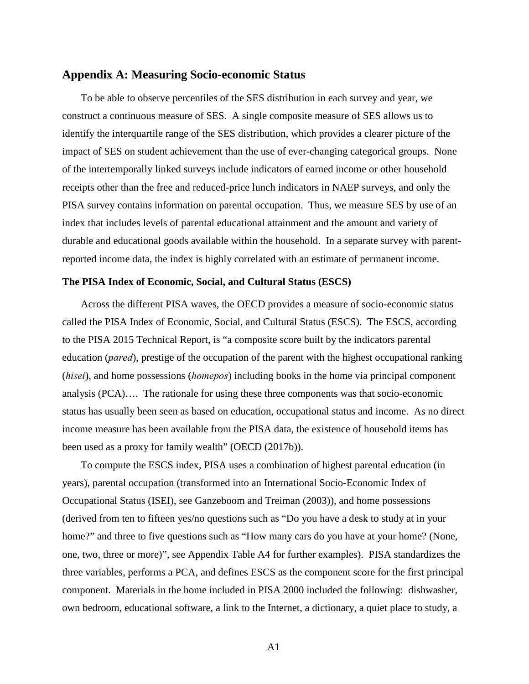## **Appendix A: Measuring Socio-economic Status**

To be able to observe percentiles of the SES distribution in each survey and year, we construct a continuous measure of SES. A single composite measure of SES allows us to identify the interquartile range of the SES distribution, which provides a clearer picture of the impact of SES on student achievement than the use of ever-changing categorical groups. None of the intertemporally linked surveys include indicators of earned income or other household receipts other than the free and reduced-price lunch indicators in NAEP surveys, and only the PISA survey contains information on parental occupation. Thus, we measure SES by use of an index that includes levels of parental educational attainment and the amount and variety of durable and educational goods available within the household. In a separate survey with parentreported income data, the index is highly correlated with an estimate of permanent income.

## **The PISA Index of Economic, Social, and Cultural Status (ESCS)**

Across the different PISA waves, the OECD provides a measure of socio-economic status called the PISA Index of Economic, Social, and Cultural Status (ESCS). The ESCS, according to the PISA 2015 Technical Report, is "a composite score built by the indicators parental education (*pared*), prestige of the occupation of the parent with the highest occupational ranking (*hisei*), and home possessions (*homepos*) including books in the home via principal component analysis (PCA)…. The rationale for using these three components was that socio-economic status has usually been seen as based on education, occupational status and income. As no direct income measure has been available from the PISA data, the existence of household items has been used as a proxy for family wealth" (OECD (2017b)).

To compute the ESCS index, PISA uses a combination of highest parental education (in years), parental occupation (transformed into an International Socio-Economic Index of Occupational Status (ISEI), see Ganzeboom and Treiman (2003)), and home possessions (derived from ten to fifteen yes/no questions such as "Do you have a desk to study at in your home?" and three to five questions such as "How many cars do you have at your home? (None, one, two, three or more)", see Appendix Table A4 for further examples). PISA standardizes the three variables, performs a PCA, and defines ESCS as the component score for the first principal component. Materials in the home included in PISA 2000 included the following: dishwasher, own bedroom, educational software, a link to the Internet, a dictionary, a quiet place to study, a

A1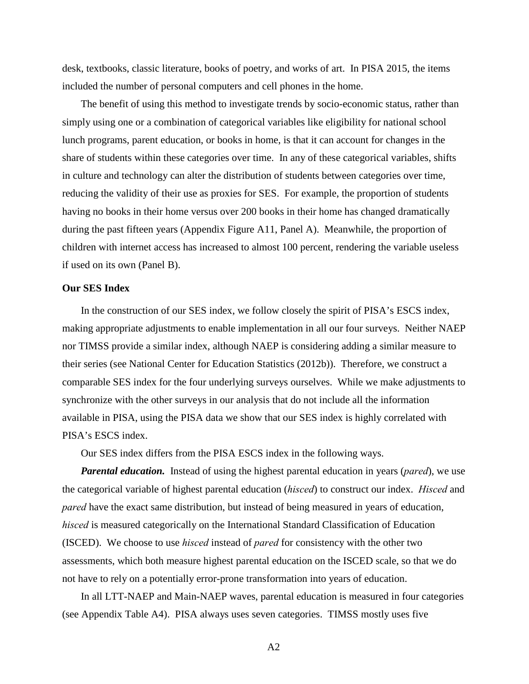desk, textbooks, classic literature, books of poetry, and works of art. In PISA 2015, the items included the number of personal computers and cell phones in the home.

The benefit of using this method to investigate trends by socio-economic status, rather than simply using one or a combination of categorical variables like eligibility for national school lunch programs, parent education, or books in home, is that it can account for changes in the share of students within these categories over time. In any of these categorical variables, shifts in culture and technology can alter the distribution of students between categories over time, reducing the validity of their use as proxies for SES. For example, the proportion of students having no books in their home versus over 200 books in their home has changed dramatically during the past fifteen years (Appendix Figure A11, Panel A). Meanwhile, the proportion of children with internet access has increased to almost 100 percent, rendering the variable useless if used on its own (Panel B).

### **Our SES Index**

In the construction of our SES index, we follow closely the spirit of PISA's ESCS index, making appropriate adjustments to enable implementation in all our four surveys. Neither NAEP nor TIMSS provide a similar index, although NAEP is considering adding a similar measure to their series (see National Center for Education Statistics (2012b)). Therefore, we construct a comparable SES index for the four underlying surveys ourselves. While we make adjustments to synchronize with the other surveys in our analysis that do not include all the information available in PISA, using the PISA data we show that our SES index is highly correlated with PISA's ESCS index.

Our SES index differs from the PISA ESCS index in the following ways.

*Parental education.* Instead of using the highest parental education in years (*pared*), we use the categorical variable of highest parental education (*hisced*) to construct our index. *Hisced* and *pared* have the exact same distribution, but instead of being measured in years of education, *hisced* is measured categorically on the International Standard Classification of Education (ISCED). We choose to use *hisced* instead of *pared* for consistency with the other two assessments, which both measure highest parental education on the ISCED scale, so that we do not have to rely on a potentially error-prone transformation into years of education.

In all LTT-NAEP and Main-NAEP waves, parental education is measured in four categories (see Appendix Table A4). PISA always uses seven categories. TIMSS mostly uses five

 $A<sub>2</sub>$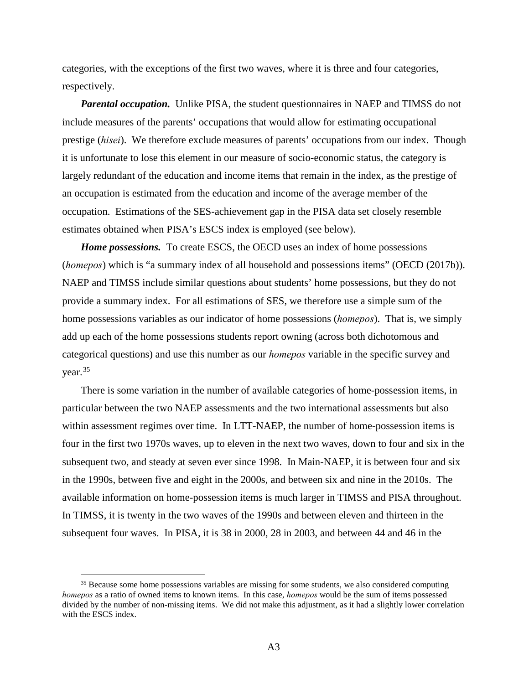categories, with the exceptions of the first two waves, where it is three and four categories, respectively.

*Parental occupation.* Unlike PISA, the student questionnaires in NAEP and TIMSS do not include measures of the parents' occupations that would allow for estimating occupational prestige (*hisei*). We therefore exclude measures of parents' occupations from our index. Though it is unfortunate to lose this element in our measure of socio-economic status, the category is largely redundant of the education and income items that remain in the index, as the prestige of an occupation is estimated from the education and income of the average member of the occupation. Estimations of the SES-achievement gap in the PISA data set closely resemble estimates obtained when PISA's ESCS index is employed (see below).

*Home possessions.* To create ESCS, the OECD uses an index of home possessions (*homepos*) which is "a summary index of all household and possessions items" (OECD (2017b)). NAEP and TIMSS include similar questions about students' home possessions, but they do not provide a summary index. For all estimations of SES, we therefore use a simple sum of the home possessions variables as our indicator of home possessions (*homepos*). That is, we simply add up each of the home possessions students report owning (across both dichotomous and categorical questions) and use this number as our *homepos* variable in the specific survey and year. [35](#page-37-0)

There is some variation in the number of available categories of home-possession items, in particular between the two NAEP assessments and the two international assessments but also within assessment regimes over time. In LTT-NAEP, the number of home-possession items is four in the first two 1970s waves, up to eleven in the next two waves, down to four and six in the subsequent two, and steady at seven ever since 1998. In Main-NAEP, it is between four and six in the 1990s, between five and eight in the 2000s, and between six and nine in the 2010s. The available information on home-possession items is much larger in TIMSS and PISA throughout. In TIMSS, it is twenty in the two waves of the 1990s and between eleven and thirteen in the subsequent four waves. In PISA, it is 38 in 2000, 28 in 2003, and between 44 and 46 in the

<span id="page-37-0"></span><sup>&</sup>lt;sup>35</sup> Because some home possessions variables are missing for some students, we also considered computing *homepos* as a ratio of owned items to known items. In this case, *homepos* would be the sum of items possessed divided by the number of non-missing items. We did not make this adjustment, as it had a slightly lower correlation with the ESCS index.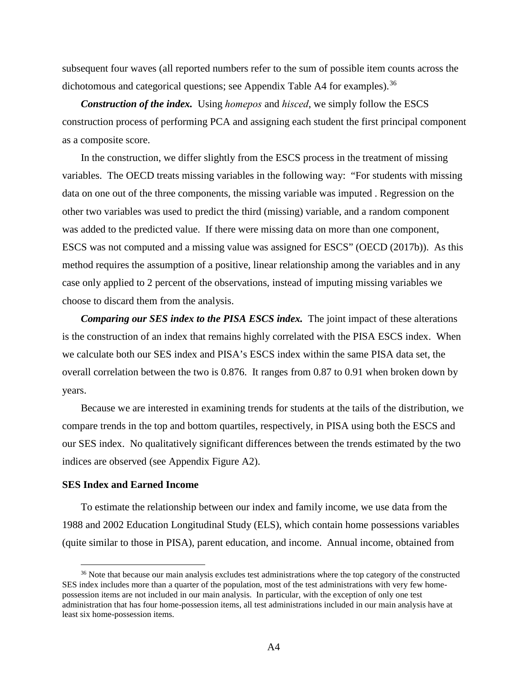subsequent four waves (all reported numbers refer to the sum of possible item counts across the dichotomous and categorical questions; see Appendix Table A4 for examples).<sup>[36](#page-38-0)</sup>

*Construction of the index.* Using *homepos* and *hisced*, we simply follow the ESCS construction process of performing PCA and assigning each student the first principal component as a composite score.

In the construction, we differ slightly from the ESCS process in the treatment of missing variables. The OECD treats missing variables in the following way: "For students with missing data on one out of the three components, the missing variable was imputed . Regression on the other two variables was used to predict the third (missing) variable, and a random component was added to the predicted value. If there were missing data on more than one component, ESCS was not computed and a missing value was assigned for ESCS" (OECD (2017b)). As this method requires the assumption of a positive, linear relationship among the variables and in any case only applied to 2 percent of the observations, instead of imputing missing variables we choose to discard them from the analysis.

*Comparing our SES index to the PISA ESCS index.* The joint impact of these alterations is the construction of an index that remains highly correlated with the PISA ESCS index. When we calculate both our SES index and PISA's ESCS index within the same PISA data set, the overall correlation between the two is 0.876. It ranges from 0.87 to 0.91 when broken down by years.

Because we are interested in examining trends for students at the tails of the distribution, we compare trends in the top and bottom quartiles, respectively, in PISA using both the ESCS and our SES index. No qualitatively significant differences between the trends estimated by the two indices are observed (see Appendix Figure A2).

# **SES Index and Earned Income**

 $\overline{a}$ 

To estimate the relationship between our index and family income, we use data from the 1988 and 2002 Education Longitudinal Study (ELS), which contain home possessions variables (quite similar to those in PISA), parent education, and income. Annual income, obtained from

<span id="page-38-0"></span><sup>&</sup>lt;sup>36</sup> Note that because our main analysis excludes test administrations where the top category of the constructed SES index includes more than a quarter of the population, most of the test administrations with very few homepossession items are not included in our main analysis. In particular, with the exception of only one test administration that has four home-possession items, all test administrations included in our main analysis have at least six home-possession items.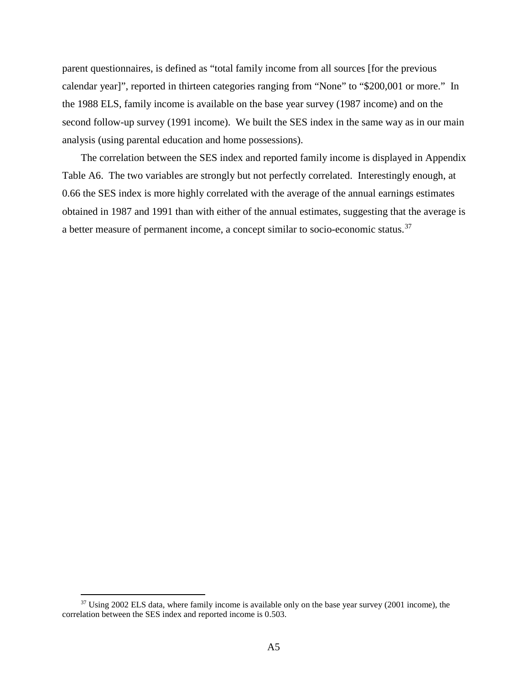parent questionnaires, is defined as "total family income from all sources [for the previous calendar year]", reported in thirteen categories ranging from "None" to "\$200,001 or more." In the 1988 ELS, family income is available on the base year survey (1987 income) and on the second follow-up survey (1991 income). We built the SES index in the same way as in our main analysis (using parental education and home possessions).

The correlation between the SES index and reported family income is displayed in Appendix Table A6. The two variables are strongly but not perfectly correlated. Interestingly enough, at 0.66 the SES index is more highly correlated with the average of the annual earnings estimates obtained in 1987 and 1991 than with either of the annual estimates, suggesting that the average is a better measure of permanent income, a concept similar to socio-economic status.[37](#page-39-0)

<span id="page-39-0"></span><sup>&</sup>lt;sup>37</sup> Using 2002 ELS data, where family income is available only on the base year survey (2001 income), the correlation between the SES index and reported income is 0.503.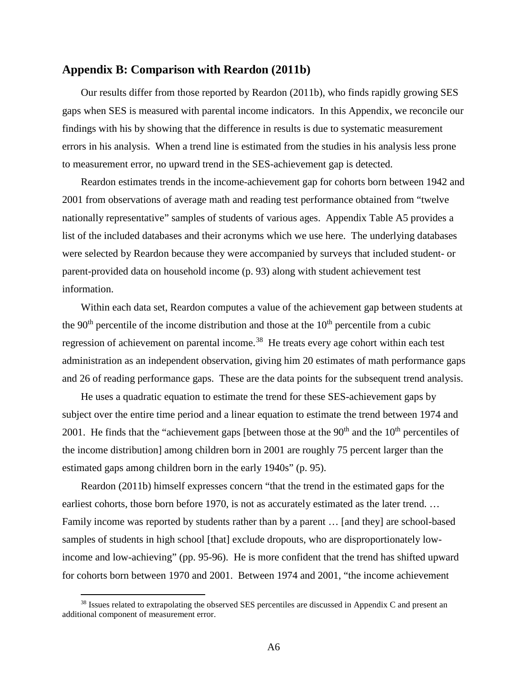# **Appendix B: Comparison with Reardon (2011b)**

Our results differ from those reported by Reardon (2011b), who finds rapidly growing SES gaps when SES is measured with parental income indicators. In this Appendix, we reconcile our findings with his by showing that the difference in results is due to systematic measurement errors in his analysis. When a trend line is estimated from the studies in his analysis less prone to measurement error, no upward trend in the SES-achievement gap is detected.

Reardon estimates trends in the income-achievement gap for cohorts born between 1942 and 2001 from observations of average math and reading test performance obtained from "twelve nationally representative" samples of students of various ages. Appendix Table A5 provides a list of the included databases and their acronyms which we use here. The underlying databases were selected by Reardon because they were accompanied by surveys that included student- or parent-provided data on household income (p. 93) along with student achievement test information.

Within each data set, Reardon computes a value of the achievement gap between students at the 90<sup>th</sup> percentile of the income distribution and those at the  $10<sup>th</sup>$  percentile from a cubic regression of achievement on parental income.<sup>38</sup> He treats every age cohort within each test administration as an independent observation, giving him 20 estimates of math performance gaps and 26 of reading performance gaps. These are the data points for the subsequent trend analysis.

He uses a quadratic equation to estimate the trend for these SES-achievement gaps by subject over the entire time period and a linear equation to estimate the trend between 1974 and 2001. He finds that the "achievement gaps [between those at the  $90<sup>th</sup>$  and the  $10<sup>th</sup>$  percentiles of the income distribution] among children born in 2001 are roughly 75 percent larger than the estimated gaps among children born in the early 1940s" (p. 95).

Reardon (2011b) himself expresses concern "that the trend in the estimated gaps for the earliest cohorts, those born before 1970, is not as accurately estimated as the later trend. ... Family income was reported by students rather than by a parent … [and they] are school-based samples of students in high school [that] exclude dropouts, who are disproportionately lowincome and low-achieving" (pp. 95-96). He is more confident that the trend has shifted upward for cohorts born between 1970 and 2001. Between 1974 and 2001, "the income achievement

<span id="page-40-0"></span> $38$  Issues related to extrapolating the observed SES percentiles are discussed in Appendix C and present an additional component of measurement error.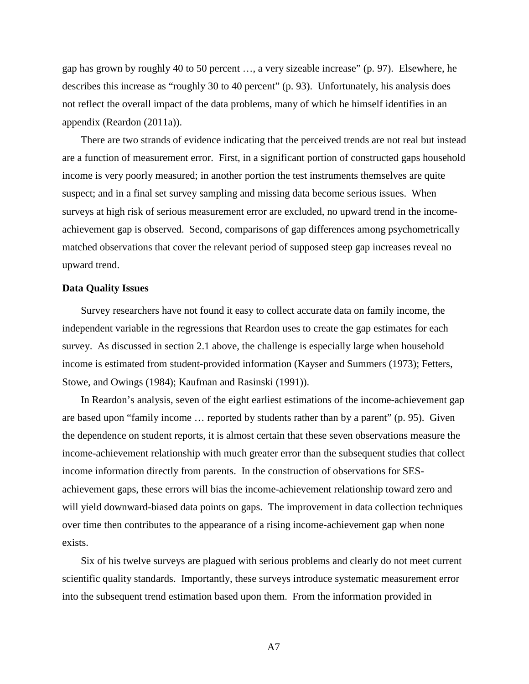gap has grown by roughly 40 to 50 percent …, a very sizeable increase" (p. 97). Elsewhere, he describes this increase as "roughly 30 to 40 percent" (p. 93). Unfortunately, his analysis does not reflect the overall impact of the data problems, many of which he himself identifies in an appendix (Reardon (2011a)).

There are two strands of evidence indicating that the perceived trends are not real but instead are a function of measurement error. First, in a significant portion of constructed gaps household income is very poorly measured; in another portion the test instruments themselves are quite suspect; and in a final set survey sampling and missing data become serious issues. When surveys at high risk of serious measurement error are excluded, no upward trend in the incomeachievement gap is observed. Second, comparisons of gap differences among psychometrically matched observations that cover the relevant period of supposed steep gap increases reveal no upward trend.

#### **Data Quality Issues**

Survey researchers have not found it easy to collect accurate data on family income, the independent variable in the regressions that Reardon uses to create the gap estimates for each survey. As discussed in section 2.1 above, the challenge is especially large when household income is estimated from student-provided information (Kayser and Summers (1973); Fetters, Stowe, and Owings (1984); Kaufman and Rasinski (1991)).

In Reardon's analysis, seven of the eight earliest estimations of the income-achievement gap are based upon "family income … reported by students rather than by a parent" (p. 95). Given the dependence on student reports, it is almost certain that these seven observations measure the income-achievement relationship with much greater error than the subsequent studies that collect income information directly from parents. In the construction of observations for SESachievement gaps, these errors will bias the income-achievement relationship toward zero and will yield downward-biased data points on gaps. The improvement in data collection techniques over time then contributes to the appearance of a rising income-achievement gap when none exists.

Six of his twelve surveys are plagued with serious problems and clearly do not meet current scientific quality standards. Importantly, these surveys introduce systematic measurement error into the subsequent trend estimation based upon them. From the information provided in

A7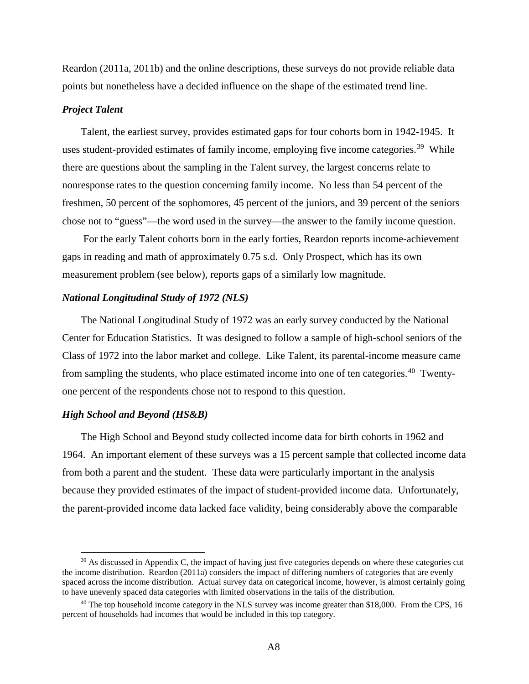Reardon (2011a, 2011b) and the online descriptions, these surveys do not provide reliable data points but nonetheless have a decided influence on the shape of the estimated trend line.

## *Project Talent*

Talent, the earliest survey, provides estimated gaps for four cohorts born in 1942-1945. It uses student-provided estimates of family income, employing five income categories.<sup>39</sup> While there are questions about the sampling in the Talent survey, the largest concerns relate to nonresponse rates to the question concerning family income. No less than 54 percent of the freshmen, 50 percent of the sophomores, 45 percent of the juniors, and 39 percent of the seniors chose not to "guess"—the word used in the survey—the answer to the family income question.

For the early Talent cohorts born in the early forties, Reardon reports income-achievement gaps in reading and math of approximately 0.75 s.d. Only Prospect, which has its own measurement problem (see below), reports gaps of a similarly low magnitude.

## *National Longitudinal Study of 1972 (NLS)*

The National Longitudinal Study of 1972 was an early survey conducted by the National Center for Education Statistics. It was designed to follow a sample of high-school seniors of the Class of 1972 into the labor market and college. Like Talent, its parental-income measure came from sampling the students, who place estimated income into one of ten categories.<sup>40</sup> Twentyone percent of the respondents chose not to respond to this question.

### *High School and Beyond (HS&B)*

 $\overline{a}$ 

The High School and Beyond study collected income data for birth cohorts in 1962 and 1964. An important element of these surveys was a 15 percent sample that collected income data from both a parent and the student. These data were particularly important in the analysis because they provided estimates of the impact of student-provided income data. Unfortunately, the parent-provided income data lacked face validity, being considerably above the comparable

<span id="page-42-0"></span> $39$  As discussed in Appendix C, the impact of having just five categories depends on where these categories cut the income distribution. Reardon (2011a) considers the impact of differing numbers of categories that are evenly spaced across the income distribution. Actual survey data on categorical income, however, is almost certainly going to have unevenly spaced data categories with limited observations in the tails of the distribution.

<span id="page-42-1"></span><sup>&</sup>lt;sup>40</sup> The top household income category in the NLS survey was income greater than \$18,000. From the CPS, 16 percent of households had incomes that would be included in this top category.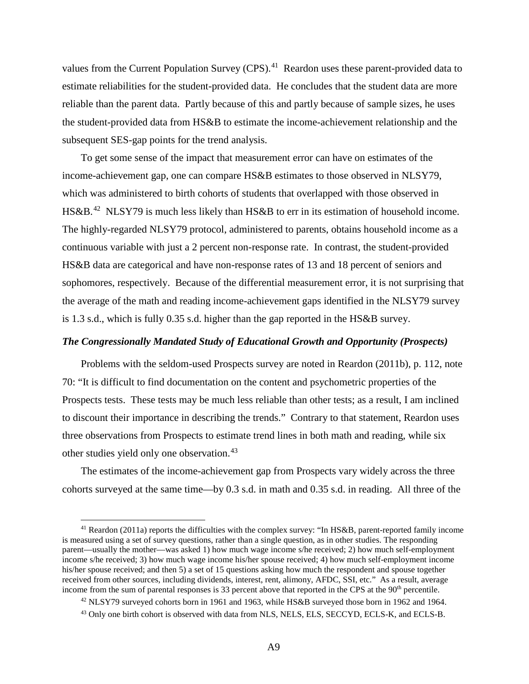values from the Current Population Survey (CPS).<sup>[41](#page-43-0)</sup> Reardon uses these parent-provided data to estimate reliabilities for the student-provided data. He concludes that the student data are more reliable than the parent data. Partly because of this and partly because of sample sizes, he uses the student-provided data from HS&B to estimate the income-achievement relationship and the subsequent SES-gap points for the trend analysis.

To get some sense of the impact that measurement error can have on estimates of the income-achievement gap, one can compare HS&B estimates to those observed in NLSY79, which was administered to birth cohorts of students that overlapped with those observed in HS&B.<sup>[42](#page-43-1)</sup> NLSY79 is much less likely than HS&B to err in its estimation of household income. The highly-regarded NLSY79 protocol, administered to parents, obtains household income as a continuous variable with just a 2 percent non-response rate. In contrast, the student-provided HS&B data are categorical and have non-response rates of 13 and 18 percent of seniors and sophomores, respectively. Because of the differential measurement error, it is not surprising that the average of the math and reading income-achievement gaps identified in the NLSY79 survey is 1.3 s.d., which is fully 0.35 s.d. higher than the gap reported in the HS&B survey.

# *The Congressionally Mandated Study of Educational Growth and Opportunity (Prospects)*

Problems with the seldom-used Prospects survey are noted in Reardon (2011b), p. 112, note 70: "It is difficult to find documentation on the content and psychometric properties of the Prospects tests. These tests may be much less reliable than other tests; as a result, I am inclined to discount their importance in describing the trends." Contrary to that statement, Reardon uses three observations from Prospects to estimate trend lines in both math and reading, while six other studies yield only one observation.<sup>[43](#page-43-2)</sup>

The estimates of the income-achievement gap from Prospects vary widely across the three cohorts surveyed at the same time—by 0.3 s.d. in math and 0.35 s.d. in reading. All three of the

<span id="page-43-0"></span><sup>&</sup>lt;sup>41</sup> Reardon (2011a) reports the difficulties with the complex survey: "In HS&B, parent-reported family income is measured using a set of survey questions, rather than a single question, as in other studies. The responding parent—usually the mother—was asked 1) how much wage income s/he received; 2) how much self-employment income s/he received; 3) how much wage income his/her spouse received; 4) how much self-employment income his/her spouse received; and then 5) a set of 15 questions asking how much the respondent and spouse together received from other sources, including dividends, interest, rent, alimony, AFDC, SSI, etc." As a result, average income from the sum of parental responses is 33 percent above that reported in the CPS at the 90<sup>th</sup> percentile.

<span id="page-43-2"></span><span id="page-43-1"></span><sup>&</sup>lt;sup>42</sup> NLSY79 surveyed cohorts born in 1961 and 1963, while HS&B surveyed those born in 1962 and 1964. <sup>43</sup> Only one birth cohort is observed with data from NLS, NELS, ELS, SECCYD, ECLS-K, and ECLS-B.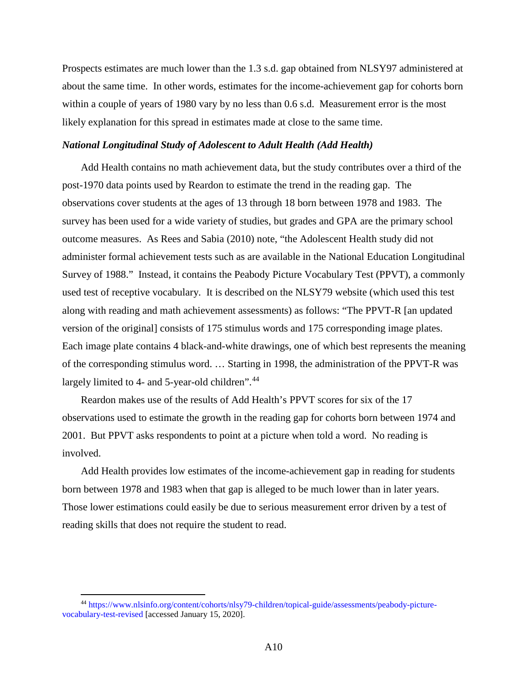Prospects estimates are much lower than the 1.3 s.d. gap obtained from NLSY97 administered at about the same time. In other words, estimates for the income-achievement gap for cohorts born within a couple of years of 1980 vary by no less than 0.6 s.d. Measurement error is the most likely explanation for this spread in estimates made at close to the same time.

## *National Longitudinal Study of Adolescent to Adult Health (Add Health)*

Add Health contains no math achievement data, but the study contributes over a third of the post-1970 data points used by Reardon to estimate the trend in the reading gap. The observations cover students at the ages of 13 through 18 born between 1978 and 1983. The survey has been used for a wide variety of studies, but grades and GPA are the primary school outcome measures. As Rees and Sabia (2010) note, "the Adolescent Health study did not administer formal achievement tests such as are available in the National Education Longitudinal Survey of 1988." Instead, it contains the Peabody Picture Vocabulary Test (PPVT), a commonly used test of receptive vocabulary. It is described on the NLSY79 website (which used this test along with reading and math achievement assessments) as follows: "The PPVT-R [an updated version of the original] consists of 175 stimulus words and 175 corresponding image plates. Each image plate contains 4 black-and-white drawings, one of which best represents the meaning of the corresponding stimulus word. … Starting in 1998, the administration of the PPVT-R was largely limited to 4- and 5-year-old children".<sup>[44](#page-44-0)</sup>

Reardon makes use of the results of Add Health's PPVT scores for six of the 17 observations used to estimate the growth in the reading gap for cohorts born between 1974 and 2001. But PPVT asks respondents to point at a picture when told a word.No reading is involved.

Add Health provides low estimates of the income-achievement gap in reading for students born between 1978 and 1983 when that gap is alleged to be much lower than in later years. Those lower estimations could easily be due to serious measurement error driven by a test of reading skills that does not require the student to read.

<span id="page-44-0"></span><sup>44</sup> [https://www.nlsinfo.org/content/cohorts/nlsy79-children/topical-guide/assessments/peabody-picture](https://www.nlsinfo.org/content/cohorts/nlsy79-children/topical-guide/assessments/peabody-picture-vocabulary-test-revised)[vocabulary-test-revised](https://www.nlsinfo.org/content/cohorts/nlsy79-children/topical-guide/assessments/peabody-picture-vocabulary-test-revised) [accessed January 15, 2020].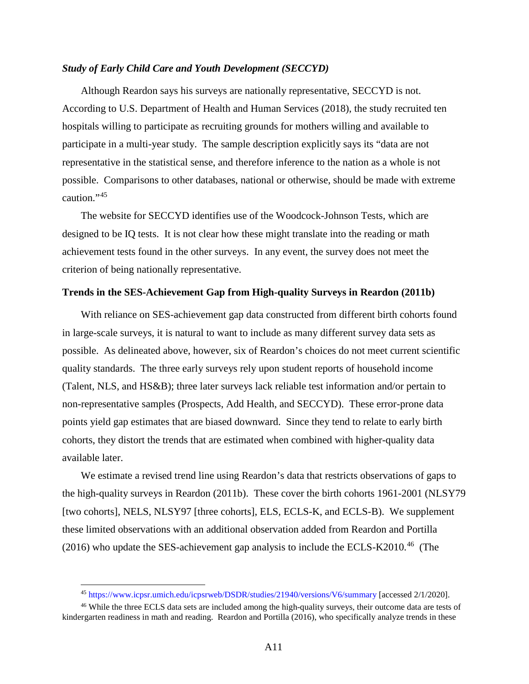#### *Study of Early Child Care and Youth Development (SECCYD)*

Although Reardon says his surveys are nationally representative, SECCYD is not. According to U.S. Department of Health and Human Services (2018), the study recruited ten hospitals willing to participate as recruiting grounds for mothers willing and available to participate in a multi-year study. The sample description explicitly says its "data are not representative in the statistical sense, and therefore inference to the nation as a whole is not possible. Comparisons to other databases, national or otherwise, should be made with extreme caution."[45](#page-45-0)

The website for SECCYD identifies use of the Woodcock-Johnson Tests, which are designed to be IQ tests. It is not clear how these might translate into the reading or math achievement tests found in the other surveys. In any event, the survey does not meet the criterion of being nationally representative.

#### **Trends in the SES-Achievement Gap from High-quality Surveys in Reardon (2011b)**

With reliance on SES-achievement gap data constructed from different birth cohorts found in large-scale surveys, it is natural to want to include as many different survey data sets as possible. As delineated above, however, six of Reardon's choices do not meet current scientific quality standards. The three early surveys rely upon student reports of household income (Talent, NLS, and HS&B); three later surveys lack reliable test information and/or pertain to non-representative samples (Prospects, Add Health, and SECCYD). These error-prone data points yield gap estimates that are biased downward. Since they tend to relate to early birth cohorts, they distort the trends that are estimated when combined with higher-quality data available later.

We estimate a revised trend line using Reardon's data that restricts observations of gaps to the high-quality surveys in Reardon (2011b). These cover the birth cohorts 1961-2001 (NLSY79 [two cohorts], NELS, NLSY97 [three cohorts], ELS, ECLS-K, and ECLS-B). We supplement these limited observations with an additional observation added from Reardon and Portilla  $(2016)$  who update the SES-achievement gap analysis to include the ECLS-K2010.<sup>46</sup> (The

<sup>45</sup> <https://www.icpsr.umich.edu/icpsrweb/DSDR/studies/21940/versions/V6/summary> [accessed 2/1/2020].

<span id="page-45-1"></span><span id="page-45-0"></span><sup>46</sup> While the three ECLS data sets are included among the high-quality surveys, their outcome data are tests of kindergarten readiness in math and reading. Reardon and Portilla (2016), who specifically analyze trends in these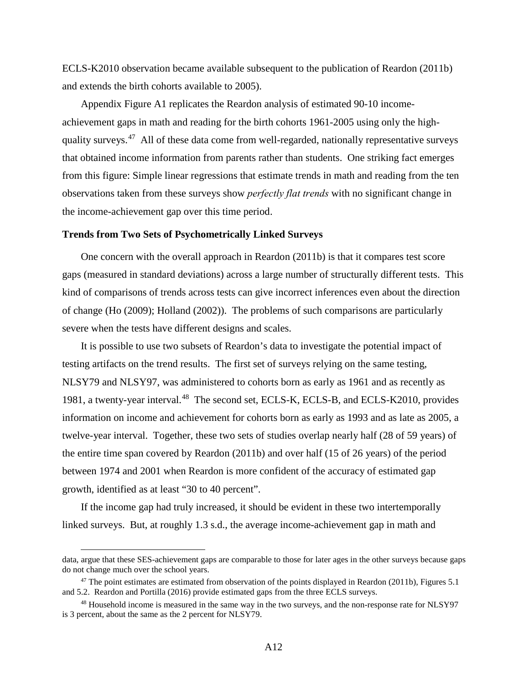ECLS-K2010 observation became available subsequent to the publication of Reardon (2011b) and extends the birth cohorts available to 2005).

Appendix Figure A1 replicates the Reardon analysis of estimated 90-10 incomeachievement gaps in math and reading for the birth cohorts 1961-2005 using only the highquality surveys. $47$  All of these data come from well-regarded, nationally representative surveys that obtained income information from parents rather than students. One striking fact emerges from this figure: Simple linear regressions that estimate trends in math and reading from the ten observations taken from these surveys show *perfectly flat trends* with no significant change in the income-achievement gap over this time period.

### **Trends from Two Sets of Psychometrically Linked Surveys**

One concern with the overall approach in Reardon (2011b) is that it compares test score gaps (measured in standard deviations) across a large number of structurally different tests. This kind of comparisons of trends across tests can give incorrect inferences even about the direction of change (Ho (2009); Holland (2002)). The problems of such comparisons are particularly severe when the tests have different designs and scales.

It is possible to use two subsets of Reardon's data to investigate the potential impact of testing artifacts on the trend results. The first set of surveys relying on the same testing, NLSY79 and NLSY97, was administered to cohorts born as early as 1961 and as recently as 1981, a twenty-year interval.<sup>48</sup> The second set, ECLS-K, ECLS-B, and ECLS-K2010, provides information on income and achievement for cohorts born as early as 1993 and as late as 2005, a twelve-year interval. Together, these two sets of studies overlap nearly half (28 of 59 years) of the entire time span covered by Reardon (2011b) and over half (15 of 26 years) of the period between 1974 and 2001 when Reardon is more confident of the accuracy of estimated gap growth, identified as at least "30 to 40 percent".

If the income gap had truly increased, it should be evident in these two intertemporally linked surveys. But, at roughly 1.3 s.d., the average income-achievement gap in math and

data, argue that these SES-achievement gaps are comparable to those for later ages in the other surveys because gaps do not change much over the school years.

<span id="page-46-0"></span><sup>&</sup>lt;sup>47</sup> The point estimates are estimated from observation of the points displayed in Reardon (2011b), Figures 5.1 and 5.2. Reardon and Portilla (2016) provide estimated gaps from the three ECLS surveys.

<span id="page-46-1"></span><sup>&</sup>lt;sup>48</sup> Household income is measured in the same way in the two surveys, and the non-response rate for NLSY97 is 3 percent, about the same as the 2 percent for NLSY79.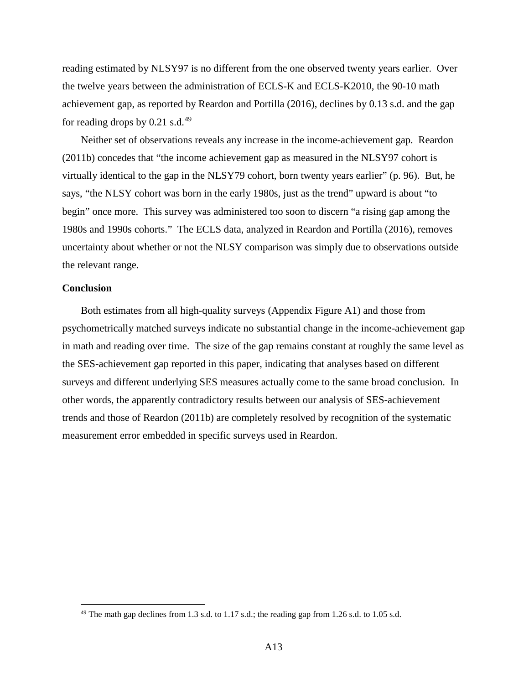reading estimated by NLSY97 is no different from the one observed twenty years earlier. Over the twelve years between the administration of ECLS-K and ECLS-K2010, the 90-10 math achievement gap, as reported by Reardon and Portilla (2016), declines by 0.13 s.d. and the gap for reading drops by  $0.21$  s.d.<sup>[49](#page-47-0)</sup>

Neither set of observations reveals any increase in the income-achievement gap. Reardon (2011b) concedes that "the income achievement gap as measured in the NLSY97 cohort is virtually identical to the gap in the NLSY79 cohort, born twenty years earlier" (p. 96). But, he says, "the NLSY cohort was born in the early 1980s, just as the trend" upward is about "to begin" once more. This survey was administered too soon to discern "a rising gap among the 1980s and 1990s cohorts." The ECLS data, analyzed in Reardon and Portilla (2016), removes uncertainty about whether or not the NLSY comparison was simply due to observations outside the relevant range.

## **Conclusion**

 $\overline{a}$ 

Both estimates from all high-quality surveys (Appendix Figure A1) and those from psychometrically matched surveys indicate no substantial change in the income-achievement gap in math and reading over time. The size of the gap remains constant at roughly the same level as the SES-achievement gap reported in this paper, indicating that analyses based on different surveys and different underlying SES measures actually come to the same broad conclusion. In other words, the apparently contradictory results between our analysis of SES-achievement trends and those of Reardon (2011b) are completely resolved by recognition of the systematic measurement error embedded in specific surveys used in Reardon.

<span id="page-47-0"></span> $49$  The math gap declines from 1.3 s.d. to 1.17 s.d.; the reading gap from 1.26 s.d. to 1.05 s.d.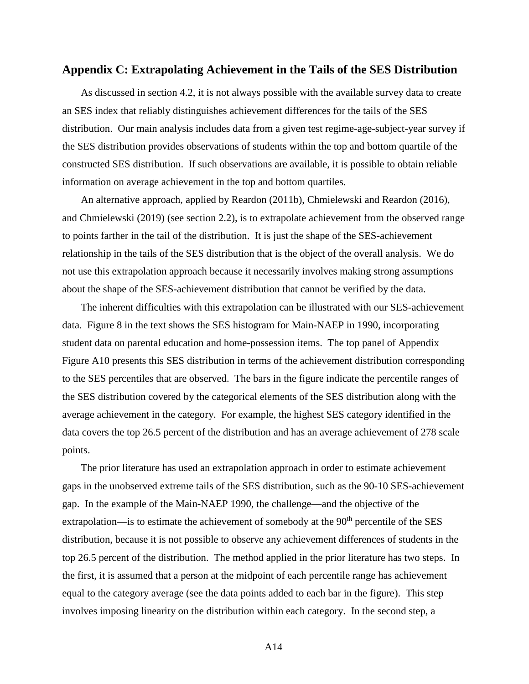# **Appendix C: Extrapolating Achievement in the Tails of the SES Distribution**

As discussed in section 4.2, it is not always possible with the available survey data to create an SES index that reliably distinguishes achievement differences for the tails of the SES distribution. Our main analysis includes data from a given test regime-age-subject-year survey if the SES distribution provides observations of students within the top and bottom quartile of the constructed SES distribution. If such observations are available, it is possible to obtain reliable information on average achievement in the top and bottom quartiles.

An alternative approach, applied by Reardon (2011b), Chmielewski and Reardon (2016), and Chmielewski (2019) (see section 2.2), is to extrapolate achievement from the observed range to points farther in the tail of the distribution. It is just the shape of the SES-achievement relationship in the tails of the SES distribution that is the object of the overall analysis. We do not use this extrapolation approach because it necessarily involves making strong assumptions about the shape of the SES-achievement distribution that cannot be verified by the data.

The inherent difficulties with this extrapolation can be illustrated with our SES-achievement data. Figure 8 in the text shows the SES histogram for Main-NAEP in 1990, incorporating student data on parental education and home-possession items. The top panel of Appendix Figure A10 presents this SES distribution in terms of the achievement distribution corresponding to the SES percentiles that are observed. The bars in the figure indicate the percentile ranges of the SES distribution covered by the categorical elements of the SES distribution along with the average achievement in the category. For example, the highest SES category identified in the data covers the top 26.5 percent of the distribution and has an average achievement of 278 scale points.

The prior literature has used an extrapolation approach in order to estimate achievement gaps in the unobserved extreme tails of the SES distribution, such as the 90-10 SES-achievement gap. In the example of the Main-NAEP 1990, the challenge—and the objective of the extrapolation—is to estimate the achievement of somebody at the  $90<sup>th</sup>$  percentile of the SES distribution, because it is not possible to observe any achievement differences of students in the top 26.5 percent of the distribution. The method applied in the prior literature has two steps. In the first, it is assumed that a person at the midpoint of each percentile range has achievement equal to the category average (see the data points added to each bar in the figure). This step involves imposing linearity on the distribution within each category. In the second step, a

A14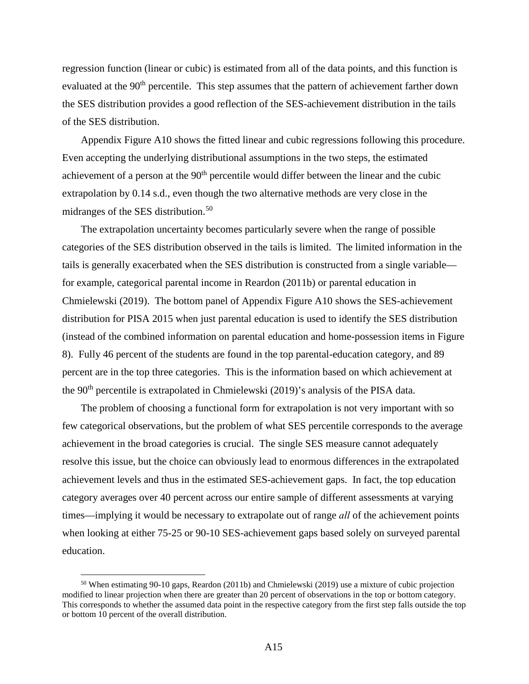regression function (linear or cubic) is estimated from all of the data points, and this function is evaluated at the 90<sup>th</sup> percentile. This step assumes that the pattern of achievement farther down the SES distribution provides a good reflection of the SES-achievement distribution in the tails of the SES distribution.

Appendix Figure A10 shows the fitted linear and cubic regressions following this procedure. Even accepting the underlying distributional assumptions in the two steps, the estimated achievement of a person at the  $90<sup>th</sup>$  percentile would differ between the linear and the cubic extrapolation by 0.14 s.d., even though the two alternative methods are very close in the midranges of the SES distribution.<sup>[50](#page-49-0)</sup>

The extrapolation uncertainty becomes particularly severe when the range of possible categories of the SES distribution observed in the tails is limited. The limited information in the tails is generally exacerbated when the SES distribution is constructed from a single variable for example, categorical parental income in Reardon (2011b) or parental education in Chmielewski (2019). The bottom panel of Appendix Figure A10 shows the SES-achievement distribution for PISA 2015 when just parental education is used to identify the SES distribution (instead of the combined information on parental education and home-possession items in Figure 8). Fully 46 percent of the students are found in the top parental-education category, and 89 percent are in the top three categories. This is the information based on which achievement at the 90<sup>th</sup> percentile is extrapolated in Chmielewski (2019)'s analysis of the PISA data.

The problem of choosing a functional form for extrapolation is not very important with so few categorical observations, but the problem of what SES percentile corresponds to the average achievement in the broad categories is crucial. The single SES measure cannot adequately resolve this issue, but the choice can obviously lead to enormous differences in the extrapolated achievement levels and thus in the estimated SES-achievement gaps. In fact, the top education category averages over 40 percent across our entire sample of different assessments at varying times—implying it would be necessary to extrapolate out of range *all* of the achievement points when looking at either 75-25 or 90-10 SES-achievement gaps based solely on surveyed parental education.

<span id="page-49-0"></span><sup>50</sup> When estimating 90-10 gaps, Reardon (2011b) and Chmielewski (2019) use a mixture of cubic projection modified to linear projection when there are greater than 20 percent of observations in the top or bottom category. This corresponds to whether the assumed data point in the respective category from the first step falls outside the top or bottom 10 percent of the overall distribution.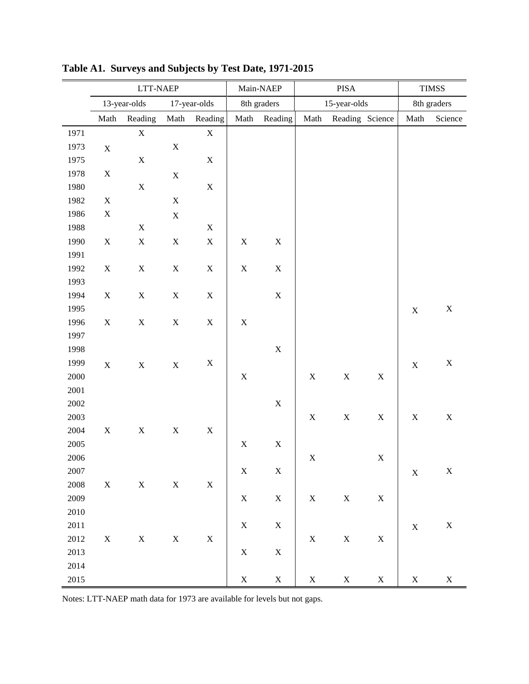|      | LTT-NAEP    |              |             |              | Main-NAEP   | PISA         |             |                 | <b>TIMSS</b> |             |             |
|------|-------------|--------------|-------------|--------------|-------------|--------------|-------------|-----------------|--------------|-------------|-------------|
|      |             | 13-year-olds |             | 17-year-olds |             | 8th graders  |             | 15-year-olds    |              |             | 8th graders |
|      | Math        | Reading      | Math        | Reading      |             | Math Reading | Math        | Reading Science |              | Math        | Science     |
| 1971 |             | $\mathbf X$  |             | $\mathbf X$  |             |              |             |                 |              |             |             |
| 1973 | $\mathbf X$ |              | $\mathbf X$ |              |             |              |             |                 |              |             |             |
| 1975 |             | $\mathbf X$  |             | $\mathbf X$  |             |              |             |                 |              |             |             |
| 1978 | $\mathbf X$ |              | $\mathbf X$ |              |             |              |             |                 |              |             |             |
| 1980 |             | $\mathbf X$  |             | $\mathbf X$  |             |              |             |                 |              |             |             |
| 1982 | $\mathbf X$ |              | $\mathbf X$ |              |             |              |             |                 |              |             |             |
| 1986 | $\mathbf X$ |              | $\mathbf X$ |              |             |              |             |                 |              |             |             |
| 1988 |             | $\mathbf X$  |             | $\mathbf X$  |             |              |             |                 |              |             |             |
| 1990 | $\mathbf X$ | $\mathbf X$  | $\mathbf X$ | $\mathbf X$  | $\mathbf X$ | $\mathbf X$  |             |                 |              |             |             |
| 1991 |             |              |             |              |             |              |             |                 |              |             |             |
| 1992 | $\mathbf X$ | $\mathbf X$  | $\mathbf X$ | $\mathbf X$  | $\mathbf X$ | $\mathbf X$  |             |                 |              |             |             |
| 1993 |             |              |             |              |             |              |             |                 |              |             |             |
| 1994 | $\mathbf X$ | $\mathbf X$  | $\mathbf X$ | $\mathbf X$  |             | $\mathbf X$  |             |                 |              |             |             |
| 1995 |             |              |             |              |             |              |             |                 |              | $\mathbf X$ | $\mathbf X$ |
| 1996 | $\mathbf X$ | $\mathbf X$  | $\mathbf X$ | $\mathbf X$  | $\mathbf X$ |              |             |                 |              |             |             |
| 1997 |             |              |             |              |             |              |             |                 |              |             |             |
| 1998 |             |              |             |              |             | $\mathbf X$  |             |                 |              |             |             |
| 1999 | $\mathbf X$ | $\mathbf X$  | $\mathbf X$ | X            |             |              |             |                 |              | $\mathbf X$ | $\mathbf X$ |
| 2000 |             |              |             |              | $\mathbf X$ |              | $\mathbf X$ | $\mathbf X$     | $\mathbf X$  |             |             |
| 2001 |             |              |             |              |             |              |             |                 |              |             |             |
| 2002 |             |              |             |              |             | $\mathbf X$  |             |                 |              |             |             |
| 2003 |             |              |             |              |             |              | $\mathbf X$ | $\mathbf X$     | $\mathbf X$  | $\mathbf X$ | $\mathbf X$ |
| 2004 | $\mathbf X$ | $\mathbf X$  | $\mathbf X$ | $\mathbf X$  |             |              |             |                 |              |             |             |
| 2005 |             |              |             |              | $\mathbf X$ | $\mathbf X$  |             |                 |              |             |             |
| 2006 |             |              |             |              |             |              | $\mathbf X$ |                 | $\mathbf X$  |             |             |
| 2007 |             |              |             |              | $\mathbf X$ | $\mathbf X$  |             |                 |              | $\mathbf X$ | $\mathbf X$ |
| 2008 | $\mathbf X$ | $\mathbf X$  | $\mathbf X$ | $\mathbf X$  |             |              |             |                 |              |             |             |
| 2009 |             |              |             |              | $\mathbf X$ | $\mathbf X$  | $\mathbf X$ | $\mathbf X$     | $\mathbf X$  |             |             |
| 2010 |             |              |             |              |             |              |             |                 |              |             |             |
| 2011 |             |              |             |              | $\mathbf X$ | $\mathbf X$  |             |                 |              | $\mathbf X$ | $\mathbf X$ |
| 2012 | $\mathbf X$ | $\mathbf X$  | $\mathbf X$ | $\mathbf X$  |             |              | $\mathbf X$ | $\mathbf X$     | $\mathbf X$  |             |             |
| 2013 |             |              |             |              | $\mathbf X$ | $\mathbf X$  |             |                 |              |             |             |
| 2014 |             |              |             |              |             |              |             |                 |              |             |             |
| 2015 |             |              |             |              | $\mathbf X$ | $\mathbf X$  | $\mathbf X$ | $\mathbf X$     | $\mathbf X$  | $\mathbf X$ | $\mathbf X$ |

**Table A1. Surveys and Subjects by Test Date, 1971-2015** 

Notes: LTT-NAEP math data for 1973 are available for levels but not gaps.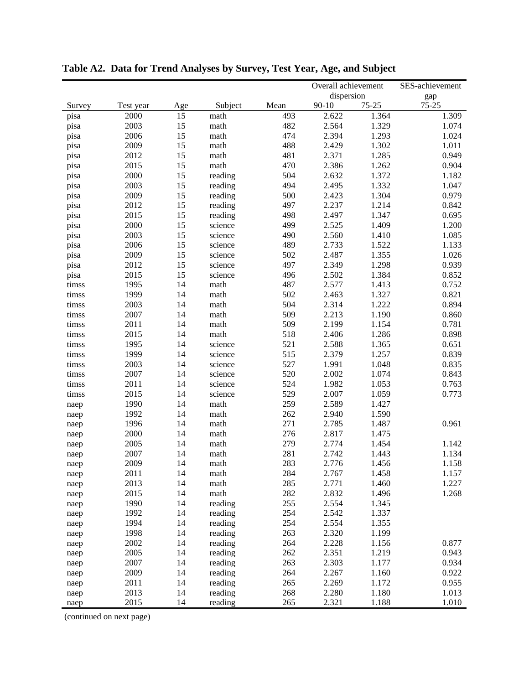|              |           |     |         |      | Overall achievement |           | SES-achievement |
|--------------|-----------|-----|---------|------|---------------------|-----------|-----------------|
|              |           |     |         |      | dispersion          |           | gap             |
| Survey       | Test year | Age | Subject | Mean | $90 - 10$           | $75 - 25$ | $75 - 25$       |
| pisa         | 2000      | 15  | math    | 493  | 2.622               | 1.364     | 1.309           |
| pisa         | 2003      | 15  | math    | 482  | 2.564               | 1.329     | 1.074           |
| pisa         | 2006      | 15  | math    | 474  | 2.394               | 1.293     | 1.024           |
| pisa         | 2009      | 15  | math    | 488  | 2.429               | 1.302     | 1.011           |
| pisa         | 2012      | 15  | math    | 481  | 2.371               | 1.285     | 0.949           |
| pisa         | 2015      | 15  | math    | 470  | 2.386               | 1.262     | 0.904           |
| pisa         | 2000      | 15  | reading | 504  | 2.632               | 1.372     | 1.182           |
| pisa         | 2003      | 15  | reading | 494  | 2.495               | 1.332     | 1.047           |
| pisa         | 2009      | 15  | reading | 500  | 2.423               | 1.304     | 0.979           |
| pisa         | 2012      | 15  | reading | 497  | 2.237               | 1.214     | 0.842           |
| pisa         | 2015      | 15  | reading | 498  | 2.497               | 1.347     | 0.695           |
| pisa         | 2000      | 15  | science | 499  | 2.525               | 1.409     | 1.200           |
| pisa         | 2003      | 15  | science | 490  | 2.560               | 1.410     | 1.085           |
| pisa         | 2006      | 15  | science | 489  | 2.733               | 1.522     | 1.133           |
| pisa         | 2009      | 15  | science | 502  | 2.487               | 1.355     | 1.026           |
| pisa         | 2012      | 15  | science | 497  | 2.349               | 1.298     | 0.939           |
| pisa         | 2015      | 15  | science | 496  | 2.502               | 1.384     | 0.852           |
| timss        | 1995      | 14  | math    | 487  | 2.577               | 1.413     | 0.752           |
| timss        | 1999      | 14  | math    | 502  | 2.463               | 1.327     | 0.821           |
| timss        | 2003      | 14  | math    | 504  | 2.314               | 1.222     | 0.894           |
| timss        | 2007      | 14  | math    | 509  | 2.213               | 1.190     | 0.860           |
| timss        | 2011      | 14  | math    | 509  | 2.199               | 1.154     | 0.781           |
| timss        | 2015      | 14  | math    | 518  | 2.406               | 1.286     | 0.898           |
| timss        | 1995      | 14  | science | 521  | 2.588               | 1.365     | 0.651           |
| timss        | 1999      | 14  | science | 515  | 2.379               | 1.257     | 0.839           |
| timss        | 2003      | 14  | science | 527  | 1.991               | 1.048     | 0.835           |
| timss        | 2007      | 14  | science | 520  | 2.002               | 1.074     | 0.843           |
| timss        | 2011      | 14  | science | 524  | 1.982               | 1.053     | 0.763           |
| timss        | 2015      | 14  | science | 529  | 2.007               | 1.059     | 0.773           |
| naep         | 1990      | 14  | math    | 259  | 2.589               | 1.427     |                 |
| naep         | 1992      | 14  | math    | 262  | 2.940               | 1.590     |                 |
| naep         | 1996      | 14  | math    | 271  | 2.785               | 1.487     | 0.961           |
| naep         | 2000      | 14  | math    | 276  | 2.817               | 1.475     |                 |
| naep         | 2005      | 14  | math    | 279  | 2.774               | 1.454     | 1.142           |
| naep         | 2007      | 14  | math    | 281  | 2.742               | 1.443     | 1.134           |
| naep         | 2009      | 14  | math    | 283  | 2.776               | 1.456     | 1.158           |
| naep         | 2011      | 14  | math    | 284  | 2.767               | 1.458     | 1.157           |
| naep         | 2013      | 14  | math    | 285  | 2.771               | 1.460     | 1.227           |
| naep         | 2015      | 14  | math    | 282  | 2.832               | 1.496     | 1.268           |
| naep         | 1990      | 14  | reading | 255  | 2.554               | 1.345     |                 |
| naep         | 1992      | 14  | reading | 254  | 2.542               | 1.337     |                 |
| naep         | 1994      | 14  | reading | 254  | 2.554               | 1.355     |                 |
| naep         | 1998      | 14  | reading | 263  | 2.320               | 1.199     |                 |
| naep         | 2002      | 14  | reading | 264  | 2.228               | 1.156     | 0.877           |
| naep         | 2005      | 14  | reading | 262  | 2.351               | 1.219     | 0.943           |
| naep         | 2007      | 14  | reading | 263  | 2.303               | 1.177     | 0.934           |
|              | 2009      | 14  | reading | 264  | 2.267               | 1.160     | 0.922           |
| naep<br>naep | 2011      | 14  | reading | 265  | 2.269               | 1.172     | 0.955           |
| naep         | 2013      | 14  | reading | 268  | 2.280               | 1.180     | 1.013           |
| naep         | 2015      | 14  | reading | 265  | 2.321               | 1.188     | 1.010           |

**Table A2. Data for Trend Analyses by Survey, Test Year, Age, and Subject** 

(continued on next page)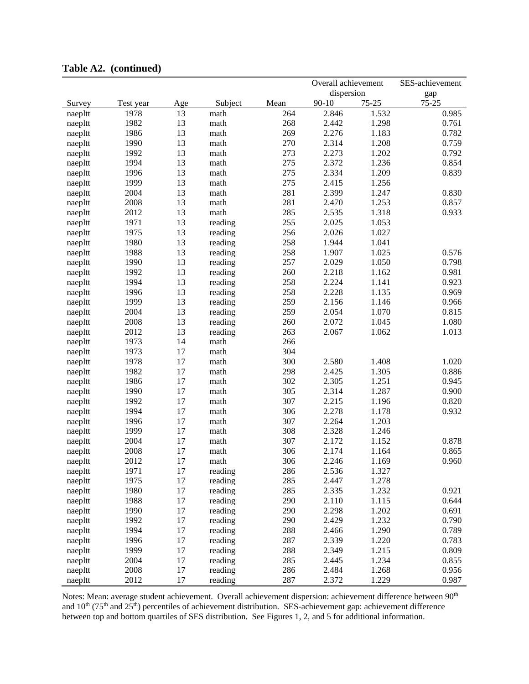|         |           |        |              |      | Overall achievement |           | SES-achievement |
|---------|-----------|--------|--------------|------|---------------------|-----------|-----------------|
|         |           |        |              |      | dispersion          |           | gap             |
| Survey  | Test year | Age    | Subject      | Mean | $90 - 10$           | $75 - 25$ | $75 - 25$       |
| naepltt | 1978      | 13     | math         | 264  | 2.846               | 1.532     | 0.985           |
| naepltt | 1982      | 13     | math         | 268  | 2.442               | 1.298     | 0.761           |
| naepltt | 1986      | 13     | math         | 269  | 2.276               | 1.183     | 0.782           |
| naepltt | 1990      | 13     | math         | 270  | 2.314               | 1.208     | 0.759           |
| naepltt | 1992      | 13     | math         | 273  | 2.273               | 1.202     | 0.792           |
| naepltt | 1994      | 13     | math         | 275  | 2.372               | 1.236     | 0.854           |
| naepltt | 1996      | 13     | math         | 275  | 2.334               | 1.209     | 0.839           |
| naepltt | 1999      | 13     | math         | 275  | 2.415               | 1.256     |                 |
| naepltt | 2004      | 13     | math         | 281  | 2.399               | 1.247     | 0.830           |
| naepltt | 2008      | 13     | math         | 281  | 2.470               | 1.253     | 0.857           |
| naepltt | 2012      | 13     | math         | 285  | 2.535               | 1.318     | 0.933           |
| naepltt | 1971      | 13     | reading      | 255  | 2.025               | 1.053     |                 |
| naepltt | 1975      | 13     | reading      | 256  | 2.026               | 1.027     |                 |
| naepltt | 1980      | 13     | reading      | 258  | 1.944               | 1.041     |                 |
| naepltt | 1988      | 13     | reading      | 258  | 1.907               | 1.025     | 0.576           |
| naepltt | 1990      | 13     | reading      | 257  | 2.029               | 1.050     | 0.798           |
| naepltt | 1992      | 13     | reading      | 260  | 2.218               | 1.162     | 0.981           |
| naepltt | 1994      | 13     | reading      | 258  | 2.224               | 1.141     | 0.923           |
| naepltt | 1996      | 13     | reading      | 258  | 2.228               | 1.135     | 0.969           |
| naepltt | 1999      | 13     | reading      | 259  | 2.156               | 1.146     | 0.966           |
| naepltt | 2004      | 13     | reading      | 259  | 2.054               | 1.070     | 0.815           |
| naepltt | 2008      | 13     | reading      | 260  | 2.072               | 1.045     | 1.080           |
| naepltt | 2012      | 13     | reading      | 263  | 2.067               | 1.062     | 1.013           |
| naepltt | 1973      | 14     | math         | 266  |                     |           |                 |
|         | 1973      | 17     | math         | 304  |                     |           |                 |
| naepltt | 1978      | 17     | math         | 300  | 2.580               | 1.408     | 1.020           |
| naepltt | 1982      | 17     | math         | 298  | 2.425               | 1.305     | 0.886           |
| naepltt | 1986      | 17     | math         | 302  | 2.305               | 1.251     | 0.945           |
| naepltt | 1990      | 17     |              | 305  | 2.314               | 1.287     | 0.900           |
| naepltt | 1992      | 17     | math<br>math | 307  | 2.215               | 1.196     | 0.820           |
| naepltt | 1994      | 17     |              | 306  | 2.278               | 1.178     | 0.932           |
| naepltt |           |        | math         |      | 2.264               |           |                 |
| naepltt | 1996      | 17     | math         | 307  |                     | 1.203     |                 |
| naepltt | 1999      | 17     | math         | 308  | 2.328               | 1.246     |                 |
| naepltt | 2004      | 17     | math         | 307  | 2.172               | 1.152     | 0.878           |
| naepltt | 2008      | 17     | math         | 306  | 2.174               | 1.164     | 0.865           |
| naepltt | 2012      | 17     | math         | 306  | 2.246               | 1.169     | 0.960           |
| naepltt | 1971      | 17     | reading      | 286  | 2.536               | 1.327     |                 |
| naepltt | 1975      | $17$   | reading      | 285  | 2.447               | 1.278     |                 |
| naepltt | 1980      | 17     | reading      | 285  | 2.335               | 1.232     | 0.921           |
| naepltt | 1988      | 17     | reading      | 290  | 2.110               | 1.115     | 0.644           |
| naepltt | 1990      | $17\,$ | reading      | 290  | 2.298               | 1.202     | 0.691           |
| naepltt | 1992      | $17\,$ | reading      | 290  | 2.429               | 1.232     | 0.790           |
| naepltt | 1994      | 17     | reading      | 288  | 2.466               | 1.290     | 0.789           |
| naepltt | 1996      | 17     | reading      | 287  | 2.339               | 1.220     | 0.783           |
| naepltt | 1999      | 17     | reading      | 288  | 2.349               | 1.215     | 0.809           |
| naepltt | 2004      | 17     | reading      | 285  | 2.445               | 1.234     | 0.855           |
| naepltt | 2008      | $17\,$ | reading      | 286  | 2.484               | 1.268     | 0.956           |
| naepltt | 2012      | 17     | reading      | 287  | 2.372               | 1.229     | 0.987           |

**Table A2. (continued)**

Notes: Mean: average student achievement. Overall achievement dispersion: achievement difference between 90<sup>th</sup> and  $10^{th}$  (75<sup>th</sup> and 25<sup>th</sup>) percentiles of achievement distribution. SES-achievement gap: achievement difference between top and bottom quartiles of SES distribution. See Figures 1, 2, and 5 for additional information.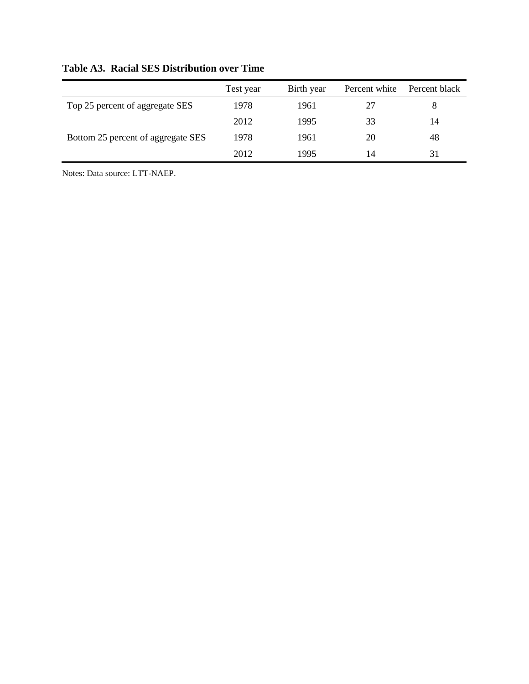|                                    | Test year | Birth year | Percent white | Percent black |
|------------------------------------|-----------|------------|---------------|---------------|
| Top 25 percent of aggregate SES    | 1978      | 1961       |               |               |
|                                    | 2012      | 1995       | 33            | 14            |
| Bottom 25 percent of aggregate SES | 1978      | 1961       | 20            | 48            |
|                                    | 2012      | 1995       | 14            | 31            |

# **Table A3. Racial SES Distribution over Time**

Notes: Data source: LTT-NAEP.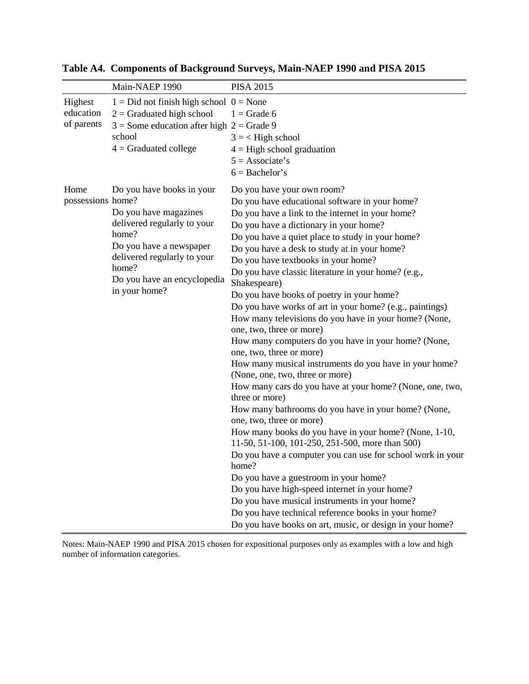|                                    | Main-NAEP 1990                                                                                                                                                                                                | <b>PISA 2015</b>                                                                                                                                                                                                                                                                                                                                                                                                                                                                                                                                                                                                                                                                                                                                                                                                                                                                                                                                                                                                                                                                                                                                                                                                                                                                                                                                                                             |
|------------------------------------|---------------------------------------------------------------------------------------------------------------------------------------------------------------------------------------------------------------|----------------------------------------------------------------------------------------------------------------------------------------------------------------------------------------------------------------------------------------------------------------------------------------------------------------------------------------------------------------------------------------------------------------------------------------------------------------------------------------------------------------------------------------------------------------------------------------------------------------------------------------------------------------------------------------------------------------------------------------------------------------------------------------------------------------------------------------------------------------------------------------------------------------------------------------------------------------------------------------------------------------------------------------------------------------------------------------------------------------------------------------------------------------------------------------------------------------------------------------------------------------------------------------------------------------------------------------------------------------------------------------------|
| Highest<br>education<br>of parents | $1 = Did$ not finish high school $0 = None$<br>$2 =$ Graduated high school<br>$3$ = Some education after high $2$ = Grade 9<br>school<br>$4 =$ Graduated college                                              | $1 =$ Grade 6<br>$3 = <$ High school<br>$4 =$ High school graduation<br>$5 =$ Associate's<br>$6 =$ Bachelor's                                                                                                                                                                                                                                                                                                                                                                                                                                                                                                                                                                                                                                                                                                                                                                                                                                                                                                                                                                                                                                                                                                                                                                                                                                                                                |
| Home<br>possessions home?          | Do you have books in your<br>Do you have magazines<br>delivered regularly to your<br>home?<br>Do you have a newspaper<br>delivered regularly to your<br>home?<br>Do you have an encyclopedia<br>in your home? | Do you have your own room?<br>Do you have educational software in your home?<br>Do you have a link to the internet in your home?<br>Do you have a dictionary in your home?<br>Do you have a quiet place to study in your home?<br>Do you have a desk to study at in your home?<br>Do you have textbooks in your home?<br>Do you have classic literature in your home? (e.g.,<br>Shakespeare)<br>Do you have books of poetry in your home?<br>Do you have works of art in your home? (e.g., paintings)<br>How many televisions do you have in your home? (None,<br>one, two, three or more)<br>How many computers do you have in your home? (None,<br>one, two, three or more)<br>How many musical instruments do you have in your home?<br>(None, one, two, three or more)<br>How many cars do you have at your home? (None, one, two,<br>three or more)<br>How many bathrooms do you have in your home? (None,<br>one, two, three or more)<br>How many books do you have in your home? (None, 1-10,<br>11-50, 51-100, 101-250, 251-500, more than 500)<br>Do you have a computer you can use for school work in your<br>home?<br>Do you have a guestroom in your home?<br>Do you have high-speed internet in your home?<br>Do you have musical instruments in your home?<br>Do you have technical reference books in your home?<br>Do you have books on art, music, or design in your home? |

**Table A4. Components of Background Surveys, Main-NAEP 1990 and PISA 2015** 

Notes: Main-NAEP 1990 and PISA 2015 chosen for expositional purposes only as examples with a low and high number of information categories.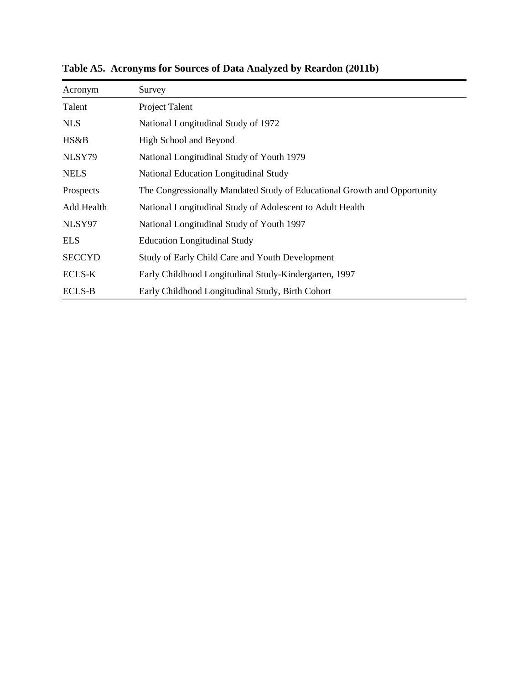| Acronym       | Survey                                                                   |
|---------------|--------------------------------------------------------------------------|
| Talent        | Project Talent                                                           |
| NLS           | National Longitudinal Study of 1972                                      |
| HS&B          | High School and Beyond                                                   |
| NLSY79        | National Longitudinal Study of Youth 1979                                |
| <b>NELS</b>   | National Education Longitudinal Study                                    |
| Prospects     | The Congressionally Mandated Study of Educational Growth and Opportunity |
| Add Health    | National Longitudinal Study of Adolescent to Adult Health                |
| NLSY97        | National Longitudinal Study of Youth 1997                                |
| <b>ELS</b>    | <b>Education Longitudinal Study</b>                                      |
| <b>SECCYD</b> | Study of Early Child Care and Youth Development                          |
| <b>ECLS-K</b> | Early Childhood Longitudinal Study-Kindergarten, 1997                    |
| <b>ECLS-B</b> | Early Childhood Longitudinal Study, Birth Cohort                         |

**Table A5. Acronyms for Sources of Data Analyzed by Reardon (2011b)**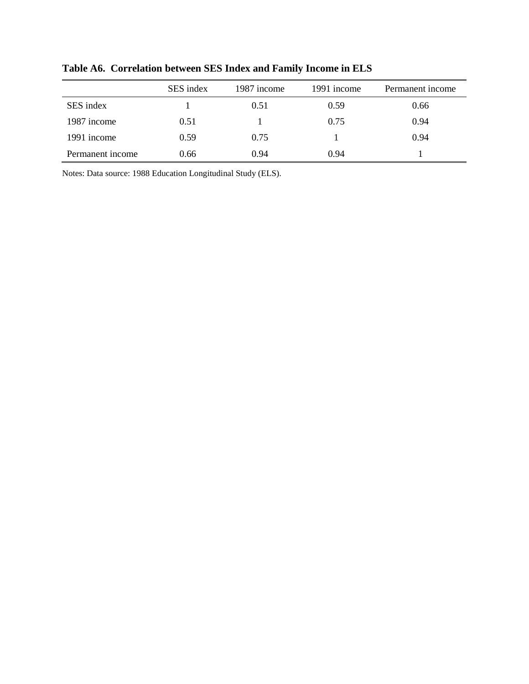|                  | SES index | 1987 income | 1991 income | Permanent income |
|------------------|-----------|-------------|-------------|------------------|
| SES index        |           | 0.51        | 0.59        | 0.66             |
| 1987 income      | 0.51      |             | 0.75        | 0.94             |
| 1991 income      | 0.59      | 0.75        |             | 0.94             |
| Permanent income | 0.66      | 0.94        | 0.94        |                  |

**Table A6. Correlation between SES Index and Family Income in ELS**

Notes: Data source: 1988 Education Longitudinal Study (ELS).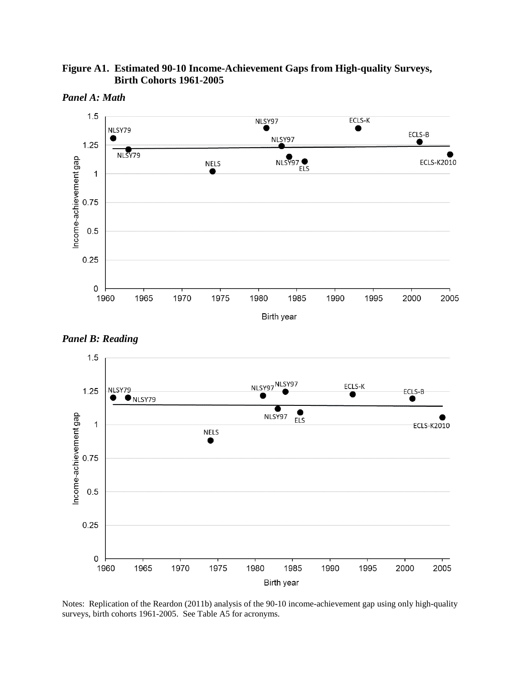



*Panel A: Math* 





Notes: Replication of the Reardon (2011b) analysis of the 90-10 income-achievement gap using only high-quality surveys, birth cohorts 1961-2005. See Table A5 for acronyms.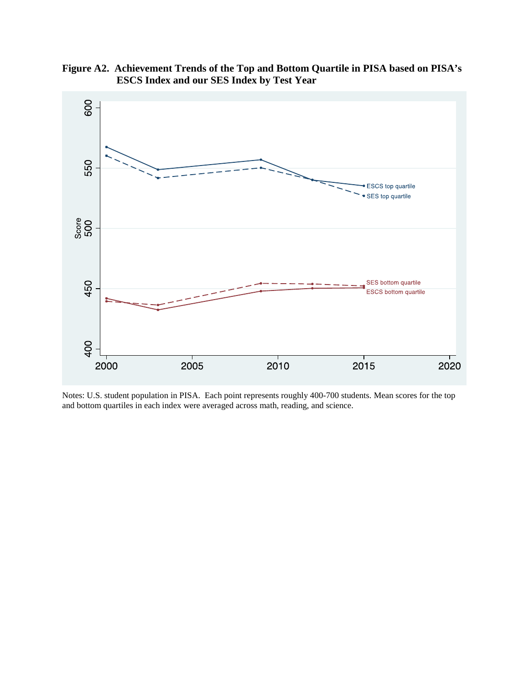

**Figure A2. Achievement Trends of the Top and Bottom Quartile in PISA based on PISA's ESCS Index and our SES Index by Test Year**

Notes: U.S. student population in PISA. Each point represents roughly 400-700 students. Mean scores for the top and bottom quartiles in each index were averaged across math, reading, and science.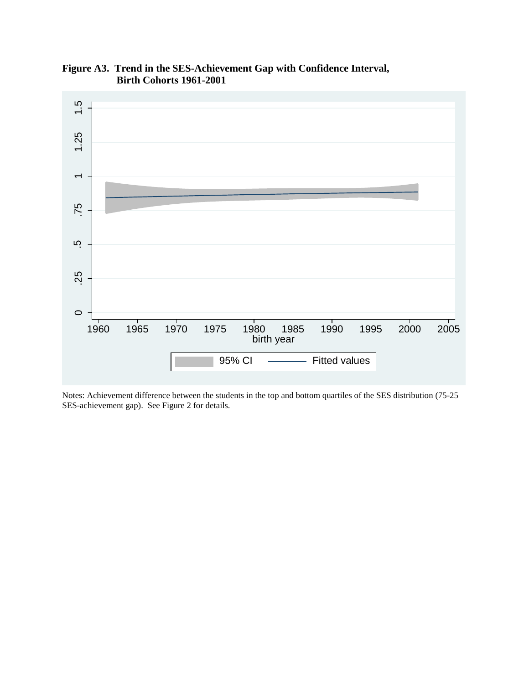

**Figure A3. Trend in the SES-Achievement Gap with Confidence Interval, Birth Cohorts 1961-2001** 

Notes: Achievement difference between the students in the top and bottom quartiles of the SES distribution (75-25 SES-achievement gap). See Figure 2 for details.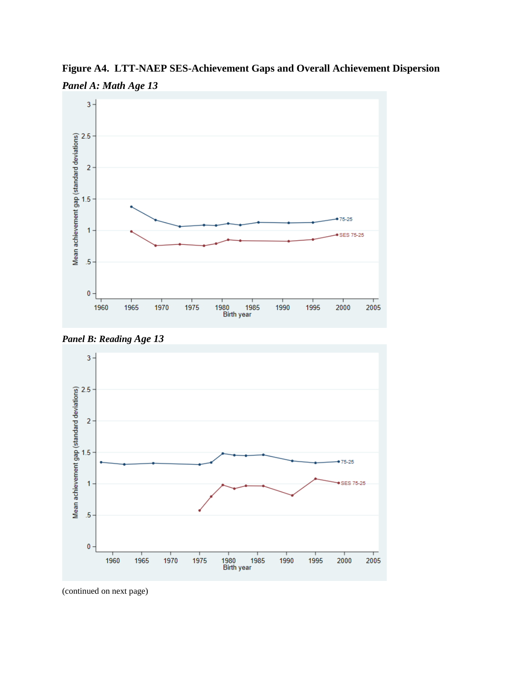

**Figure A4. LTT-NAEP SES-Achievement Gaps and Overall Achievement Dispersion** *Panel A: Math Age 13* 





(continued on next page)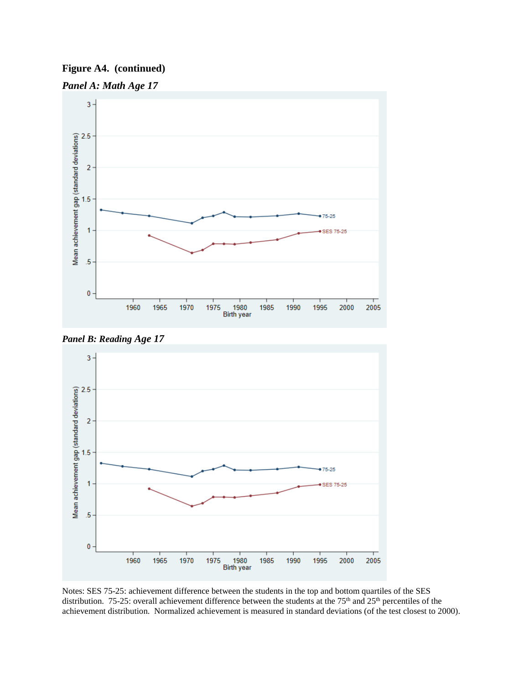# **Figure A4. (continued)**









Notes: SES 75-25: achievement difference between the students in the top and bottom quartiles of the SES distribution. 75-25: overall achievement difference between the students at the 75<sup>th</sup> and 25<sup>th</sup> percentiles of the achievement distribution. Normalized achievement is measured in standard deviations (of the test closest to 2000).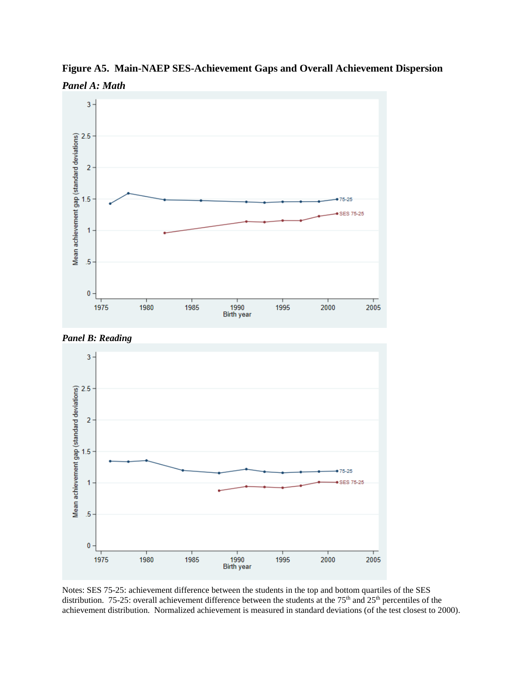

**Figure A5. Main-NAEP SES-Achievement Gaps and Overall Achievement Dispersion** *Panel A: Math* 





Notes: SES 75-25: achievement difference between the students in the top and bottom quartiles of the SES distribution. 75-25: overall achievement difference between the students at the 75<sup>th</sup> and 25<sup>th</sup> percentiles of the achievement distribution. Normalized achievement is measured in standard deviations (of the test closest to 2000).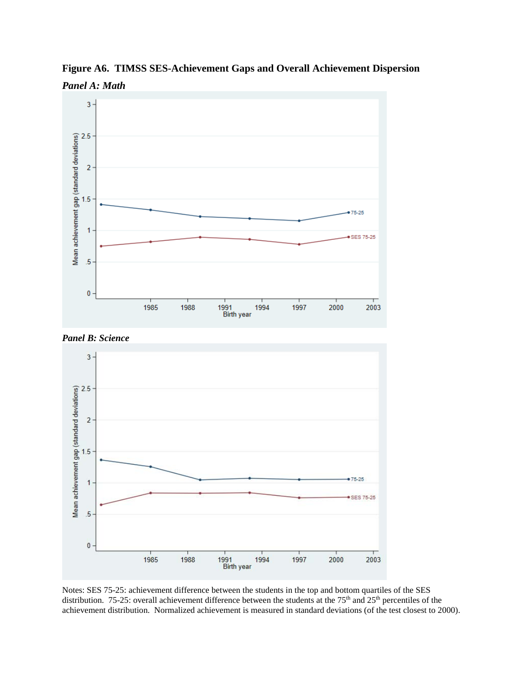

**Figure A6. TIMSS SES-Achievement Gaps and Overall Achievement Dispersion** *Panel A: Math* 





Notes: SES 75-25: achievement difference between the students in the top and bottom quartiles of the SES distribution. 75-25: overall achievement difference between the students at the 75<sup>th</sup> and 25<sup>th</sup> percentiles of the achievement distribution. Normalized achievement is measured in standard deviations (of the test closest to 2000).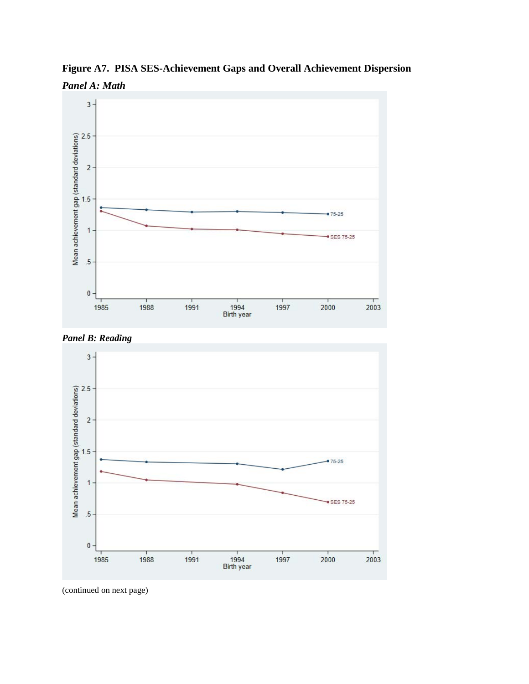

**Figure A7. PISA SES-Achievement Gaps and Overall Achievement Dispersion** *Panel A: Math* 





(continued on next page)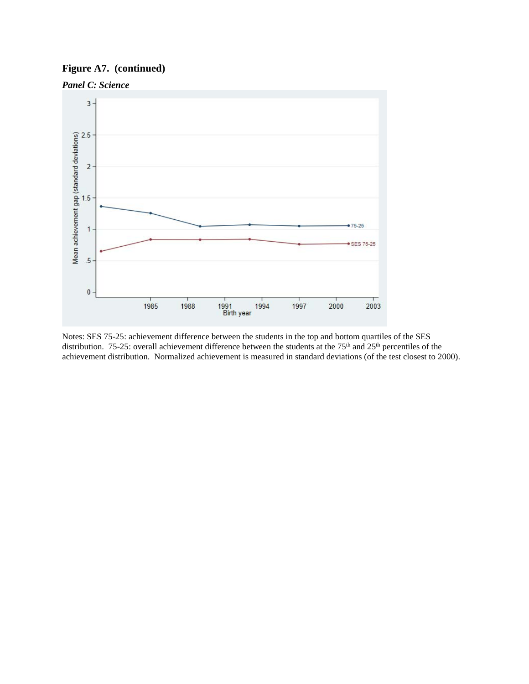# **Figure A7. (continued)**



Notes: SES 75-25: achievement difference between the students in the top and bottom quartiles of the SES distribution. 75-25: overall achievement difference between the students at the 75<sup>th</sup> and 25<sup>th</sup> percentiles of the achievement distribution. Normalized achievement is measured in standard deviations (of the test closest to 2000).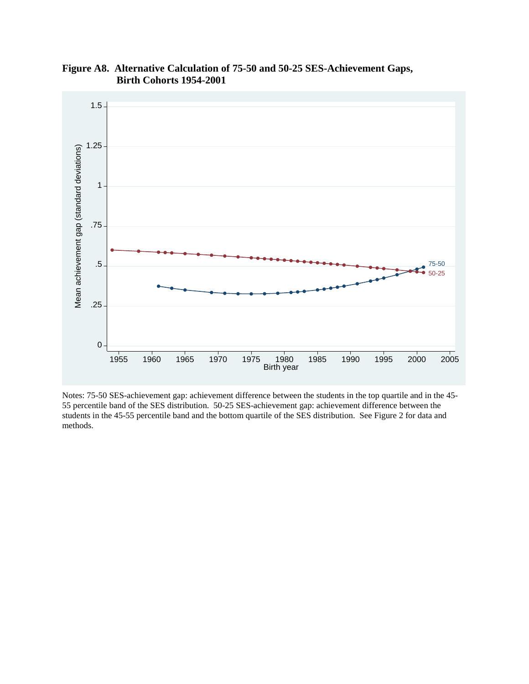

**Figure A8. Alternative Calculation of 75-50 and 50-25 SES-Achievement Gaps, Birth Cohorts 1954-2001** 

Notes: 75-50 SES-achievement gap: achievement difference between the students in the top quartile and in the 45- 55 percentile band of the SES distribution. 50-25 SES-achievement gap: achievement difference between the students in the 45-55 percentile band and the bottom quartile of the SES distribution. See Figure 2 for data and methods.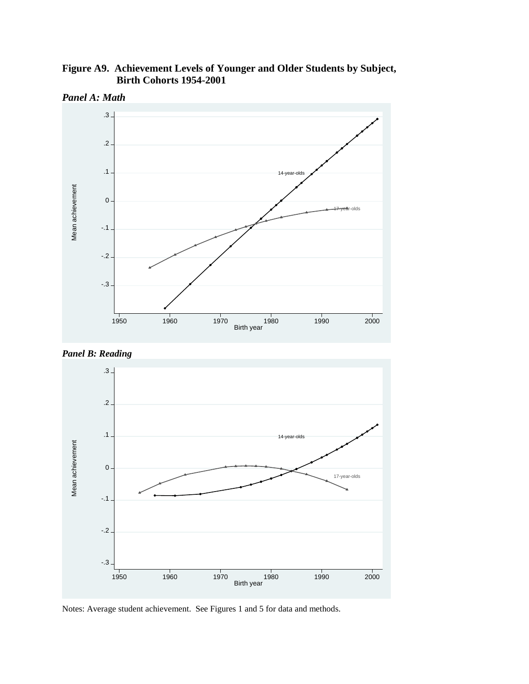**Figure A9. Achievement Levels of Younger and Older Students by Subject, Birth Cohorts 1954-2001** 



*Panel A: Math* 





Notes: Average student achievement. See Figures 1 and 5 for data and methods.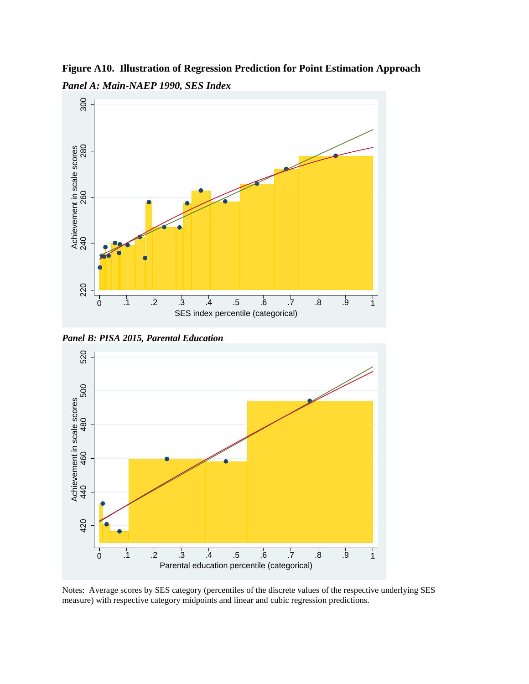**Figure A10. Illustration of Regression Prediction for Point Estimation Approach**  *Panel A: Main-NAEP 1990, SES Index* 







Notes: Average scores by SES category (percentiles of the discrete values of the respective underlying SES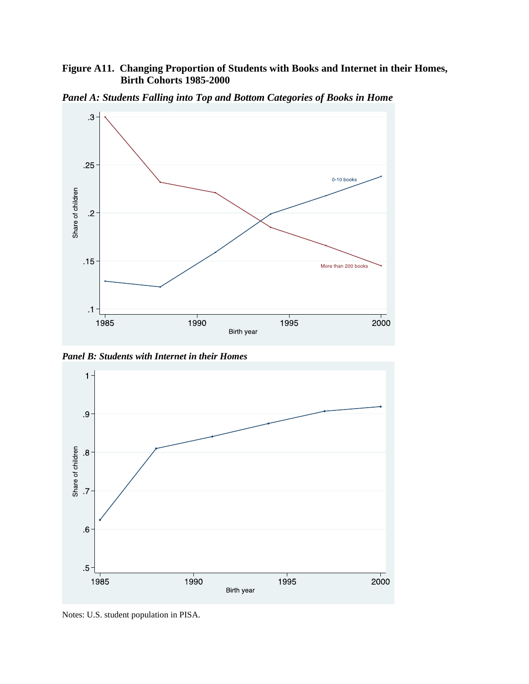# **Figure A11. Changing Proportion of Students with Books and Internet in their Homes, Birth Cohorts 1985-2000**



*Panel A: Students Falling into Top and Bottom Categories of Books in Home* 

*Panel B: Students with Internet in their Homes*



Notes: U.S. student population in PISA.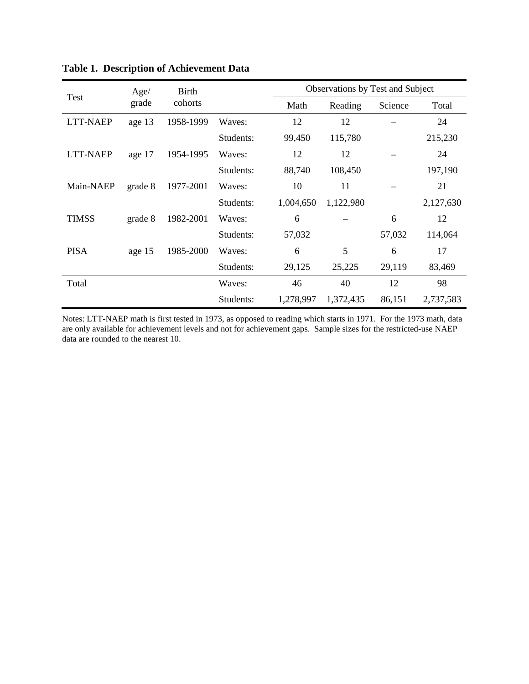| Test            | Age/    | <b>Birth</b> |           | Observations by Test and Subject |           |         |           |  |
|-----------------|---------|--------------|-----------|----------------------------------|-----------|---------|-----------|--|
|                 | grade   | cohorts      |           | Math                             | Reading   | Science | Total     |  |
| <b>LTT-NAEP</b> | age 13  | 1958-1999    | Waves:    | 12                               | 12        |         | 24        |  |
|                 |         |              | Students: | 99,450                           | 115,780   |         | 215,230   |  |
| <b>LTT-NAEP</b> | age 17  | 1954-1995    | Waves:    | 12                               | 12        |         | 24        |  |
|                 |         |              | Students: | 88,740                           | 108,450   |         | 197,190   |  |
| Main-NAEP       | grade 8 | 1977-2001    | Waves:    | 10                               | 11        |         | 21        |  |
|                 |         |              | Students: | 1,004,650                        | 1,122,980 |         | 2,127,630 |  |
| <b>TIMSS</b>    | grade 8 | 1982-2001    | Waves:    | 6                                |           | 6       | 12        |  |
|                 |         |              | Students: | 57,032                           |           | 57,032  | 114,064   |  |
| <b>PISA</b>     | age 15  | 1985-2000    | Waves:    | 6                                | 5         | 6       | 17        |  |
|                 |         |              | Students: | 29,125                           | 25,225    | 29,119  | 83,469    |  |
| Total           |         |              | Waves:    | 46                               | 40        | 12      | 98        |  |
|                 |         |              | Students: | 1,278,997                        | 1,372,435 | 86,151  | 2,737,583 |  |

**Table 1. Description of Achievement Data**

Notes: LTT-NAEP math is first tested in 1973, as opposed to reading which starts in 1971. For the 1973 math, data are only available for achievement levels and not for achievement gaps. Sample sizes for the restricted-use NAEP data are rounded to the nearest 10.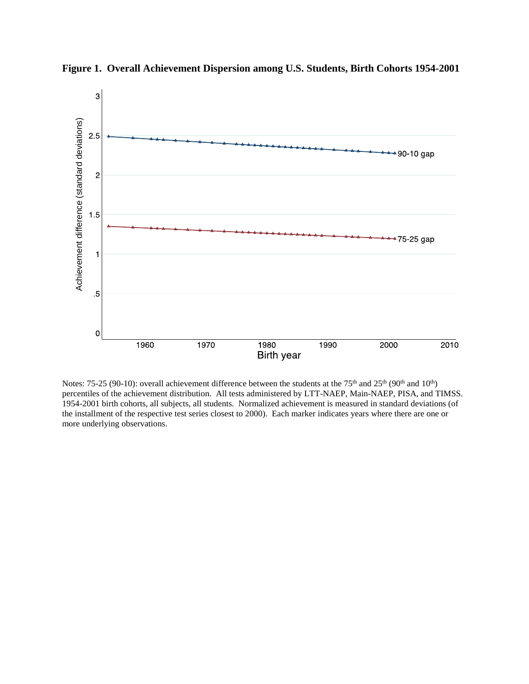

**Figure 1. Overall Achievement Dispersion among U.S. Students, Birth Cohorts 1954-2001** 

Notes: 75-25 (90-10): overall achievement difference between the students at the 75<sup>th</sup> and 25<sup>th</sup> (90<sup>th</sup> and 10<sup>th</sup>) percentiles of the achievement distribution. All tests administered by LTT-NAEP, Main-NAEP, PISA, and TIMSS. 1954-2001 birth cohorts, all subjects, all students. Normalized achievement is measured in standard deviations (of the installment of the respective test series closest to 2000). Each marker indicates years where there are one or more underlying observations.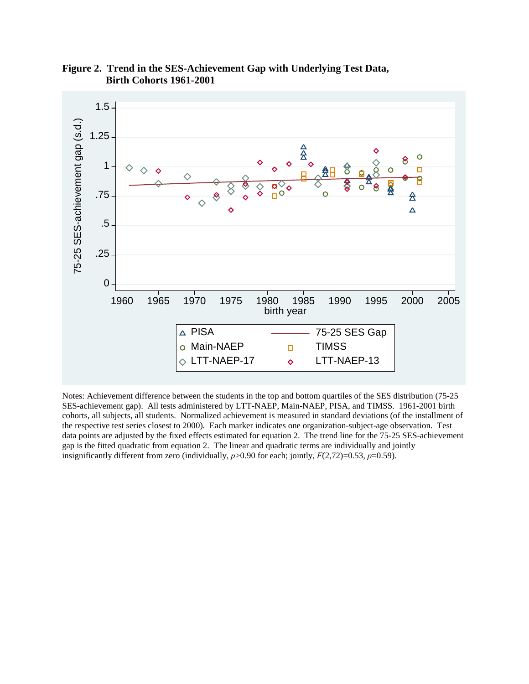

**Figure 2. Trend in the SES-Achievement Gap with Underlying Test Data, Birth Cohorts 1961-2001** 

Notes: Achievement difference between the students in the top and bottom quartiles of the SES distribution (75-25 SES-achievement gap). All tests administered by LTT-NAEP, Main-NAEP, PISA, and TIMSS. 1961-2001 birth cohorts, all subjects, all students. Normalized achievement is measured in standard deviations (of the installment of the respective test series closest to 2000). Each marker indicates one organization-subject-age observation. Test data points are adjusted by the fixed effects estimated for equation 2. The trend line for the 75-25 SES-achievement gap is the fitted quadratic from equation 2. The linear and quadratic terms are individually and jointly insignificantly different from zero (individually, *p*>0.90 for each; jointly, *F*(2,72)=0.53, *p*=0.59).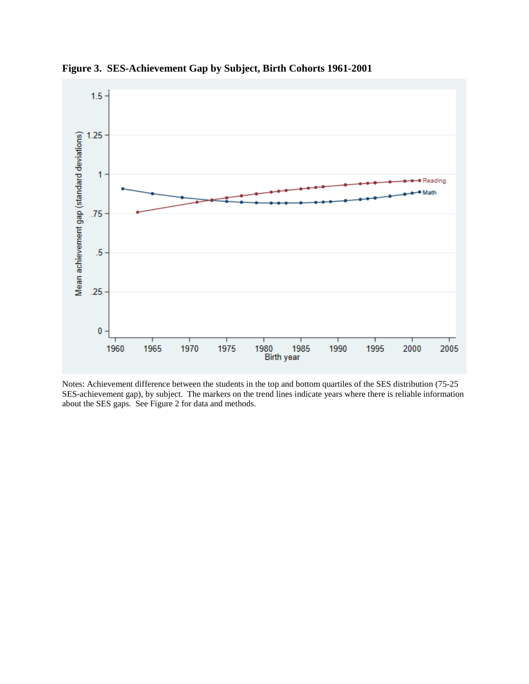

**Figure 3. SES-Achievement Gap by Subject, Birth Cohorts 1961-2001** 

Notes: Achievement difference between the students in the top and bottom quartiles of the SES distribution (75-25 SES-achievement gap), by subject. The markers on the trend lines indicate years where there is reliable information about the SES gaps. See Figure 2 for data and methods.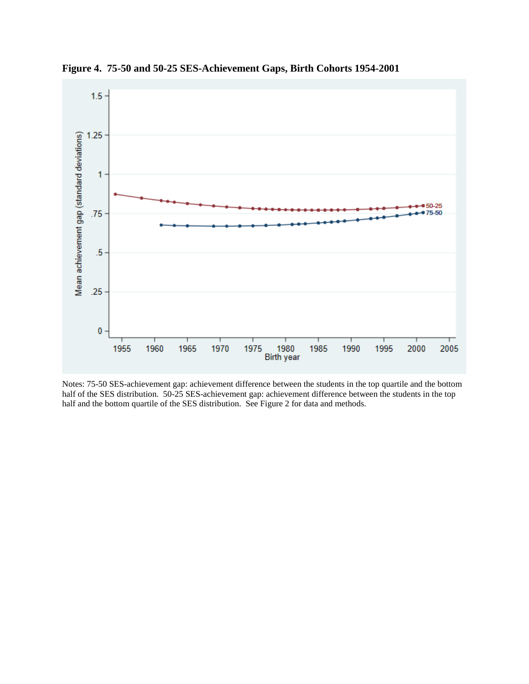

**Figure 4. 75-50 and 50-25 SES-Achievement Gaps, Birth Cohorts 1954-2001** 

Notes: 75-50 SES-achievement gap: achievement difference between the students in the top quartile and the bottom half of the SES distribution. 50-25 SES-achievement gap: achievement difference between the students in the top half and the bottom quartile of the SES distribution. See Figure 2 for data and methods.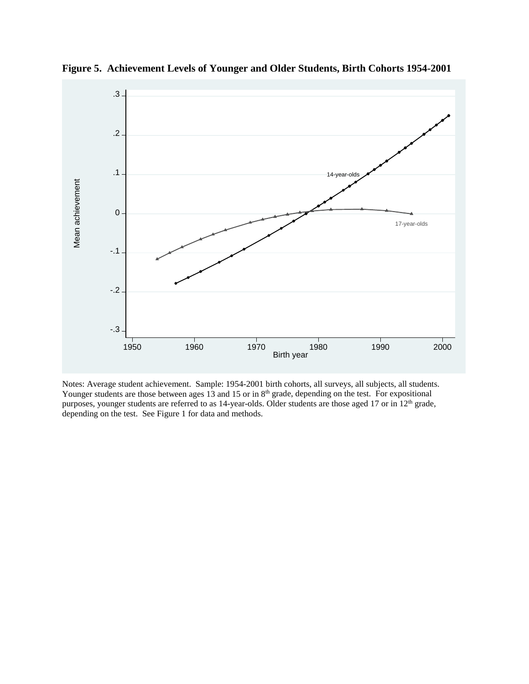

**Figure 5. Achievement Levels of Younger and Older Students, Birth Cohorts 1954-2001** 

Notes: Average student achievement. Sample: 1954-2001 birth cohorts, all surveys, all subjects, all students. Younger students are those between ages 13 and 15 or in 8<sup>th</sup> grade, depending on the test. For expositional purposes, younger students are referred to as 14-year-olds. Older students are those aged 17 or in 12<sup>th</sup> grade, depending on the test. See Figure 1 for data and methods.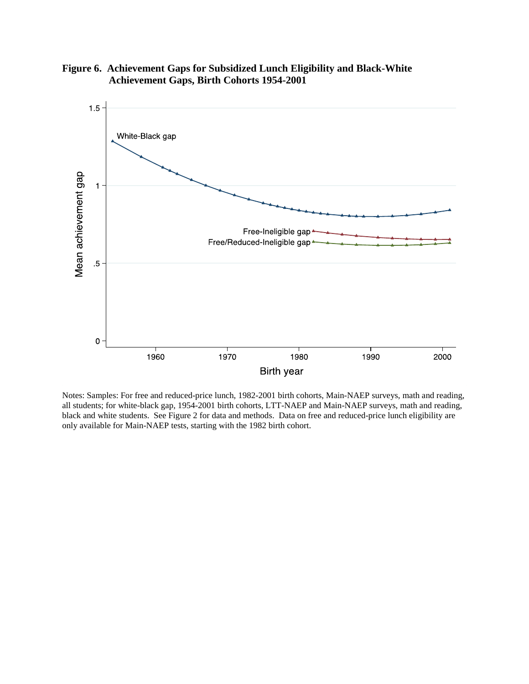

**Figure 6. Achievement Gaps for Subsidized Lunch Eligibility and Black-White Achievement Gaps, Birth Cohorts 1954-2001** 

Notes: Samples: For free and reduced-price lunch, 1982-2001 birth cohorts, Main-NAEP surveys, math and reading, all students; for white-black gap, 1954-2001 birth cohorts, LTT-NAEP and Main-NAEP surveys, math and reading, black and white students. See Figure 2 for data and methods. Data on free and reduced-price lunch eligibility are only available for Main-NAEP tests, starting with the 1982 birth cohort.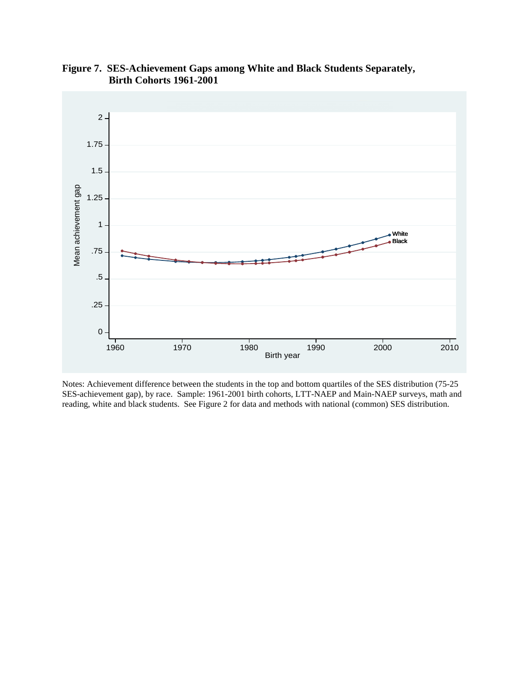

**Figure 7. SES-Achievement Gaps among White and Black Students Separately, Birth Cohorts 1961-2001** 

Notes: Achievement difference between the students in the top and bottom quartiles of the SES distribution (75-25 SES-achievement gap), by race. Sample: 1961-2001 birth cohorts, LTT-NAEP and Main-NAEP surveys, math and reading, white and black students. See Figure 2 for data and methods with national (common) SES distribution.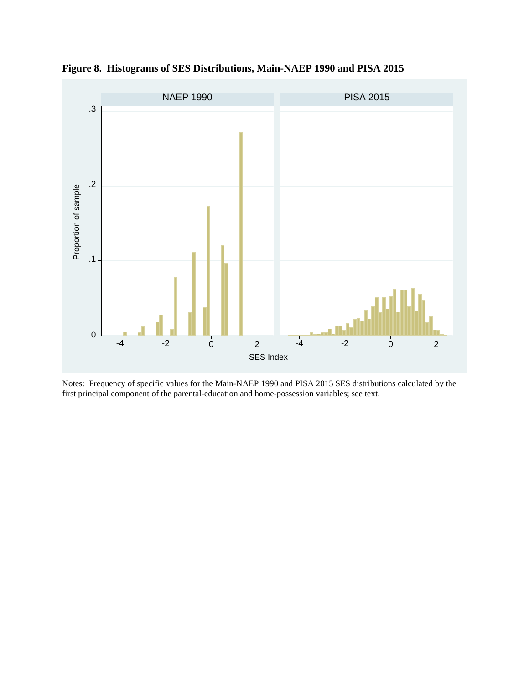

**Figure 8. Histograms of SES Distributions, Main-NAEP 1990 and PISA 2015** 

Notes: Frequency of specific values for the Main-NAEP 1990 and PISA 2015 SES distributions calculated by the first principal component of the parental-education and home-possession variables; see text.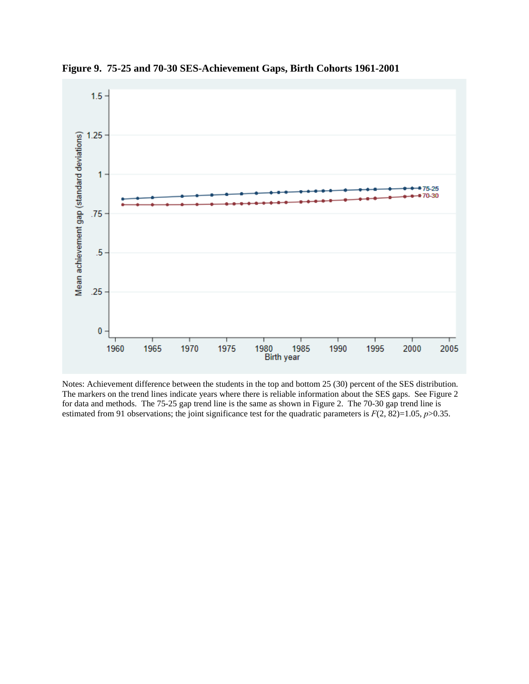

**Figure 9. 75-25 and 70-30 SES-Achievement Gaps, Birth Cohorts 1961-2001** 

Notes: Achievement difference between the students in the top and bottom 25 (30) percent of the SES distribution. The markers on the trend lines indicate years where there is reliable information about the SES gaps. See Figure 2 for data and methods. The 75-25 gap trend line is the same as shown in Figure 2. The 70-30 gap trend line is estimated from 91 observations; the joint significance test for the quadratic parameters is  $F(2, 82)=1.05$ ,  $p>0.35$ .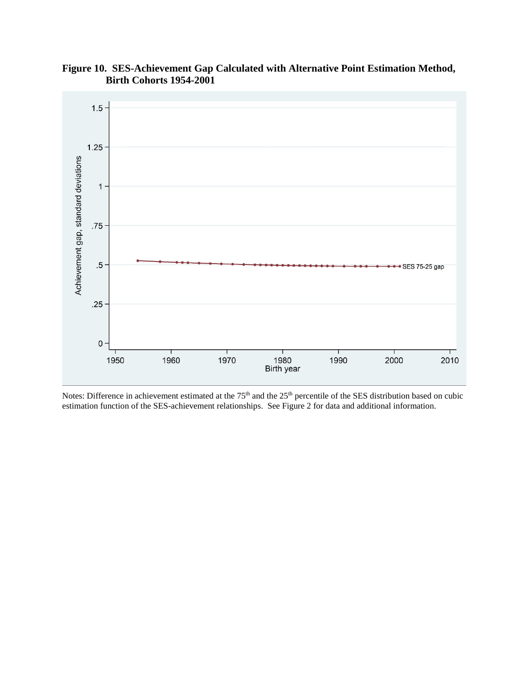

**Figure 10. SES-Achievement Gap Calculated with Alternative Point Estimation Method, Birth Cohorts 1954-2001** 

Notes: Difference in achievement estimated at the  $75<sup>th</sup>$  and the  $25<sup>th</sup>$  percentile of the SES distribution based on cubic estimation function of the SES-achievement relationships. See Figure 2 for data and additional information.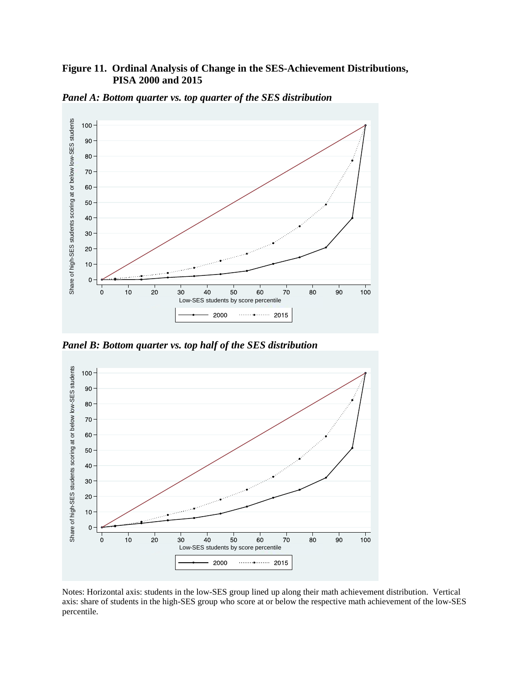## **Figure 11. Ordinal Analysis of Change in the SES-Achievement Distributions, PISA 2000 and 2015**



*Panel A: Bottom quarter vs. top quarter of the SES distribution*

*Panel B: Bottom quarter vs. top half of the SES distribution*



Notes: Horizontal axis: students in the low-SES group lined up along their math achievement distribution. Vertical axis: share of students in the high-SES group who score at or below the respective math achievement of the low-SES percentile.